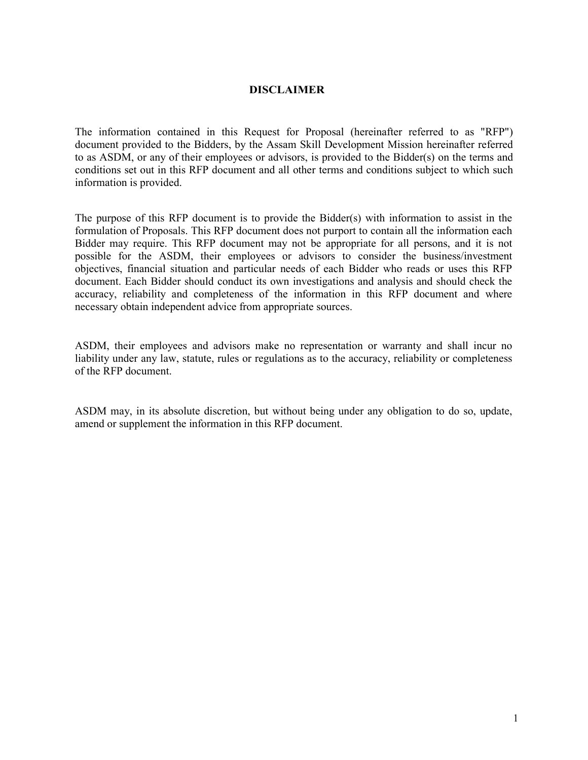## **DISCLAIMER**

The information contained in this Request for Proposal (hereinafter referred to as "RFP") document provided to the Bidders, by the Assam Skill Development Mission hereinafter referred to as ASDM, or any of their employees or advisors, is provided to the Bidder(s) on the terms and conditions set out in this RFP document and all other terms and conditions subject to which such information is provided.

The purpose of this RFP document is to provide the Bidder(s) with information to assist in the formulation of Proposals. This RFP document does not purport to contain all the information each Bidder may require. This RFP document may not be appropriate for all persons, and it is not possible for the ASDM, their employees or advisors to consider the business/investment objectives, financial situation and particular needs of each Bidder who reads or uses this RFP document. Each Bidder should conduct its own investigations and analysis and should check the accuracy, reliability and completeness of the information in this RFP document and where necessary obtain independent advice from appropriate sources.

ASDM, their employees and advisors make no representation or warranty and shall incur no liability under any law, statute, rules or regulations as to the accuracy, reliability or completeness of the RFP document.

ASDM may, in its absolute discretion, but without being under any obligation to do so, update, amend or supplement the information in this RFP document.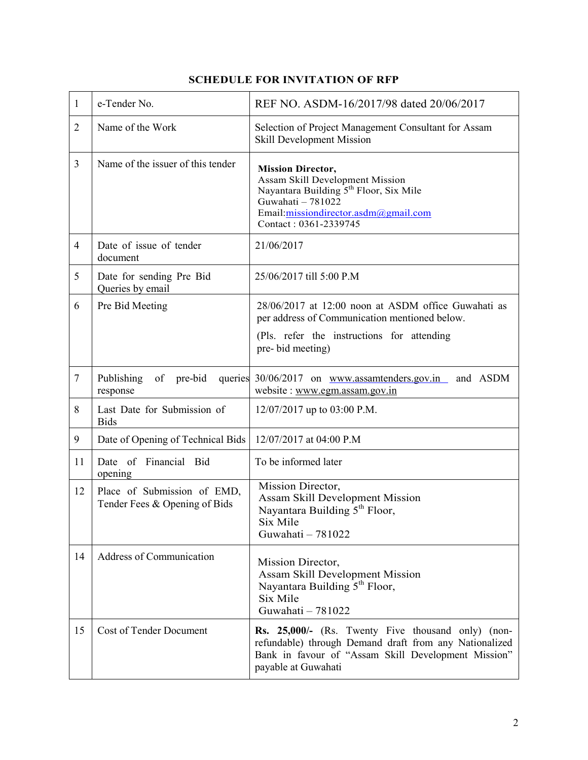| $\mathbf{1}$   | e-Tender No.                                                 | REF NO. ASDM-16/2017/98 dated 20/06/2017                                                                                                                                                                |
|----------------|--------------------------------------------------------------|---------------------------------------------------------------------------------------------------------------------------------------------------------------------------------------------------------|
| $\overline{2}$ | Name of the Work                                             | Selection of Project Management Consultant for Assam<br><b>Skill Development Mission</b>                                                                                                                |
| 3              | Name of the issuer of this tender                            | <b>Mission Director,</b><br>Assam Skill Development Mission<br>Nayantara Building 5 <sup>th</sup> Floor, Six Mile<br>Guwahati - 781022<br>Email:missiondirector.asdm@gmail.com<br>Contact: 0361-2339745 |
| $\overline{4}$ | Date of issue of tender<br>document                          | 21/06/2017                                                                                                                                                                                              |
| 5              | Date for sending Pre Bid<br>Queries by email                 | 25/06/2017 till 5:00 P.M                                                                                                                                                                                |
| 6              | Pre Bid Meeting                                              | 28/06/2017 at 12:00 noon at ASDM office Guwahati as<br>per address of Communication mentioned below.<br>(Pls. refer the instructions for attending<br>pre-bid meeting)                                  |
| $\overline{7}$ | Publishing<br>of pre-bid<br>queries<br>response              | 30/06/2017 on www.assamtenders.gov.in and ASDM<br>website: www.egm.assam.gov.in                                                                                                                         |
| 8              | Last Date for Submission of<br><b>Bids</b>                   | 12/07/2017 up to 03:00 P.M.                                                                                                                                                                             |
| 9              | Date of Opening of Technical Bids                            | 12/07/2017 at 04:00 P.M                                                                                                                                                                                 |
| 11             | Date of Financial Bid<br>opening                             | To be informed later                                                                                                                                                                                    |
| 12             | Place of Submission of EMD,<br>Tender Fees & Opening of Bids | Mission Director,<br><b>Assam Skill Development Mission</b><br>Nayantara Building 5 <sup>th</sup> Floor,<br>Six Mile<br>Guwahati - 781022                                                               |
| 14             | <b>Address of Communication</b>                              | Mission Director,<br>Assam Skill Development Mission<br>Nayantara Building 5 <sup>th</sup> Floor,<br>Six Mile<br>Guwahati - 781022                                                                      |
| 15             | <b>Cost of Tender Document</b>                               | Rs. 25,000/- (Rs. Twenty Five thousand only) (non-<br>refundable) through Demand draft from any Nationalized<br>Bank in favour of "Assam Skill Development Mission"<br>payable at Guwahati              |

# **SCHEDULE FOR INVITATION OF RFP**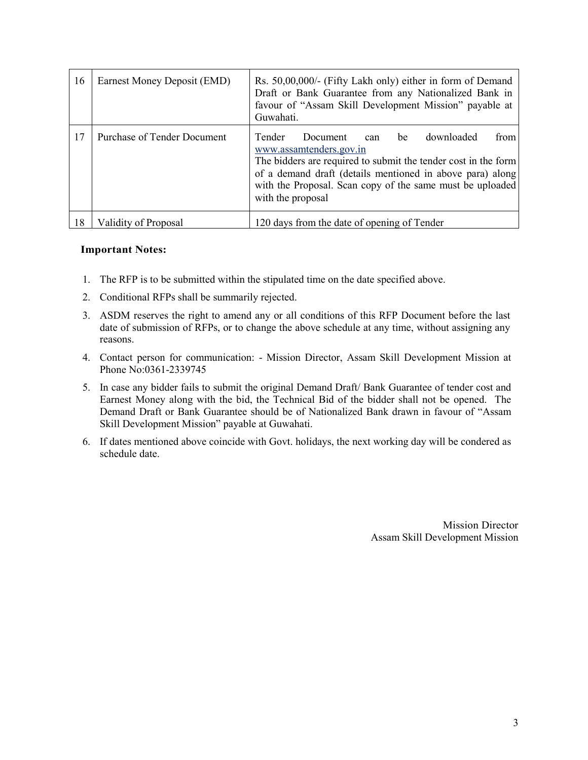| 16 | Earnest Money Deposit (EMD)        | Rs. 50,00,000/- (Fifty Lakh only) either in form of Demand<br>Draft or Bank Guarantee from any Nationalized Bank in<br>favour of "Assam Skill Development Mission" payable at<br>Guwahati.                                                                                                          |  |  |
|----|------------------------------------|-----------------------------------------------------------------------------------------------------------------------------------------------------------------------------------------------------------------------------------------------------------------------------------------------------|--|--|
| 17 | <b>Purchase of Tender Document</b> | downloaded<br>Tender<br>from I<br>Document<br>be<br>can<br>www.assamtenders.gov.in<br>The bidders are required to submit the tender cost in the form<br>of a demand draft (details mentioned in above para) along<br>with the Proposal. Scan copy of the same must be uploaded<br>with the proposal |  |  |
| 18 | Validity of Proposal               | 120 days from the date of opening of Tender                                                                                                                                                                                                                                                         |  |  |

## **Important Notes:**

- 1. The RFP is to be submitted within the stipulated time on the date specified above.
- 2. Conditional RFPs shall be summarily rejected.
- 3. ASDM reserves the right to amend any or all conditions of this RFP Document before the last date of submission of RFPs, or to change the above schedule at any time, without assigning any reasons.
- 4. Contact person for communication: Mission Director, Assam Skill Development Mission at Phone No:0361-2339745
- 5. In case any bidder fails to submit the original Demand Draft/ Bank Guarantee of tender cost and Earnest Money along with the bid, the Technical Bid of the bidder shall not be opened. The Demand Draft or Bank Guarantee should be of Nationalized Bank drawn in favour of "Assam Skill Development Mission" payable at Guwahati.
- 6. If dates mentioned above coincide with Govt. holidays, the next working day will be condered as schedule date.

Mission Director Assam Skill Development Mission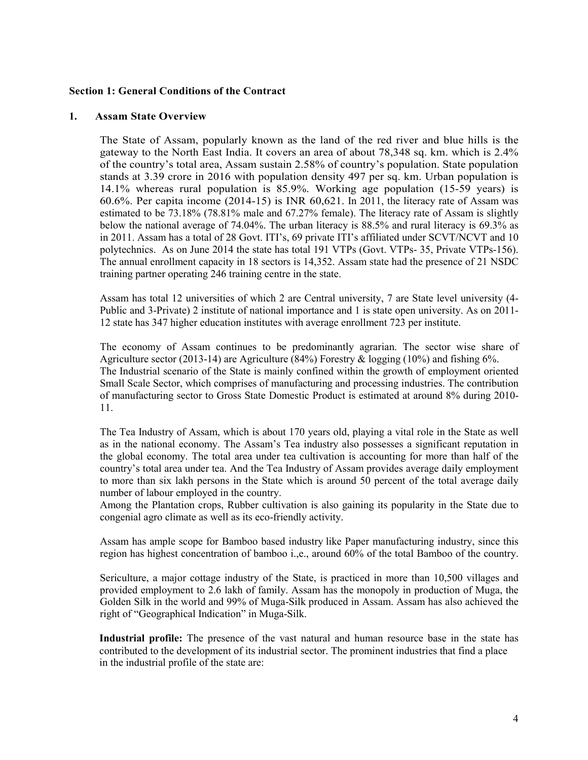#### **Section 1: General Conditions of the Contract**

#### **1. Assam State Overview**

The State of Assam, popularly known as the land of the red river and blue hills is the gateway to the North East India. It covers an area of about 78,348 sq. km. which is 2.4% of the country's total area, Assam sustain 2.58% of country's population. State population stands at 3.39 crore in 2016 with population density 497 per sq. km. Urban population is 14.1% whereas rural population is 85.9%. Working age population (15-59 years) is 60.6%. Per capita income (2014-15) is INR 60,621. In 2011, the literacy rate of Assam was estimated to be 73.18% (78.81% male and 67.27% female). The literacy rate of Assam is slightly below the national average of 74.04%. The urban literacy is 88.5% and rural literacy is 69.3% as in 2011. Assam has a total of 28 Govt. ITI's, 69 private ITI's affiliated under SCVT/NCVT and 10 polytechnics. As on June 2014 the state has total 191 VTPs (Govt. VTPs- 35, Private VTPs-156). The annual enrollment capacity in 18 sectors is 14,352. Assam state had the presence of 21 NSDC training partner operating 246 training centre in the state.

Assam has total 12 universities of which 2 are Central university, 7 are State level university (4- Public and 3-Private) 2 institute of national importance and 1 is state open university. As on 2011- 12 state has 347 higher education institutes with average enrollment 723 per institute.

The economy of Assam continues to be predominantly agrarian. The sector wise share of Agriculture sector (2013-14) are Agriculture (84%) Forestry & logging (10%) and fishing 6%. The Industrial scenario of the State is mainly confined within the growth of employment oriented Small Scale Sector, which comprises of manufacturing and processing industries. The contribution of manufacturing sector to Gross State Domestic Product is estimated at around 8% during 2010- 11.

The Tea Industry of Assam, which is about 170 years old, playing a vital role in the State as well as in the national economy. The Assam's Tea industry also possesses a significant reputation in the global economy. The total area under tea cultivation is accounting for more than half of the country's total area under tea. And the Tea Industry of Assam provides average daily employment to more than six lakh persons in the State which is around 50 percent of the total average daily number of labour employed in the country.

Among the Plantation crops, Rubber cultivation is also gaining its popularity in the State due to congenial agro climate as well as its eco-friendly activity.

Assam has ample scope for Bamboo based industry like Paper manufacturing industry, since this region has highest concentration of bamboo i.,e., around 60% of the total Bamboo of the country.

Sericulture, a major cottage industry of the State, is practiced in more than 10,500 villages and provided employment to 2.6 lakh of family. Assam has the monopoly in production of Muga, the Golden Silk in the world and 99% of Muga-Silk produced in Assam. Assam has also achieved the right of "Geographical Indication" in Muga-Silk.

**Industrial profile:** The presence of the vast natural and human resource base in the state has contributed to the development of its industrial sector. The prominent industries that find a place in the industrial profile of the state are: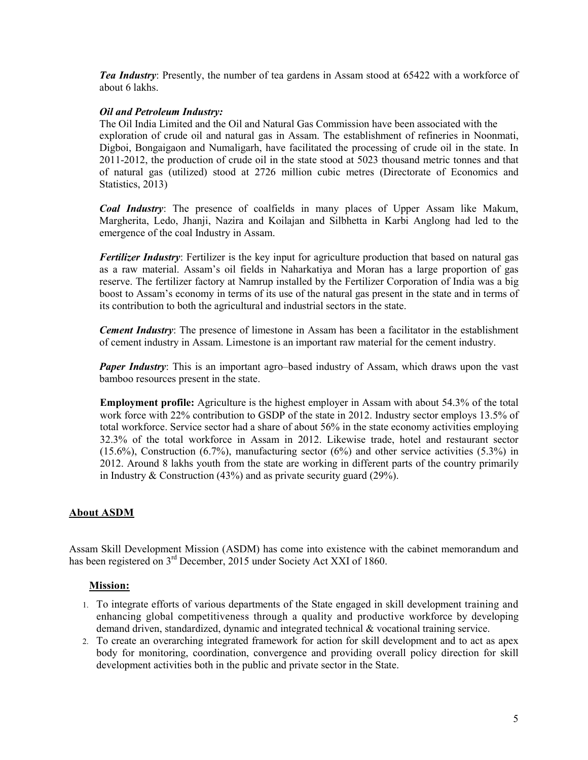*Tea Industry*: Presently, the number of tea gardens in Assam stood at 65422 with a workforce of about 6 lakhs.

## *Oil and Petroleum Industry:*

The Oil India Limited and the Oil and Natural Gas Commission have been associated with the exploration of crude oil and natural gas in Assam. The establishment of refineries in Noonmati, Digboi, Bongaigaon and Numaligarh, have facilitated the processing of crude oil in the state. In 2011-2012, the production of crude oil in the state stood at 5023 thousand metric tonnes and that of natural gas (utilized) stood at 2726 million cubic metres (Directorate of Economics and Statistics, 2013)

*Coal Industry*: The presence of coalfields in many places of Upper Assam like Makum, Margherita, Ledo, Jhanji, Nazira and Koilajan and Silbhetta in Karbi Anglong had led to the emergence of the coal Industry in Assam.

*Fertilizer Industry*: Fertilizer is the key input for agriculture production that based on natural gas as a raw material. Assam's oil fields in Naharkatiya and Moran has a large proportion of gas reserve. The fertilizer factory at Namrup installed by the Fertilizer Corporation of India was a big boost to Assam's economy in terms of its use of the natural gas present in the state and in terms of its contribution to both the agricultural and industrial sectors in the state.

*Cement Industry:* The presence of limestone in Assam has been a facilitator in the establishment of cement industry in Assam. Limestone is an important raw material for the cement industry.

*Paper Industry*: This is an important agro–based industry of Assam, which draws upon the vast bamboo resources present in the state.

**Employment profile:** Agriculture is the highest employer in Assam with about 54.3% of the total work force with 22% contribution to GSDP of the state in 2012. Industry sector employs 13.5% of total workforce. Service sector had a share of about 56% in the state economy activities employing 32.3% of the total workforce in Assam in 2012. Likewise trade, hotel and restaurant sector (15.6%), Construction (6.7%), manufacturing sector (6%) and other service activities (5.3%) in 2012. Around 8 lakhs youth from the state are working in different parts of the country primarily in Industry & Construction (43%) and as private security guard (29%).

## **About ASDM**

Assam Skill Development Mission (ASDM) has come into existence with the cabinet memorandum and has been registered on 3<sup>rd</sup> December, 2015 under Society Act XXI of 1860.

### **Mission:**

- 1. To integrate efforts of various departments of the State engaged in skill development training and enhancing global competitiveness through a quality and productive workforce by developing demand driven, standardized, dynamic and integrated technical & vocational training service.
- 2. To create an overarching integrated framework for action for skill development and to act as apex body for monitoring, coordination, convergence and providing overall policy direction for skill development activities both in the public and private sector in the State.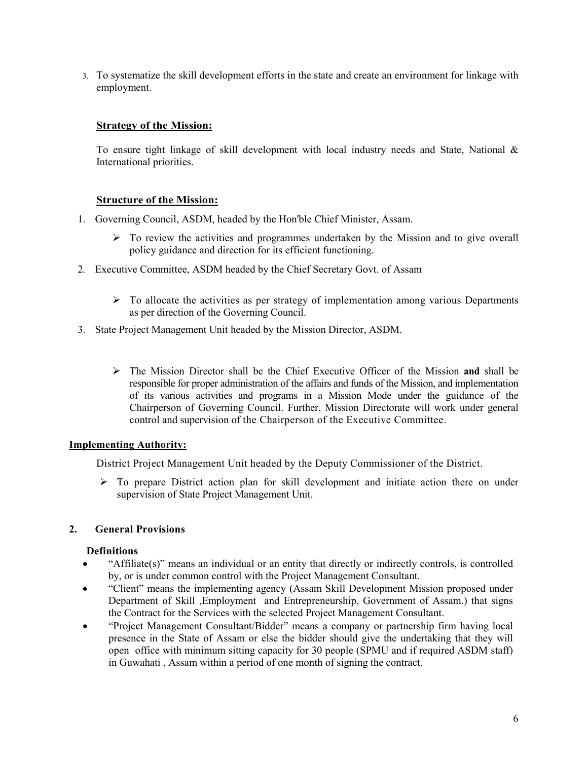3. To systematize the skill development efforts in the state and create an environment for linkage with employment.

## **Strategy of the Mission:**

To ensure tight linkage of skill development with local industry needs and State, National & International priorities.

## **Structure of the Mission:**

- 1. Governing Council, ASDM, headed by the Hon'ble Chief Minister, Assam.
	- $\triangleright$  To review the activities and programmes undertaken by the Mission and to give overall policy guidance and direction for its efficient functioning.
- 2. Executive Committee, ASDM headed by the Chief Secretary Govt. of Assam
	- $\triangleright$  To allocate the activities as per strategy of implementation among various Departments as per direction of the Governing Council.
- 3. State Project Management Unit headed by the Mission Director, ASDM.
	- The Mission Director shall be the Chief Executive Officer of the Mission **and** shall be responsible for proper administration of the affairs and funds of the Mission, and implementation of its various activities and programs in a Mission Mode under the guidance of the Chairperson of Governing Council. Further, Mission Directorate will work under general control and supervision of the Chairperson of the Executive Committee.

### **Implementing Authority:**

District Project Management Unit headed by the Deputy Commissioner of the District.

 $\triangleright$  To prepare District action plan for skill development and initiate action there on under supervision of State Project Management Unit.

## **2. General Provisions**

### **Definitions**

- "Affiliate(s)" means an individual or an entity that directly or indirectly controls, is controlled by, or is under common control with the Project Management Consultant.
- "Client" means the implementing agency (Assam Skill Development Mission proposed under Department of Skill ,Employment and Entrepreneurship, Government of Assam.) that signs the Contract for the Services with the selected Project Management Consultant.
- "Project Management Consultant/Bidder" means a company or partnership firm having local presence in the State of Assam or else the bidder should give the undertaking that they will open office with minimum sitting capacity for 30 people (SPMU and if required ASDM staff) in Guwahati , Assam within a period of one month of signing the contract.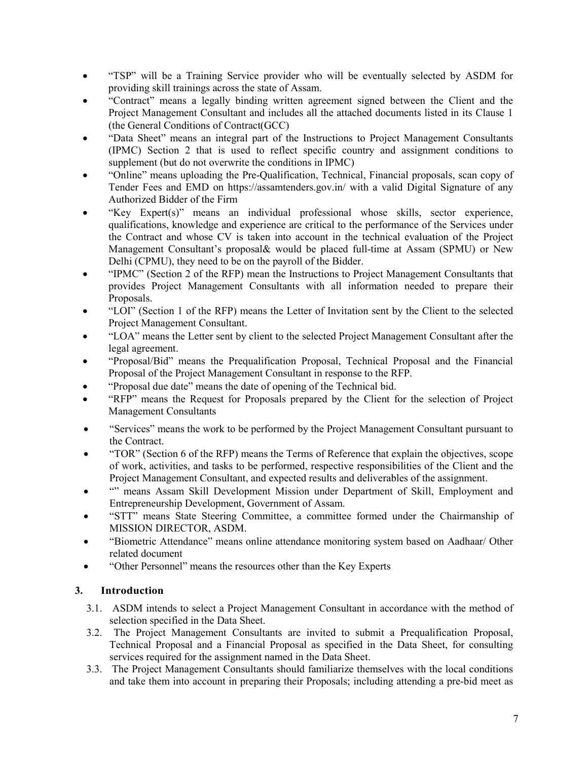- "TSP" will be a Training Service provider who will be eventually selected by ASDM for providing skill trainings across the state of Assam.
- "Contract" means a legally binding written agreement signed between the Client and the Project Management Consultant and includes all the attached documents listed in its Clause 1 (the General Conditions of Contract(GCC)
- "Data Sheet" means an integral part of the Instructions to Project Management Consultants (IPMC) Section 2 that is used to reflect specific country and assignment conditions to supplement (but do not overwrite the conditions in IPMC)
- "Online" means uploading the Pre-Qualification, Technical, Financial proposals, scan copy of Tender Fees and EMD on https://assamtenders.gov.in/ with a valid Digital Signature of any Authorized Bidder of the Firm
- "Key Expert(s)" means an individual professional whose skills, sector experience, qualifications, knowledge and experience are critical to the performance of the Services under the Contract and whose CV is taken into account in the technical evaluation of the Project Management Consultant's proposal& would be placed full-time at Assam (SPMU) or New Delhi (CPMU), they need to be on the payroll of the Bidder.
- "IPMC" (Section 2 of the RFP) mean the Instructions to Project Management Consultants that provides Project Management Consultants with all information needed to prepare their Proposals.
- "LOI" (Section 1 of the RFP) means the Letter of Invitation sent by the Client to the selected Project Management Consultant.
- "LOA" means the Letter sent by client to the selected Project Management Consultant after the legal agreement.
- "Proposal/Bid" means the Prequalification Proposal, Technical Proposal and the Financial Proposal of the Project Management Consultant in response to the RFP.
- "Proposal due date" means the date of opening of the Technical bid.
- "RFP" means the Request for Proposals prepared by the Client for the selection of Project Management Consultants
- "Services" means the work to be performed by the Project Management Consultant pursuant to the Contract.
- "TOR" (Section 6 of the RFP) means the Terms of Reference that explain the objectives, scope of work, activities, and tasks to be performed, respective responsibilities of the Client and the Project Management Consultant, and expected results and deliverables of the assignment.
- "" means Assam Skill Development Mission under Department of Skill, Employment and Entrepreneurship Development, Government of Assam.
- "STT" means State Steering Committee, a committee formed under the Chairmanship of MISSION DIRECTOR, ASDM.
- "Biometric Attendance" means online attendance monitoring system based on Aadhaar/ Other related document
- "Other Personnel" means the resources other than the Key Experts

## **3. Introduction**

- 3.1. ASDM intends to select a Project Management Consultant in accordance with the method of selection specified in the Data Sheet.
- 3.2. The Project Management Consultants are invited to submit a Prequalification Proposal, Technical Proposal and a Financial Proposal as specified in the Data Sheet, for consulting services required for the assignment named in the Data Sheet.
- 3.3. The Project Management Consultants should familiarize themselves with the local conditions and take them into account in preparing their Proposals; including attending a pre-bid meet as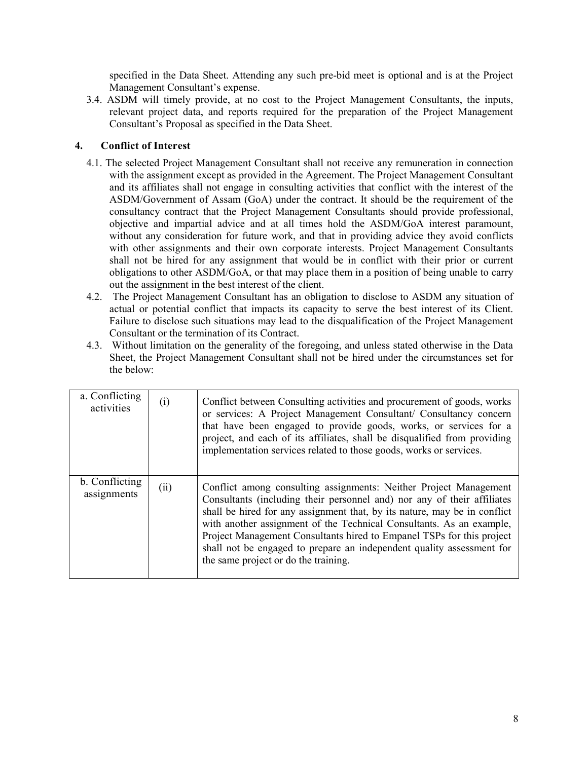specified in the Data Sheet. Attending any such pre-bid meet is optional and is at the Project Management Consultant's expense.

3.4. ASDM will timely provide, at no cost to the Project Management Consultants, the inputs, relevant project data, and reports required for the preparation of the Project Management Consultant's Proposal as specified in the Data Sheet.

## **4. Conflict of Interest**

- 4.1. The selected Project Management Consultant shall not receive any remuneration in connection with the assignment except as provided in the Agreement. The Project Management Consultant and its affiliates shall not engage in consulting activities that conflict with the interest of the ASDM/Government of Assam (GoA) under the contract. It should be the requirement of the consultancy contract that the Project Management Consultants should provide professional, objective and impartial advice and at all times hold the ASDM/GoA interest paramount, without any consideration for future work, and that in providing advice they avoid conflicts with other assignments and their own corporate interests. Project Management Consultants shall not be hired for any assignment that would be in conflict with their prior or current obligations to other ASDM/GoA, or that may place them in a position of being unable to carry out the assignment in the best interest of the client.
- 4.2. The Project Management Consultant has an obligation to disclose to ASDM any situation of actual or potential conflict that impacts its capacity to serve the best interest of its Client. Failure to disclose such situations may lead to the disqualification of the Project Management Consultant or the termination of its Contract.
- 4.3. Without limitation on the generality of the foregoing, and unless stated otherwise in the Data Sheet, the Project Management Consultant shall not be hired under the circumstances set for the below:

| a. Conflicting<br>activities  | (i)  | Conflict between Consulting activities and procurement of goods, works<br>or services: A Project Management Consultant/ Consultancy concern<br>that have been engaged to provide goods, works, or services for a<br>project, and each of its affiliates, shall be disqualified from providing<br>implementation services related to those goods, works or services.                                                                                                                         |
|-------------------------------|------|---------------------------------------------------------------------------------------------------------------------------------------------------------------------------------------------------------------------------------------------------------------------------------------------------------------------------------------------------------------------------------------------------------------------------------------------------------------------------------------------|
| b. Conflicting<br>assignments | (ii) | Conflict among consulting assignments: Neither Project Management<br>Consultants (including their personnel and) nor any of their affiliates<br>shall be hired for any assignment that, by its nature, may be in conflict<br>with another assignment of the Technical Consultants. As an example,<br>Project Management Consultants hired to Empanel TSPs for this project<br>shall not be engaged to prepare an independent quality assessment for<br>the same project or do the training. |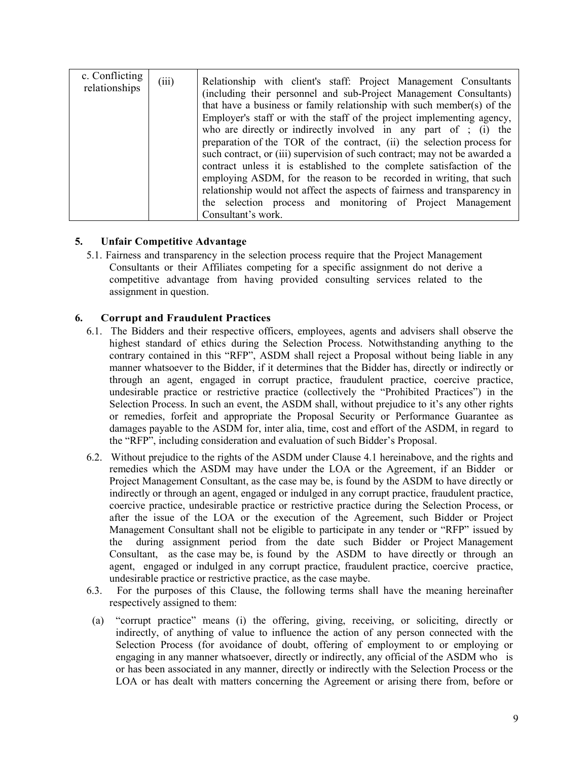| c. Conflicting<br>relationships | (iii) | Relationship with client's staff: Project Management Consultants<br>(including their personnel and sub-Project Management Consultants)<br>that have a business or family relationship with such member(s) of the<br>Employer's staff or with the staff of the project implementing agency,<br>who are directly or indirectly involved in any part of ; (i) the<br>preparation of the TOR of the contract, (ii) the selection process for<br>such contract, or (iii) supervision of such contract; may not be awarded a<br>contract unless it is established to the complete satisfaction of the<br>employing ASDM, for the reason to be recorded in writing, that such<br>relationship would not affect the aspects of fairness and transparency in<br>the selection process and monitoring of Project Management |
|---------------------------------|-------|-------------------------------------------------------------------------------------------------------------------------------------------------------------------------------------------------------------------------------------------------------------------------------------------------------------------------------------------------------------------------------------------------------------------------------------------------------------------------------------------------------------------------------------------------------------------------------------------------------------------------------------------------------------------------------------------------------------------------------------------------------------------------------------------------------------------|
|                                 |       | Consultant's work.                                                                                                                                                                                                                                                                                                                                                                                                                                                                                                                                                                                                                                                                                                                                                                                                |

## **5. Unfair Competitive Advantage**

5.1. Fairness and transparency in the selection process require that the Project Management Consultants or their Affiliates competing for a specific assignment do not derive a competitive advantage from having provided consulting services related to the assignment in question.

### **6. Corrupt and Fraudulent Practices**

- 6.1. The Bidders and their respective officers, employees, agents and advisers shall observe the highest standard of ethics during the Selection Process. Notwithstanding anything to the contrary contained in this "RFP", ASDM shall reject a Proposal without being liable in any manner whatsoever to the Bidder, if it determines that the Bidder has, directly or indirectly or through an agent, engaged in corrupt practice, fraudulent practice, coercive practice, undesirable practice or restrictive practice (collectively the "Prohibited Practices") in the Selection Process. In such an event, the ASDM shall, without prejudice to it's any other rights or remedies, forfeit and appropriate the Proposal Security or Performance Guarantee as damages payable to the ASDM for, inter alia, time, cost and effort of the ASDM, in regard to the "RFP", including consideration and evaluation of such Bidder's Proposal.
- 6.2. Without prejudice to the rights of the ASDM under Clause 4.1 hereinabove, and the rights and remedies which the ASDM may have under the LOA or the Agreement, if an Bidder or Project Management Consultant, as the case may be, is found by the ASDM to have directly or indirectly or through an agent, engaged or indulged in any corrupt practice, fraudulent practice, coercive practice, undesirable practice or restrictive practice during the Selection Process, or after the issue of the LOA or the execution of the Agreement, such Bidder or Project Management Consultant shall not be eligible to participate in any tender or "RFP" issued by the during assignment period from the date such Bidder or Project Management Consultant, as the case may be, is found by the ASDM to have directly or through an agent, engaged or indulged in any corrupt practice, fraudulent practice, coercive practice, undesirable practice or restrictive practice, as the case maybe.
- 6.3. For the purposes of this Clause, the following terms shall have the meaning hereinafter respectively assigned to them:
- (a) "corrupt practice" means (i) the offering, giving, receiving, or soliciting, directly or indirectly, of anything of value to influence the action of any person connected with the Selection Process (for avoidance of doubt, offering of employment to or employing or engaging in any manner whatsoever, directly or indirectly, any official of the ASDM who is or has been associated in any manner, directly or indirectly with the Selection Process or the LOA or has dealt with matters concerning the Agreement or arising there from, before or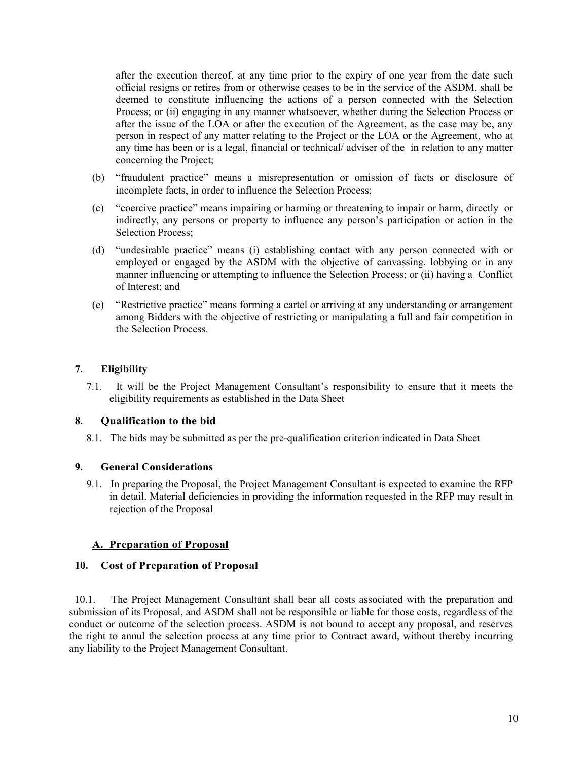after the execution thereof, at any time prior to the expiry of one year from the date such official resigns or retires from or otherwise ceases to be in the service of the ASDM, shall be deemed to constitute influencing the actions of a person connected with the Selection Process; or (ii) engaging in any manner whatsoever, whether during the Selection Process or after the issue of the LOA or after the execution of the Agreement, as the case may be, any person in respect of any matter relating to the Project or the LOA or the Agreement, who at any time has been or is a legal, financial or technical/ adviser of the in relation to any matter concerning the Project;

- (b) "fraudulent practice" means a misrepresentation or omission of facts or disclosure of incomplete facts, in order to influence the Selection Process;
- (c) "coercive practice" means impairing or harming or threatening to impair or harm, directly or indirectly, any persons or property to influence any person's participation or action in the Selection Process;
- (d) "undesirable practice" means (i) establishing contact with any person connected with or employed or engaged by the ASDM with the objective of canvassing, lobbying or in any manner influencing or attempting to influence the Selection Process; or (ii) having a Conflict of Interest; and
- (e) "Restrictive practice" means forming a cartel or arriving at any understanding or arrangement among Bidders with the objective of restricting or manipulating a full and fair competition in the Selection Process.

## **7. Eligibility**

7.1. It will be the Project Management Consultant's responsibility to ensure that it meets the eligibility requirements as established in the Data Sheet

## **8. Qualification to the bid**

8.1. The bids may be submitted as per the pre-qualification criterion indicated in Data Sheet

## **9. General Considerations**

9.1. In preparing the Proposal, the Project Management Consultant is expected to examine the RFP in detail. Material deficiencies in providing the information requested in the RFP may result in rejection of the Proposal

## **A. Preparation of Proposal**

### **10. Cost of Preparation of Proposal**

 10.1. The Project Management Consultant shall bear all costs associated with the preparation and submission of its Proposal, and ASDM shall not be responsible or liable for those costs, regardless of the conduct or outcome of the selection process. ASDM is not bound to accept any proposal, and reserves the right to annul the selection process at any time prior to Contract award, without thereby incurring any liability to the Project Management Consultant.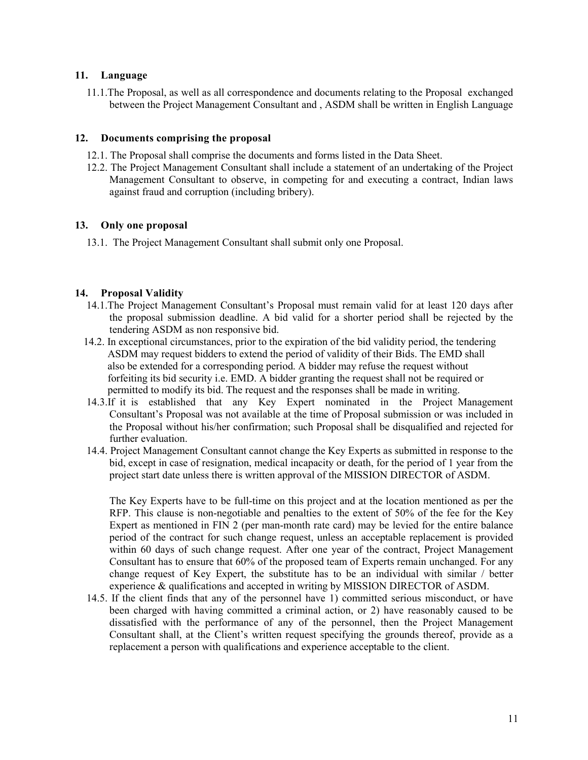### **11. Language**

11.1.The Proposal, as well as all correspondence and documents relating to the Proposal exchanged between the Project Management Consultant and , ASDM shall be written in English Language

### **12. Documents comprising the proposal**

- 12.1. The Proposal shall comprise the documents and forms listed in the Data Sheet.
- 12.2. The Project Management Consultant shall include a statement of an undertaking of the Project Management Consultant to observe, in competing for and executing a contract, Indian laws against fraud and corruption (including bribery).

## **13. Only one proposal**

13.1. The Project Management Consultant shall submit only one Proposal.

## **14. Proposal Validity**

- 14.1.The Project Management Consultant's Proposal must remain valid for at least 120 days after the proposal submission deadline. A bid valid for a shorter period shall be rejected by the tendering ASDM as non responsive bid.
- 14.2. In exceptional circumstances, prior to the expiration of the bid validity period, the tendering ASDM may request bidders to extend the period of validity of their Bids. The EMD shall also be extended for a corresponding period. A bidder may refuse the request without forfeiting its bid security i.e. EMD. A bidder granting the request shall not be required or permitted to modify its bid. The request and the responses shall be made in writing.
- 14.3.If it is established that any Key Expert nominated in the Project Management Consultant's Proposal was not available at the time of Proposal submission or was included in the Proposal without his/her confirmation; such Proposal shall be disqualified and rejected for further evaluation.
- 14.4. Project Management Consultant cannot change the Key Experts as submitted in response to the bid, except in case of resignation, medical incapacity or death, for the period of 1 year from the project start date unless there is written approval of the MISSION DIRECTOR of ASDM.

The Key Experts have to be full-time on this project and at the location mentioned as per the RFP. This clause is non-negotiable and penalties to the extent of 50% of the fee for the Key Expert as mentioned in FIN 2 (per man-month rate card) may be levied for the entire balance period of the contract for such change request, unless an acceptable replacement is provided within 60 days of such change request. After one year of the contract, Project Management Consultant has to ensure that 60% of the proposed team of Experts remain unchanged. For any change request of Key Expert, the substitute has to be an individual with similar / better experience & qualifications and accepted in writing by MISSION DIRECTOR of ASDM.

14.5. If the client finds that any of the personnel have 1) committed serious misconduct, or have been charged with having committed a criminal action, or 2) have reasonably caused to be dissatisfied with the performance of any of the personnel, then the Project Management Consultant shall, at the Client's written request specifying the grounds thereof, provide as a replacement a person with qualifications and experience acceptable to the client.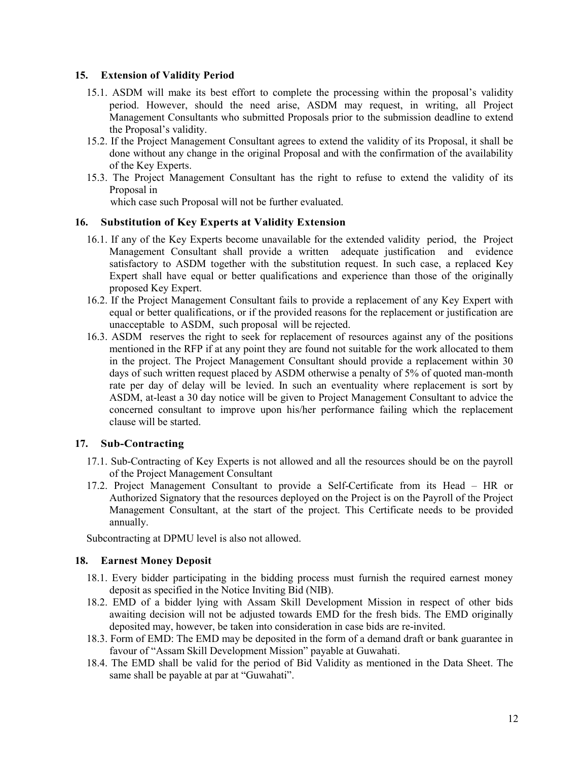### **15. Extension of Validity Period**

- 15.1. ASDM will make its best effort to complete the processing within the proposal's validity period. However, should the need arise, ASDM may request, in writing, all Project Management Consultants who submitted Proposals prior to the submission deadline to extend the Proposal's validity.
- 15.2. If the Project Management Consultant agrees to extend the validity of its Proposal, it shall be done without any change in the original Proposal and with the confirmation of the availability of the Key Experts.
- 15.3. The Project Management Consultant has the right to refuse to extend the validity of its Proposal in

which case such Proposal will not be further evaluated.

## **16. Substitution of Key Experts at Validity Extension**

- 16.1. If any of the Key Experts become unavailable for the extended validity period, the Project Management Consultant shall provide a written adequate justification and evidence satisfactory to ASDM together with the substitution request. In such case, a replaced Key Expert shall have equal or better qualifications and experience than those of the originally proposed Key Expert.
- 16.2. If the Project Management Consultant fails to provide a replacement of any Key Expert with equal or better qualifications, or if the provided reasons for the replacement or justification are unacceptable to ASDM, such proposal will be rejected.
- 16.3. ASDM reserves the right to seek for replacement of resources against any of the positions mentioned in the RFP if at any point they are found not suitable for the work allocated to them in the project. The Project Management Consultant should provide a replacement within 30 days of such written request placed by ASDM otherwise a penalty of 5% of quoted man-month rate per day of delay will be levied. In such an eventuality where replacement is sort by ASDM, at-least a 30 day notice will be given to Project Management Consultant to advice the concerned consultant to improve upon his/her performance failing which the replacement clause will be started.

### **17. Sub-Contracting**

- 17.1. Sub-Contracting of Key Experts is not allowed and all the resources should be on the payroll of the Project Management Consultant
- 17.2. Project Management Consultant to provide a Self-Certificate from its Head HR or Authorized Signatory that the resources deployed on the Project is on the Payroll of the Project Management Consultant, at the start of the project. This Certificate needs to be provided annually.

Subcontracting at DPMU level is also not allowed.

### **18. Earnest Money Deposit**

- 18.1. Every bidder participating in the bidding process must furnish the required earnest money deposit as specified in the Notice Inviting Bid (NIB).
- 18.2. EMD of a bidder lying with Assam Skill Development Mission in respect of other bids awaiting decision will not be adjusted towards EMD for the fresh bids. The EMD originally deposited may, however, be taken into consideration in case bids are re-invited.
- 18.3. Form of EMD: The EMD may be deposited in the form of a demand draft or bank guarantee in favour of "Assam Skill Development Mission" payable at Guwahati.
- 18.4. The EMD shall be valid for the period of Bid Validity as mentioned in the Data Sheet. The same shall be payable at par at "Guwahati".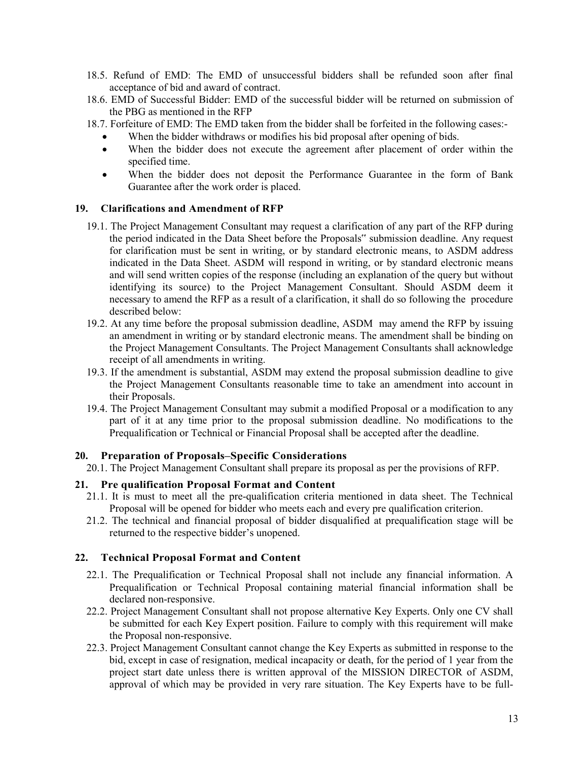- 18.5. Refund of EMD: The EMD of unsuccessful bidders shall be refunded soon after final acceptance of bid and award of contract.
- 18.6. EMD of Successful Bidder: EMD of the successful bidder will be returned on submission of the PBG as mentioned in the RFP
- 18.7. Forfeiture of EMD: The EMD taken from the bidder shall be forfeited in the following cases:-
	- When the bidder withdraws or modifies his bid proposal after opening of bids.
	- When the bidder does not execute the agreement after placement of order within the specified time.
	- When the bidder does not deposit the Performance Guarantee in the form of Bank Guarantee after the work order is placed.

### **19. Clarifications and Amendment of RFP**

- 19.1. The Project Management Consultant may request a clarification of any part of the RFP during the period indicated in the Data Sheet before the Proposals" submission deadline. Any request for clarification must be sent in writing, or by standard electronic means, to ASDM address indicated in the Data Sheet. ASDM will respond in writing, or by standard electronic means and will send written copies of the response (including an explanation of the query but without identifying its source) to the Project Management Consultant. Should ASDM deem it necessary to amend the RFP as a result of a clarification, it shall do so following the procedure described below:
- 19.2. At any time before the proposal submission deadline, ASDM may amend the RFP by issuing an amendment in writing or by standard electronic means. The amendment shall be binding on the Project Management Consultants. The Project Management Consultants shall acknowledge receipt of all amendments in writing.
- 19.3. If the amendment is substantial, ASDM may extend the proposal submission deadline to give the Project Management Consultants reasonable time to take an amendment into account in their Proposals.
- 19.4. The Project Management Consultant may submit a modified Proposal or a modification to any part of it at any time prior to the proposal submission deadline. No modifications to the Prequalification or Technical or Financial Proposal shall be accepted after the deadline.

#### **20. Preparation of Proposals–Specific Considerations**

20.1. The Project Management Consultant shall prepare its proposal as per the provisions of RFP.

### **21. Pre qualification Proposal Format and Content**

- 21.1. It is must to meet all the pre-qualification criteria mentioned in data sheet. The Technical Proposal will be opened for bidder who meets each and every pre qualification criterion.
- 21.2. The technical and financial proposal of bidder disqualified at prequalification stage will be returned to the respective bidder's unopened.

### **22. Technical Proposal Format and Content**

- 22.1. The Prequalification or Technical Proposal shall not include any financial information. A Prequalification or Technical Proposal containing material financial information shall be declared non-responsive.
- 22.2. Project Management Consultant shall not propose alternative Key Experts. Only one CV shall be submitted for each Key Expert position. Failure to comply with this requirement will make the Proposal non-responsive.
- 22.3. Project Management Consultant cannot change the Key Experts as submitted in response to the bid, except in case of resignation, medical incapacity or death, for the period of 1 year from the project start date unless there is written approval of the MISSION DIRECTOR of ASDM, approval of which may be provided in very rare situation. The Key Experts have to be full-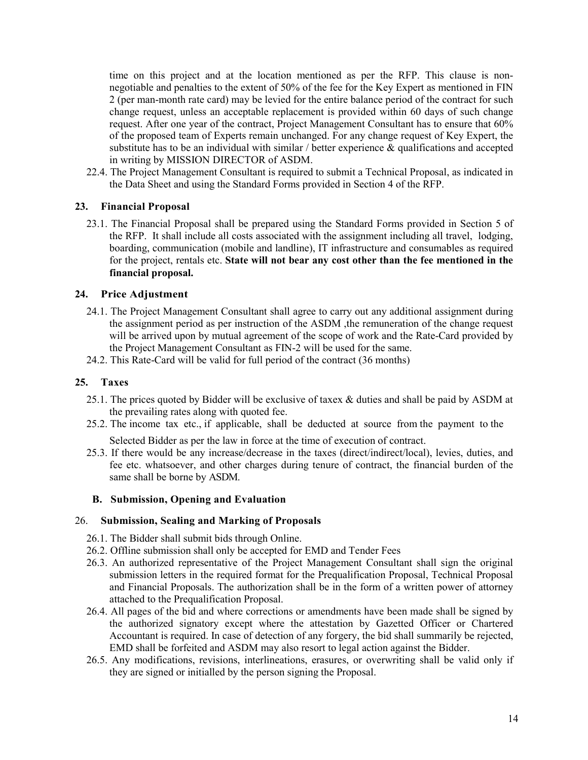time on this project and at the location mentioned as per the RFP. This clause is nonnegotiable and penalties to the extent of 50% of the fee for the Key Expert as mentioned in FIN 2 (per man-month rate card) may be levied for the entire balance period of the contract for such change request, unless an acceptable replacement is provided within 60 days of such change request. After one year of the contract, Project Management Consultant has to ensure that 60% of the proposed team of Experts remain unchanged. For any change request of Key Expert, the substitute has to be an individual with similar / better experience  $\&$  qualifications and accepted in writing by MISSION DIRECTOR of ASDM.

22.4. The Project Management Consultant is required to submit a Technical Proposal, as indicated in the Data Sheet and using the Standard Forms provided in Section 4 of the RFP.

### **23. Financial Proposal**

23.1. The Financial Proposal shall be prepared using the Standard Forms provided in Section 5 of the RFP. It shall include all costs associated with the assignment including all travel, lodging, boarding, communication (mobile and landline), IT infrastructure and consumables as required for the project, rentals etc. **State will not bear any cost other than the fee mentioned in the financial proposal.** 

### **24. Price Adjustment**

- 24.1. The Project Management Consultant shall agree to carry out any additional assignment during the assignment period as per instruction of the ASDM ,the remuneration of the change request will be arrived upon by mutual agreement of the scope of work and the Rate-Card provided by the Project Management Consultant as FIN-2 will be used for the same.
- 24.2. This Rate-Card will be valid for full period of the contract (36 months)

### **25. Taxes**

- 25.1. The prices quoted by Bidder will be exclusive of taxex & duties and shall be paid by ASDM at the prevailing rates along with quoted fee.
- 25.2. The income tax etc., if applicable, shall be deducted at source from the payment to the

Selected Bidder as per the law in force at the time of execution of contract.

25.3. If there would be any increase/decrease in the taxes (direct/indirect/local), levies, duties, and fee etc. whatsoever, and other charges during tenure of contract, the financial burden of the same shall be borne by ASDM.

### **B. Submission, Opening and Evaluation**

### 26. **Submission, Sealing and Marking of Proposals**

- 26.1. The Bidder shall submit bids through Online.
- 26.2. Offline submission shall only be accepted for EMD and Tender Fees
- 26.3. An authorized representative of the Project Management Consultant shall sign the original submission letters in the required format for the Prequalification Proposal, Technical Proposal and Financial Proposals. The authorization shall be in the form of a written power of attorney attached to the Prequalification Proposal.
- 26.4. All pages of the bid and where corrections or amendments have been made shall be signed by the authorized signatory except where the attestation by Gazetted Officer or Chartered Accountant is required. In case of detection of any forgery, the bid shall summarily be rejected, EMD shall be forfeited and ASDM may also resort to legal action against the Bidder.
- 26.5. Any modifications, revisions, interlineations, erasures, or overwriting shall be valid only if they are signed or initialled by the person signing the Proposal.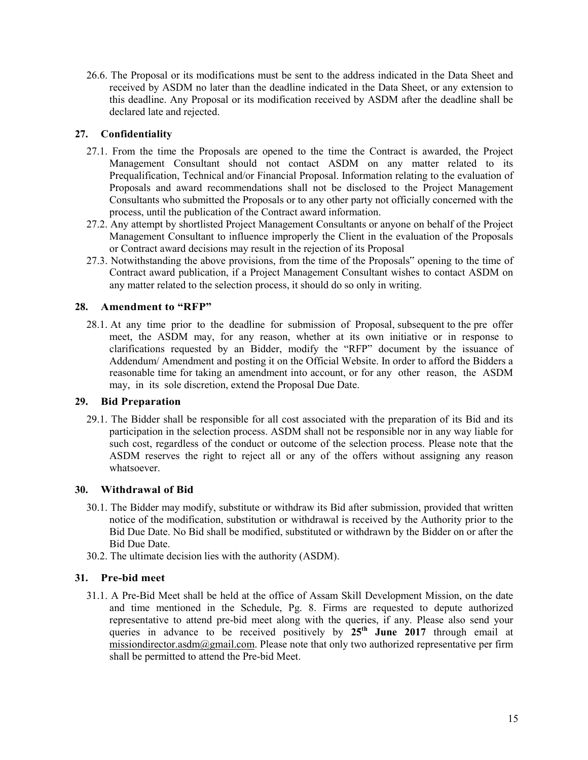26.6. The Proposal or its modifications must be sent to the address indicated in the Data Sheet and received by ASDM no later than the deadline indicated in the Data Sheet, or any extension to this deadline. Any Proposal or its modification received by ASDM after the deadline shall be declared late and rejected.

## **27. Confidentiality**

- 27.1. From the time the Proposals are opened to the time the Contract is awarded, the Project Management Consultant should not contact ASDM on any matter related to its Prequalification, Technical and/or Financial Proposal. Information relating to the evaluation of Proposals and award recommendations shall not be disclosed to the Project Management Consultants who submitted the Proposals or to any other party not officially concerned with the process, until the publication of the Contract award information.
- 27.2. Any attempt by shortlisted Project Management Consultants or anyone on behalf of the Project Management Consultant to influence improperly the Client in the evaluation of the Proposals or Contract award decisions may result in the rejection of its Proposal
- 27.3. Notwithstanding the above provisions, from the time of the Proposals" opening to the time of Contract award publication, if a Project Management Consultant wishes to contact ASDM on any matter related to the selection process, it should do so only in writing.

## **28. Amendment to "RFP"**

28.1. At any time prior to the deadline for submission of Proposal, subsequent to the pre offer meet, the ASDM may, for any reason, whether at its own initiative or in response to clarifications requested by an Bidder, modify the "RFP" document by the issuance of Addendum/ Amendment and posting it on the Official Website. In order to afford the Bidders a reasonable time for taking an amendment into account, or for any other reason, the ASDM may, in its sole discretion, extend the Proposal Due Date.

### **29. Bid Preparation**

29.1. The Bidder shall be responsible for all cost associated with the preparation of its Bid and its participation in the selection process. ASDM shall not be responsible nor in any way liable for such cost, regardless of the conduct or outcome of the selection process. Please note that the ASDM reserves the right to reject all or any of the offers without assigning any reason whatsoever.

## **30. Withdrawal of Bid**

- 30.1. The Bidder may modify, substitute or withdraw its Bid after submission, provided that written notice of the modification, substitution or withdrawal is received by the Authority prior to the Bid Due Date. No Bid shall be modified, substituted or withdrawn by the Bidder on or after the Bid Due Date.
- 30.2. The ultimate decision lies with the authority (ASDM).

## **31. Pre-bid meet**

31.1. A Pre-Bid Meet shall be held at the office of Assam Skill Development Mission, on the date and time mentioned in the Schedule, Pg. 8. Firms are requested to depute authorized representative to attend pre-bid meet along with the queries, if any. Please also send your queries in advance to be received positively by **25th June 2017** through email at missiondirector.asdm@gmail.com. Please note that only two authorized representative per firm shall be permitted to attend the Pre-bid Meet.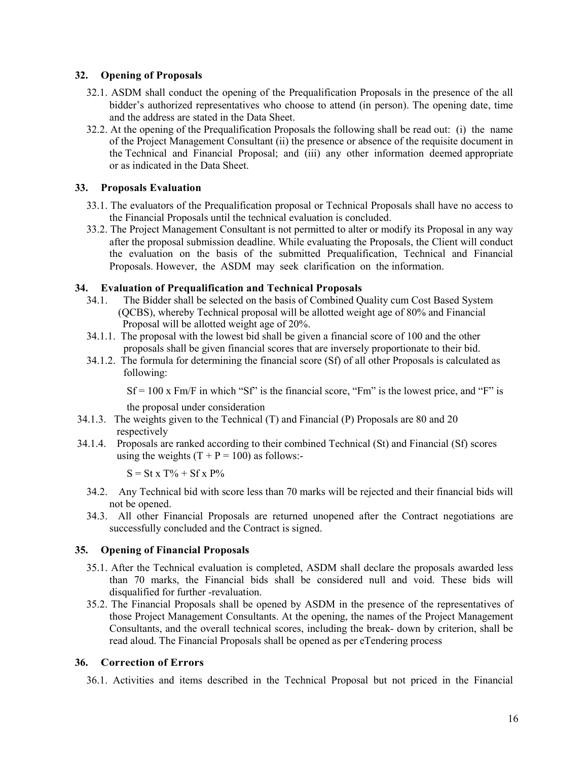## **32. Opening of Proposals**

- 32.1. ASDM shall conduct the opening of the Prequalification Proposals in the presence of the all bidder's authorized representatives who choose to attend (in person). The opening date, time and the address are stated in the Data Sheet.
- 32.2. At the opening of the Prequalification Proposals the following shall be read out: (i) the name of the Project Management Consultant (ii) the presence or absence of the requisite document in the Technical and Financial Proposal; and (iii) any other information deemed appropriate or as indicated in the Data Sheet.

## **33. Proposals Evaluation**

- 33.1. The evaluators of the Prequalification proposal or Technical Proposals shall have no access to the Financial Proposals until the technical evaluation is concluded.
- 33.2. The Project Management Consultant is not permitted to alter or modify its Proposal in any way after the proposal submission deadline. While evaluating the Proposals, the Client will conduct the evaluation on the basis of the submitted Prequalification, Technical and Financial Proposals. However, the ASDM may seek clarification on the information.

## **34. Evaluation of Prequalification and Technical Proposals**

- 34.1. The Bidder shall be selected on the basis of Combined Quality cum Cost Based System (QCBS), whereby Technical proposal will be allotted weight age of 80% and Financial Proposal will be allotted weight age of 20%.
- 34.1.1. The proposal with the lowest bid shall be given a financial score of 100 and the other proposals shall be given financial scores that are inversely proportionate to their bid.
- 34.1.2. The formula for determining the financial score (Sf) of all other Proposals is calculated as following:

 $Sf = 100$  x Fm/F in which "Sf" is the financial score, "Fm" is the lowest price, and "F" is

the proposal under consideration

- 34.1.3. The weights given to the Technical (T) and Financial (P) Proposals are 80 and 20 respectively
- 34.1.4. Proposals are ranked according to their combined Technical (St) and Financial (Sf) scores using the weights  $(T + P = 100)$  as follows:-

 $S = St x T\% + Sf x P\%$ 

- 34.2. Any Technical bid with score less than 70 marks will be rejected and their financial bids will not be opened.
- 34.3. All other Financial Proposals are returned unopened after the Contract negotiations are successfully concluded and the Contract is signed.

### **35. Opening of Financial Proposals**

- 35.1. After the Technical evaluation is completed, ASDM shall declare the proposals awarded less than 70 marks, the Financial bids shall be considered null and void. These bids will disqualified for further -revaluation.
- 35.2. The Financial Proposals shall be opened by ASDM in the presence of the representatives of those Project Management Consultants. At the opening, the names of the Project Management Consultants, and the overall technical scores, including the break- down by criterion, shall be read aloud. The Financial Proposals shall be opened as per eTendering process

### **36. Correction of Errors**

36.1. Activities and items described in the Technical Proposal but not priced in the Financial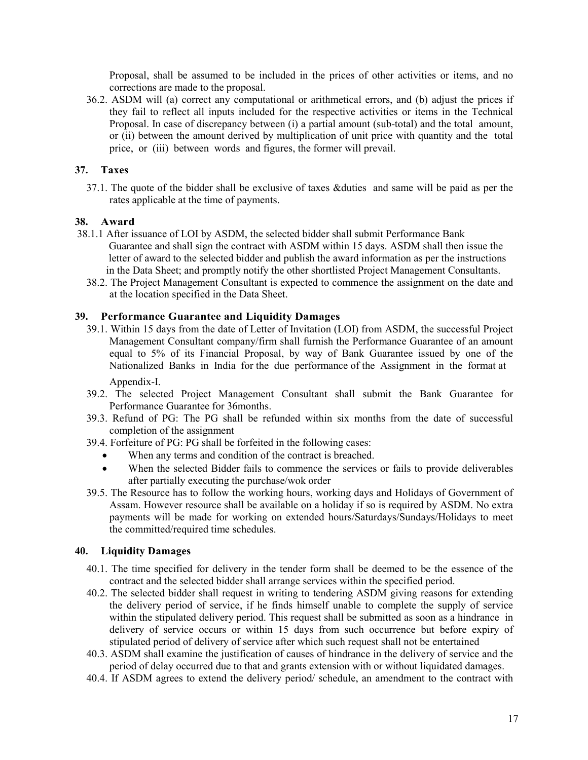Proposal, shall be assumed to be included in the prices of other activities or items, and no corrections are made to the proposal.

36.2. ASDM will (a) correct any computational or arithmetical errors, and (b) adjust the prices if they fail to reflect all inputs included for the respective activities or items in the Technical Proposal. In case of discrepancy between (i) a partial amount (sub-total) and the total amount, or (ii) between the amount derived by multiplication of unit price with quantity and the total price, or (iii) between words and figures, the former will prevail.

## **37. Taxes**

37.1. The quote of the bidder shall be exclusive of taxes &duties and same will be paid as per the rates applicable at the time of payments.

## **38. Award**

- 38.1.1 After issuance of LOI by ASDM, the selected bidder shall submit Performance Bank Guarantee and shall sign the contract with ASDM within 15 days. ASDM shall then issue the letter of award to the selected bidder and publish the award information as per the instructions in the Data Sheet; and promptly notify the other shortlisted Project Management Consultants.
	- 38.2. The Project Management Consultant is expected to commence the assignment on the date and at the location specified in the Data Sheet.

## **39. Performance Guarantee and Liquidity Damages**

- 39.1. Within 15 days from the date of Letter of Invitation (LOI) from ASDM, the successful Project Management Consultant company/firm shall furnish the Performance Guarantee of an amount equal to 5% of its Financial Proposal, by way of Bank Guarantee issued by one of the Nationalized Banks in India for the due performance of the Assignment in the format at Appendix-I.
- 39.2. The selected Project Management Consultant shall submit the Bank Guarantee for Performance Guarantee for 36months.
- 39.3. Refund of PG: The PG shall be refunded within six months from the date of successful completion of the assignment
- 39.4. Forfeiture of PG: PG shall be forfeited in the following cases:
	- When any terms and condition of the contract is breached.
	- When the selected Bidder fails to commence the services or fails to provide deliverables after partially executing the purchase/wok order
- 39.5. The Resource has to follow the working hours, working days and Holidays of Government of Assam. However resource shall be available on a holiday if so is required by ASDM. No extra payments will be made for working on extended hours/Saturdays/Sundays/Holidays to meet the committed/required time schedules.

### **40. Liquidity Damages**

- 40.1. The time specified for delivery in the tender form shall be deemed to be the essence of the contract and the selected bidder shall arrange services within the specified period.
- 40.2. The selected bidder shall request in writing to tendering ASDM giving reasons for extending the delivery period of service, if he finds himself unable to complete the supply of service within the stipulated delivery period. This request shall be submitted as soon as a hindrance in delivery of service occurs or within 15 days from such occurrence but before expiry of stipulated period of delivery of service after which such request shall not be entertained
- 40.3. ASDM shall examine the justification of causes of hindrance in the delivery of service and the period of delay occurred due to that and grants extension with or without liquidated damages.
- 40.4. If ASDM agrees to extend the delivery period/ schedule, an amendment to the contract with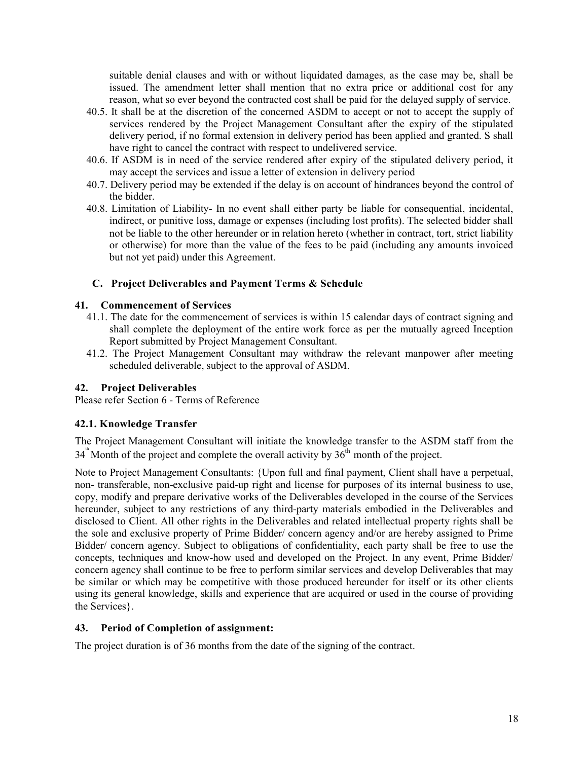suitable denial clauses and with or without liquidated damages, as the case may be, shall be issued. The amendment letter shall mention that no extra price or additional cost for any reason, what so ever beyond the contracted cost shall be paid for the delayed supply of service.

- 40.5. It shall be at the discretion of the concerned ASDM to accept or not to accept the supply of services rendered by the Project Management Consultant after the expiry of the stipulated delivery period, if no formal extension in delivery period has been applied and granted. S shall have right to cancel the contract with respect to undelivered service.
- 40.6. If ASDM is in need of the service rendered after expiry of the stipulated delivery period, it may accept the services and issue a letter of extension in delivery period
- 40.7. Delivery period may be extended if the delay is on account of hindrances beyond the control of the bidder.
- 40.8. Limitation of Liability- In no event shall either party be liable for consequential, incidental, indirect, or punitive loss, damage or expenses (including lost profits). The selected bidder shall not be liable to the other hereunder or in relation hereto (whether in contract, tort, strict liability or otherwise) for more than the value of the fees to be paid (including any amounts invoiced but not yet paid) under this Agreement.

### **C. Project Deliverables and Payment Terms & Schedule**

### **41. Commencement of Services**

- 41.1. The date for the commencement of services is within 15 calendar days of contract signing and shall complete the deployment of the entire work force as per the mutually agreed Inception Report submitted by Project Management Consultant.
- 41.2. The Project Management Consultant may withdraw the relevant manpower after meeting scheduled deliverable, subject to the approval of ASDM.

### **42. Project Deliverables**

Please refer Section 6 - Terms of Reference

### **42.1. Knowledge Transfer**

The Project Management Consultant will initiate the knowledge transfer to the ASDM staff from the  $34^{\text{th}}$  Month of the project and complete the overall activity by  $36^{\text{th}}$  month of the project.

Note to Project Management Consultants: {Upon full and final payment, Client shall have a perpetual, non- transferable, non-exclusive paid-up right and license for purposes of its internal business to use, copy, modify and prepare derivative works of the Deliverables developed in the course of the Services hereunder, subject to any restrictions of any third-party materials embodied in the Deliverables and disclosed to Client. All other rights in the Deliverables and related intellectual property rights shall be the sole and exclusive property of Prime Bidder/ concern agency and/or are hereby assigned to Prime Bidder/ concern agency. Subject to obligations of confidentiality, each party shall be free to use the concepts, techniques and know-how used and developed on the Project. In any event, Prime Bidder/ concern agency shall continue to be free to perform similar services and develop Deliverables that may be similar or which may be competitive with those produced hereunder for itself or its other clients using its general knowledge, skills and experience that are acquired or used in the course of providing the Services}.

### **43. Period of Completion of assignment:**

The project duration is of 36 months from the date of the signing of the contract.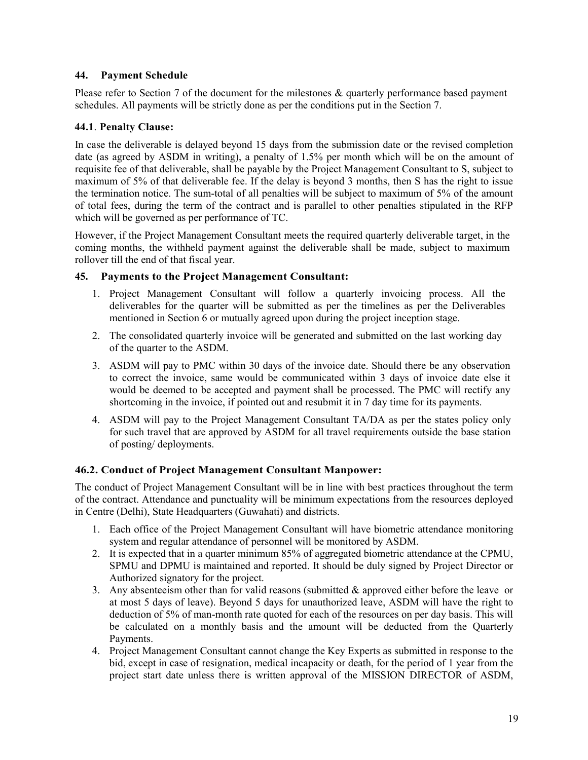## **44. Payment Schedule**

Please refer to Section 7 of the document for the milestones & quarterly performance based payment schedules. All payments will be strictly done as per the conditions put in the Section 7.

## **44.1**. **Penalty Clause:**

In case the deliverable is delayed beyond 15 days from the submission date or the revised completion date (as agreed by ASDM in writing), a penalty of 1.5% per month which will be on the amount of requisite fee of that deliverable, shall be payable by the Project Management Consultant to S, subject to maximum of 5% of that deliverable fee. If the delay is beyond 3 months, then S has the right to issue the termination notice. The sum-total of all penalties will be subject to maximum of 5% of the amount of total fees, during the term of the contract and is parallel to other penalties stipulated in the RFP which will be governed as per performance of TC.

However, if the Project Management Consultant meets the required quarterly deliverable target, in the coming months, the withheld payment against the deliverable shall be made, subject to maximum rollover till the end of that fiscal year.

## **45. Payments to the Project Management Consultant:**

- 1. Project Management Consultant will follow a quarterly invoicing process. All the deliverables for the quarter will be submitted as per the timelines as per the Deliverables mentioned in Section 6 or mutually agreed upon during the project inception stage.
- 2. The consolidated quarterly invoice will be generated and submitted on the last working day of the quarter to the ASDM.
- 3. ASDM will pay to PMC within 30 days of the invoice date. Should there be any observation to correct the invoice, same would be communicated within 3 days of invoice date else it would be deemed to be accepted and payment shall be processed. The PMC will rectify any shortcoming in the invoice, if pointed out and resubmit it in 7 day time for its payments.
- 4. ASDM will pay to the Project Management Consultant TA/DA as per the states policy only for such travel that are approved by ASDM for all travel requirements outside the base station of posting/ deployments.

## **46.2. Conduct of Project Management Consultant Manpower:**

The conduct of Project Management Consultant will be in line with best practices throughout the term of the contract. Attendance and punctuality will be minimum expectations from the resources deployed in Centre (Delhi), State Headquarters (Guwahati) and districts.

- 1. Each office of the Project Management Consultant will have biometric attendance monitoring system and regular attendance of personnel will be monitored by ASDM.
- 2. It is expected that in a quarter minimum 85% of aggregated biometric attendance at the CPMU, SPMU and DPMU is maintained and reported. It should be duly signed by Project Director or Authorized signatory for the project.
- 3. Any absenteeism other than for valid reasons (submitted  $\&$  approved either before the leave or at most 5 days of leave). Beyond 5 days for unauthorized leave, ASDM will have the right to deduction of 5% of man-month rate quoted for each of the resources on per day basis. This will be calculated on a monthly basis and the amount will be deducted from the Quarterly Payments.
- 4. Project Management Consultant cannot change the Key Experts as submitted in response to the bid, except in case of resignation, medical incapacity or death, for the period of 1 year from the project start date unless there is written approval of the MISSION DIRECTOR of ASDM,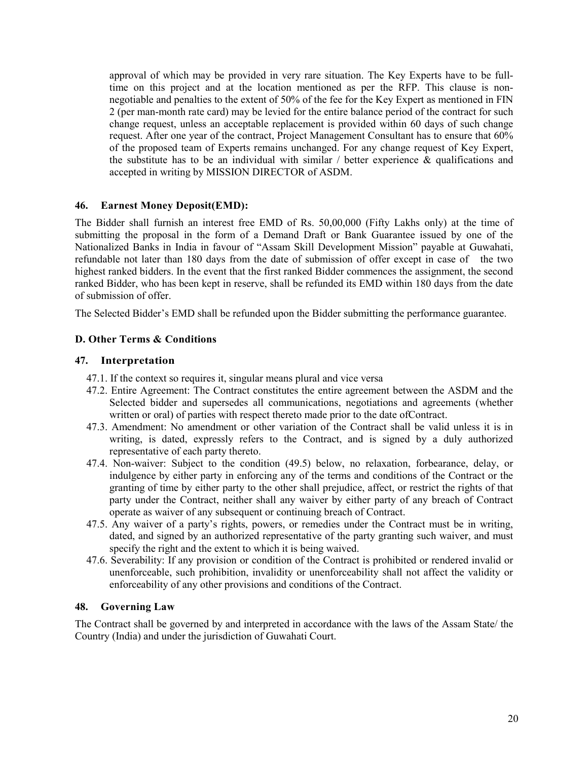approval of which may be provided in very rare situation. The Key Experts have to be fulltime on this project and at the location mentioned as per the RFP. This clause is nonnegotiable and penalties to the extent of 50% of the fee for the Key Expert as mentioned in FIN 2 (per man-month rate card) may be levied for the entire balance period of the contract for such change request, unless an acceptable replacement is provided within 60 days of such change request. After one year of the contract, Project Management Consultant has to ensure that 60% of the proposed team of Experts remains unchanged. For any change request of Key Expert, the substitute has to be an individual with similar  $/$  better experience  $\&$  qualifications and accepted in writing by MISSION DIRECTOR of ASDM.

## **46. Earnest Money Deposit(EMD):**

The Bidder shall furnish an interest free EMD of Rs. 50,00,000 (Fifty Lakhs only) at the time of submitting the proposal in the form of a Demand Draft or Bank Guarantee issued by one of the Nationalized Banks in India in favour of "Assam Skill Development Mission" payable at Guwahati, refundable not later than 180 days from the date of submission of offer except in case of the two highest ranked bidders. In the event that the first ranked Bidder commences the assignment, the second ranked Bidder, who has been kept in reserve, shall be refunded its EMD within 180 days from the date of submission of offer.

The Selected Bidder's EMD shall be refunded upon the Bidder submitting the performance guarantee.

## **D. Other Terms & Conditions**

## **47. Interpretation**

- 47.1. If the context so requires it, singular means plural and vice versa
- 47.2. Entire Agreement: The Contract constitutes the entire agreement between the ASDM and the Selected bidder and supersedes all communications, negotiations and agreements (whether written or oral) of parties with respect thereto made prior to the date ofContract.
- 47.3. Amendment: No amendment or other variation of the Contract shall be valid unless it is in writing, is dated, expressly refers to the Contract, and is signed by a duly authorized representative of each party thereto.
- 47.4. Non-waiver: Subject to the condition (49.5) below, no relaxation, forbearance, delay, or indulgence by either party in enforcing any of the terms and conditions of the Contract or the granting of time by either party to the other shall prejudice, affect, or restrict the rights of that party under the Contract, neither shall any waiver by either party of any breach of Contract operate as waiver of any subsequent or continuing breach of Contract.
- 47.5. Any waiver of a party's rights, powers, or remedies under the Contract must be in writing, dated, and signed by an authorized representative of the party granting such waiver, and must specify the right and the extent to which it is being waived.
- 47.6. Severability: If any provision or condition of the Contract is prohibited or rendered invalid or unenforceable, such prohibition, invalidity or unenforceability shall not affect the validity or enforceability of any other provisions and conditions of the Contract.

## **48. Governing Law**

The Contract shall be governed by and interpreted in accordance with the laws of the Assam State/ the Country (India) and under the jurisdiction of Guwahati Court.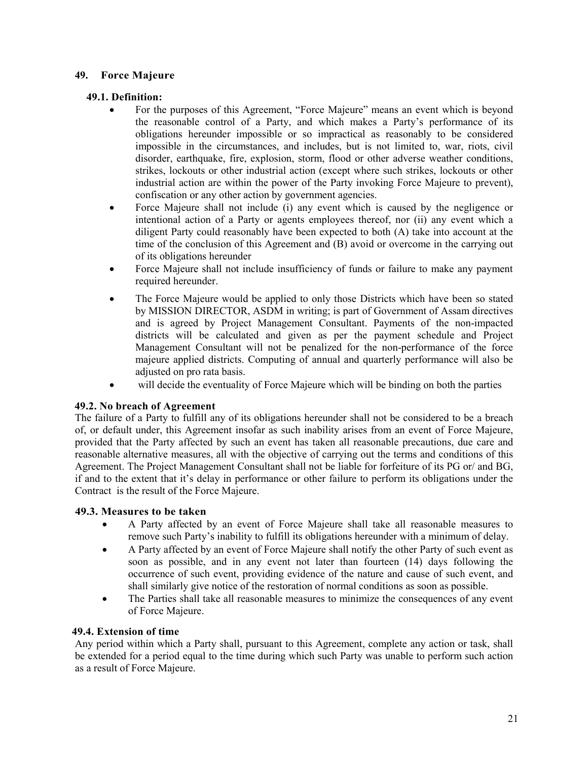## **49. Force Majeure**

## **49.1. Definition:**

- For the purposes of this Agreement, "Force Majeure" means an event which is beyond the reasonable control of a Party, and which makes a Party's performance of its obligations hereunder impossible or so impractical as reasonably to be considered impossible in the circumstances, and includes, but is not limited to, war, riots, civil disorder, earthquake, fire, explosion, storm, flood or other adverse weather conditions, strikes, lockouts or other industrial action (except where such strikes, lockouts or other industrial action are within the power of the Party invoking Force Majeure to prevent), confiscation or any other action by government agencies.
- Force Majeure shall not include (i) any event which is caused by the negligence or intentional action of a Party or agents employees thereof, nor (ii) any event which a diligent Party could reasonably have been expected to both (A) take into account at the time of the conclusion of this Agreement and (B) avoid or overcome in the carrying out of its obligations hereunder
- Force Majeure shall not include insufficiency of funds or failure to make any payment required hereunder.
- The Force Majeure would be applied to only those Districts which have been so stated by MISSION DIRECTOR, ASDM in writing; is part of Government of Assam directives and is agreed by Project Management Consultant. Payments of the non-impacted districts will be calculated and given as per the payment schedule and Project Management Consultant will not be penalized for the non-performance of the force majeure applied districts. Computing of annual and quarterly performance will also be adjusted on pro rata basis.
- will decide the eventuality of Force Majeure which will be binding on both the parties

## **49.2. No breach of Agreement**

The failure of a Party to fulfill any of its obligations hereunder shall not be considered to be a breach of, or default under, this Agreement insofar as such inability arises from an event of Force Majeure, provided that the Party affected by such an event has taken all reasonable precautions, due care and reasonable alternative measures, all with the objective of carrying out the terms and conditions of this Agreement. The Project Management Consultant shall not be liable for forfeiture of its PG or/ and BG, if and to the extent that it's delay in performance or other failure to perform its obligations under the Contract is the result of the Force Majeure.

## **49.3. Measures to be taken**

- A Party affected by an event of Force Majeure shall take all reasonable measures to remove such Party's inability to fulfill its obligations hereunder with a minimum of delay.
- A Party affected by an event of Force Majeure shall notify the other Party of such event as soon as possible, and in any event not later than fourteen (14) days following the occurrence of such event, providing evidence of the nature and cause of such event, and shall similarly give notice of the restoration of normal conditions as soon as possible.
- The Parties shall take all reasonable measures to minimize the consequences of any event of Force Majeure.

### **49.4. Extension of time**

Any period within which a Party shall, pursuant to this Agreement, complete any action or task, shall be extended for a period equal to the time during which such Party was unable to perform such action as a result of Force Majeure.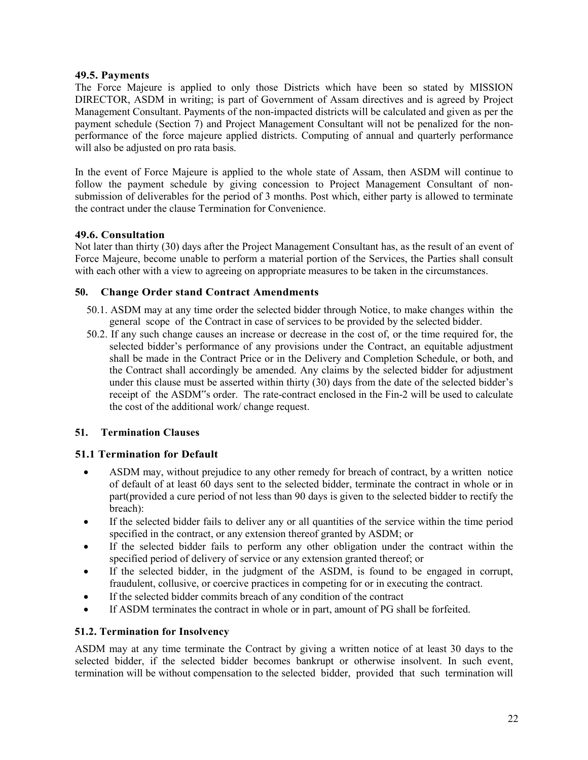## **49.5. Payments**

The Force Majeure is applied to only those Districts which have been so stated by MISSION DIRECTOR, ASDM in writing; is part of Government of Assam directives and is agreed by Project Management Consultant. Payments of the non-impacted districts will be calculated and given as per the payment schedule (Section 7) and Project Management Consultant will not be penalized for the nonperformance of the force majeure applied districts. Computing of annual and quarterly performance will also be adjusted on pro rata basis.

In the event of Force Majeure is applied to the whole state of Assam, then ASDM will continue to follow the payment schedule by giving concession to Project Management Consultant of nonsubmission of deliverables for the period of 3 months. Post which, either party is allowed to terminate the contract under the clause Termination for Convenience.

## **49.6. Consultation**

Not later than thirty (30) days after the Project Management Consultant has, as the result of an event of Force Majeure, become unable to perform a material portion of the Services, the Parties shall consult with each other with a view to agreeing on appropriate measures to be taken in the circumstances.

## **50. Change Order stand Contract Amendments**

- 50.1. ASDM may at any time order the selected bidder through Notice, to make changes within the general scope of the Contract in case of services to be provided by the selected bidder.
- 50.2. If any such change causes an increase or decrease in the cost of, or the time required for, the selected bidder's performance of any provisions under the Contract, an equitable adjustment shall be made in the Contract Price or in the Delivery and Completion Schedule, or both, and the Contract shall accordingly be amended. Any claims by the selected bidder for adjustment under this clause must be asserted within thirty (30) days from the date of the selected bidder's receipt of the ASDM"s order. The rate-contract enclosed in the Fin-2 will be used to calculate the cost of the additional work/ change request.

## **51. Termination Clauses**

## **51.1 Termination for Default**

- ASDM may, without prejudice to any other remedy for breach of contract, by a written notice of default of at least 60 days sent to the selected bidder, terminate the contract in whole or in part(provided a cure period of not less than 90 days is given to the selected bidder to rectify the breach):
- If the selected bidder fails to deliver any or all quantities of the service within the time period specified in the contract, or any extension thereof granted by ASDM; or
- If the selected bidder fails to perform any other obligation under the contract within the specified period of delivery of service or any extension granted thereof; or
- If the selected bidder, in the judgment of the ASDM, is found to be engaged in corrupt, fraudulent, collusive, or coercive practices in competing for or in executing the contract.
- If the selected bidder commits breach of any condition of the contract
- If ASDM terminates the contract in whole or in part, amount of PG shall be forfeited.

## **51.2. Termination for Insolvency**

ASDM may at any time terminate the Contract by giving a written notice of at least 30 days to the selected bidder, if the selected bidder becomes bankrupt or otherwise insolvent. In such event, termination will be without compensation to the selected bidder, provided that such termination will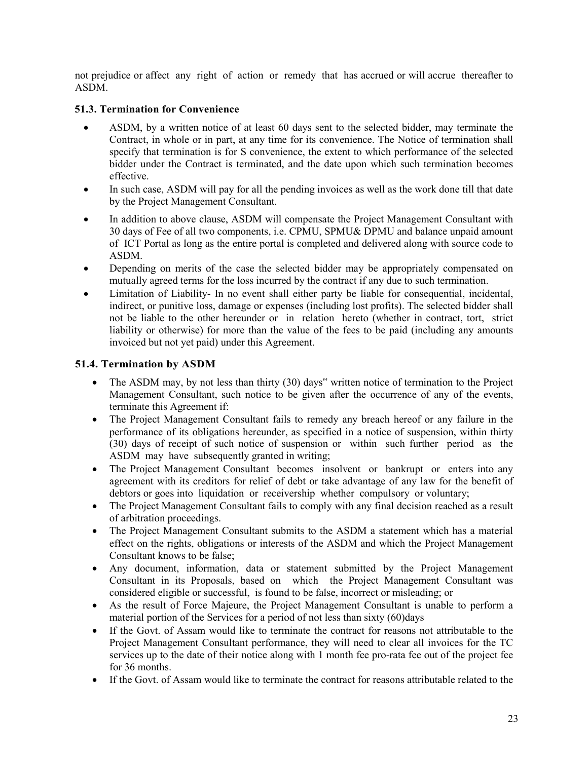not prejudice or affect any right of action or remedy that has accrued or will accrue thereafter to ASDM.

## **51.3. Termination for Convenience**

- ASDM, by a written notice of at least 60 days sent to the selected bidder, may terminate the Contract, in whole or in part, at any time for its convenience. The Notice of termination shall specify that termination is for S convenience, the extent to which performance of the selected bidder under the Contract is terminated, and the date upon which such termination becomes effective.
- In such case, ASDM will pay for all the pending invoices as well as the work done till that date by the Project Management Consultant.
- In addition to above clause, ASDM will compensate the Project Management Consultant with 30 days of Fee of all two components, i.e. CPMU, SPMU& DPMU and balance unpaid amount of ICT Portal as long as the entire portal is completed and delivered along with source code to ASDM.
- Depending on merits of the case the selected bidder may be appropriately compensated on mutually agreed terms for the loss incurred by the contract if any due to such termination.
- Limitation of Liability- In no event shall either party be liable for consequential, incidental, indirect, or punitive loss, damage or expenses (including lost profits). The selected bidder shall not be liable to the other hereunder or in relation hereto (whether in contract, tort, strict liability or otherwise) for more than the value of the fees to be paid (including any amounts invoiced but not yet paid) under this Agreement.

## **51.4. Termination by ASDM**

- The ASDM may, by not less than thirty (30) days" written notice of termination to the Project Management Consultant, such notice to be given after the occurrence of any of the events, terminate this Agreement if:
- The Project Management Consultant fails to remedy any breach hereof or any failure in the performance of its obligations hereunder, as specified in a notice of suspension, within thirty (30) days of receipt of such notice of suspension or within such further period as the ASDM may have subsequently granted in writing;
- The Project Management Consultant becomes insolvent or bankrupt or enters into any agreement with its creditors for relief of debt or take advantage of any law for the benefit of debtors or goes into liquidation or receivership whether compulsory or voluntary;
- The Project Management Consultant fails to comply with any final decision reached as a result of arbitration proceedings.
- The Project Management Consultant submits to the ASDM a statement which has a material effect on the rights, obligations or interests of the ASDM and which the Project Management Consultant knows to be false;
- Any document, information, data or statement submitted by the Project Management Consultant in its Proposals, based on which the Project Management Consultant was considered eligible or successful, is found to be false, incorrect or misleading; or
- As the result of Force Majeure, the Project Management Consultant is unable to perform a material portion of the Services for a period of not less than sixty (60)days
- If the Govt. of Assam would like to terminate the contract for reasons not attributable to the Project Management Consultant performance, they will need to clear all invoices for the TC services up to the date of their notice along with 1 month fee pro-rata fee out of the project fee for 36 months.
- If the Govt. of Assam would like to terminate the contract for reasons attributable related to the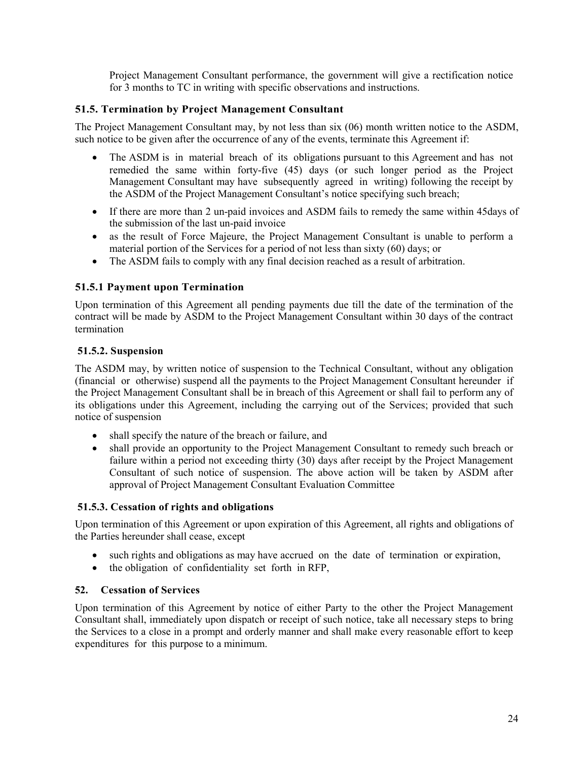Project Management Consultant performance, the government will give a rectification notice for 3 months to TC in writing with specific observations and instructions.

## **51.5. Termination by Project Management Consultant**

The Project Management Consultant may, by not less than six (06) month written notice to the ASDM, such notice to be given after the occurrence of any of the events, terminate this Agreement if:

- The ASDM is in material breach of its obligations pursuant to this Agreement and has not remedied the same within forty-five (45) days (or such longer period as the Project Management Consultant may have subsequently agreed in writing) following the receipt by the ASDM of the Project Management Consultant's notice specifying such breach;
- If there are more than 2 un-paid invoices and ASDM fails to remedy the same within 45days of the submission of the last un-paid invoice
- as the result of Force Majeure, the Project Management Consultant is unable to perform a material portion of the Services for a period of not less than sixty (60) days; or
- The ASDM fails to comply with any final decision reached as a result of arbitration.

## **51.5.1 Payment upon Termination**

Upon termination of this Agreement all pending payments due till the date of the termination of the contract will be made by ASDM to the Project Management Consultant within 30 days of the contract termination

## **51.5.2. Suspension**

The ASDM may, by written notice of suspension to the Technical Consultant, without any obligation (financial or otherwise) suspend all the payments to the Project Management Consultant hereunder if the Project Management Consultant shall be in breach of this Agreement or shall fail to perform any of its obligations under this Agreement, including the carrying out of the Services; provided that such notice of suspension

- shall specify the nature of the breach or failure, and
- shall provide an opportunity to the Project Management Consultant to remedy such breach or failure within a period not exceeding thirty (30) days after receipt by the Project Management Consultant of such notice of suspension. The above action will be taken by ASDM after approval of Project Management Consultant Evaluation Committee

## **51.5.3. Cessation of rights and obligations**

Upon termination of this Agreement or upon expiration of this Agreement, all rights and obligations of the Parties hereunder shall cease, except

- such rights and obligations as may have accrued on the date of termination or expiration,
- the obligation of confidentiality set forth in RFP,

## **52. Cessation of Services**

Upon termination of this Agreement by notice of either Party to the other the Project Management Consultant shall, immediately upon dispatch or receipt of such notice, take all necessary steps to bring the Services to a close in a prompt and orderly manner and shall make every reasonable effort to keep expenditures for this purpose to a minimum.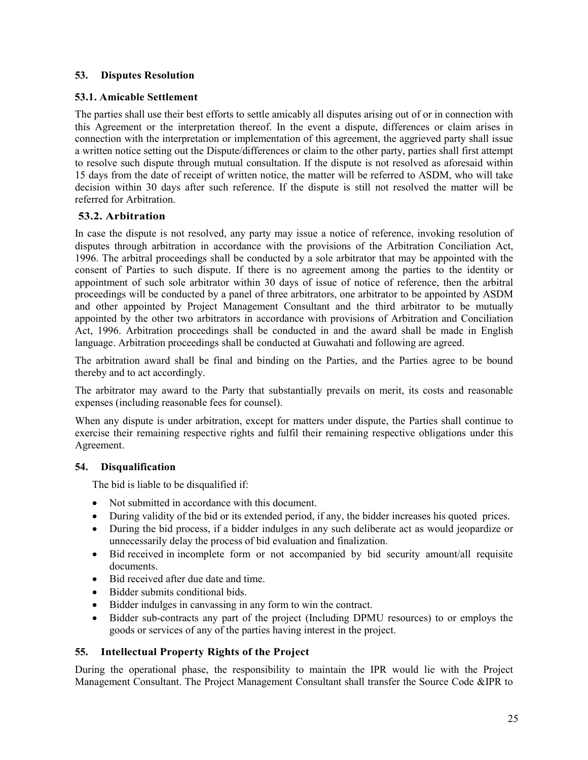## **53. Disputes Resolution**

## **53.1. Amicable Settlement**

The parties shall use their best efforts to settle amicably all disputes arising out of or in connection with this Agreement or the interpretation thereof. In the event a dispute, differences or claim arises in connection with the interpretation or implementation of this agreement, the aggrieved party shall issue a written notice setting out the Dispute/differences or claim to the other party, parties shall first attempt to resolve such dispute through mutual consultation. If the dispute is not resolved as aforesaid within 15 days from the date of receipt of written notice, the matter will be referred to ASDM, who will take decision within 30 days after such reference. If the dispute is still not resolved the matter will be referred for Arbitration.

## **53.2. Arbitration**

In case the dispute is not resolved, any party may issue a notice of reference, invoking resolution of disputes through arbitration in accordance with the provisions of the Arbitration Conciliation Act, 1996. The arbitral proceedings shall be conducted by a sole arbitrator that may be appointed with the consent of Parties to such dispute. If there is no agreement among the parties to the identity or appointment of such sole arbitrator within 30 days of issue of notice of reference, then the arbitral proceedings will be conducted by a panel of three arbitrators, one arbitrator to be appointed by ASDM and other appointed by Project Management Consultant and the third arbitrator to be mutually appointed by the other two arbitrators in accordance with provisions of Arbitration and Conciliation Act, 1996. Arbitration proceedings shall be conducted in and the award shall be made in English language. Arbitration proceedings shall be conducted at Guwahati and following are agreed.

The arbitration award shall be final and binding on the Parties, and the Parties agree to be bound thereby and to act accordingly.

The arbitrator may award to the Party that substantially prevails on merit, its costs and reasonable expenses (including reasonable fees for counsel).

When any dispute is under arbitration, except for matters under dispute, the Parties shall continue to exercise their remaining respective rights and fulfil their remaining respective obligations under this Agreement.

## **54. Disqualification**

The bid is liable to be disqualified if:

- Not submitted in accordance with this document.
- During validity of the bid or its extended period, if any, the bidder increases his quoted prices.
- During the bid process, if a bidder indulges in any such deliberate act as would jeopardize or unnecessarily delay the process of bid evaluation and finalization.
- Bid received in incomplete form or not accompanied by bid security amount/all requisite documents.
- Bid received after due date and time.
- Bidder submits conditional bids.
- Bidder indulges in canvassing in any form to win the contract.
- Bidder sub-contracts any part of the project (Including DPMU resources) to or employs the goods or services of any of the parties having interest in the project.

## **55. Intellectual Property Rights of the Project**

During the operational phase, the responsibility to maintain the IPR would lie with the Project Management Consultant. The Project Management Consultant shall transfer the Source Code &IPR to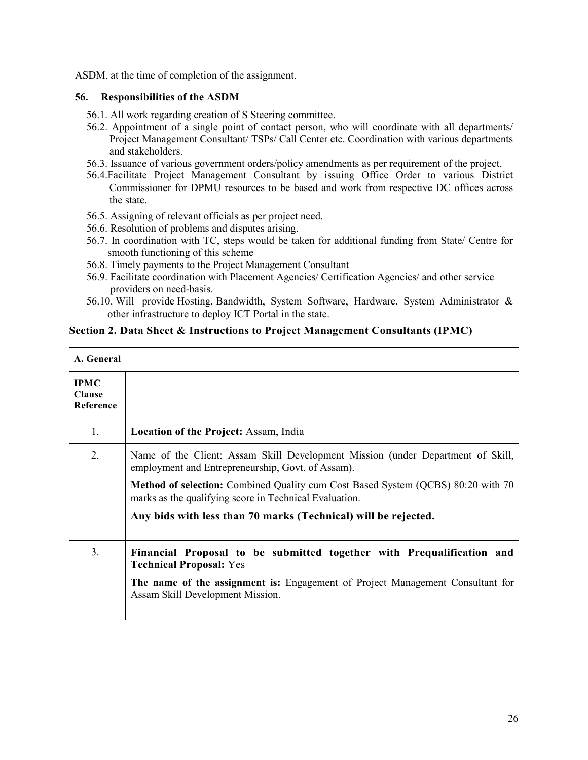ASDM, at the time of completion of the assignment.

### **56. Responsibilities of the ASDM**

- 56.1. All work regarding creation of S Steering committee.
- 56.2. Appointment of a single point of contact person, who will coordinate with all departments/ Project Management Consultant/ TSPs/ Call Center etc. Coordination with various departments and stakeholders.
- 56.3. Issuance of various government orders/policy amendments as per requirement of the project.
- 56.4.Facilitate Project Management Consultant by issuing Office Order to various District Commissioner for DPMU resources to be based and work from respective DC offices across the state.
- 56.5. Assigning of relevant officials as per project need.
- 56.6. Resolution of problems and disputes arising.
- 56.7. In coordination with TC, steps would be taken for additional funding from State/ Centre for smooth functioning of this scheme
- 56.8. Timely payments to the Project Management Consultant
- 56.9. Facilitate coordination with Placement Agencies/ Certification Agencies/ and other service providers on need-basis.
- 56.10. Will provide Hosting, Bandwidth, System Software, Hardware, System Administrator & other infrastructure to deploy ICT Portal in the state.

## **Section 2. Data Sheet & Instructions to Project Management Consultants (IPMC)**

| A. General                                |                                                                                                                                                                                                                                                                                                                                                      |
|-------------------------------------------|------------------------------------------------------------------------------------------------------------------------------------------------------------------------------------------------------------------------------------------------------------------------------------------------------------------------------------------------------|
| <b>IPMC</b><br><b>Clause</b><br>Reference |                                                                                                                                                                                                                                                                                                                                                      |
| 1.                                        | <b>Location of the Project: Assam, India</b>                                                                                                                                                                                                                                                                                                         |
| 2.                                        | Name of the Client: Assam Skill Development Mission (under Department of Skill,<br>employment and Entrepreneurship, Govt. of Assam).<br>Method of selection: Combined Quality cum Cost Based System (QCBS) 80:20 with 70<br>marks as the qualifying score in Technical Evaluation.<br>Any bids with less than 70 marks (Technical) will be rejected. |
| 3 <sub>1</sub>                            | Financial Proposal to be submitted together with Prequalification and<br><b>Technical Proposal: Yes</b><br>The name of the assignment is: Engagement of Project Management Consultant for<br>Assam Skill Development Mission.                                                                                                                        |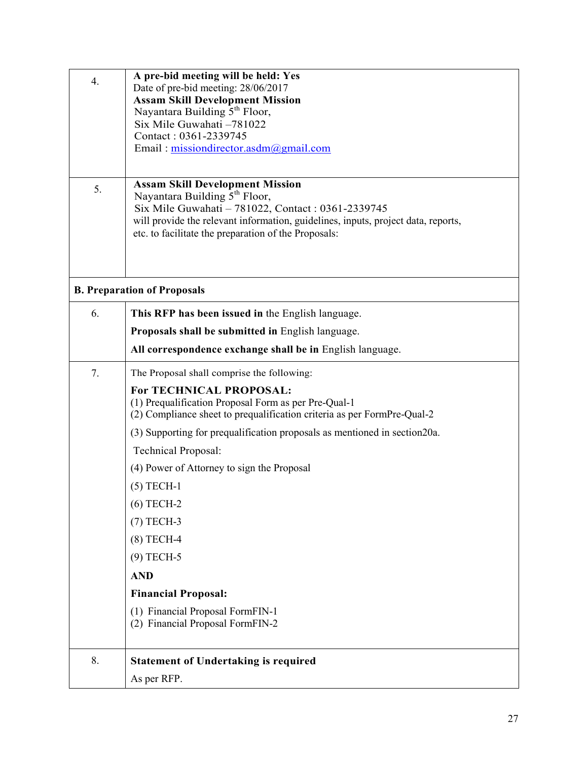| $\overline{4}$ . | A pre-bid meeting will be held: Yes                                                 |  |  |
|------------------|-------------------------------------------------------------------------------------|--|--|
|                  | Date of pre-bid meeting: 28/06/2017                                                 |  |  |
|                  | <b>Assam Skill Development Mission</b>                                              |  |  |
|                  | Nayantara Building 5 <sup>th</sup> Floor,                                           |  |  |
|                  | Six Mile Guwahati -781022<br>Contact: 0361-2339745                                  |  |  |
|                  | Email: missiondirector.asdm $(a)$ gmail.com                                         |  |  |
|                  |                                                                                     |  |  |
|                  |                                                                                     |  |  |
| 5.               | <b>Assam Skill Development Mission</b><br>Nayantara Building 5 <sup>th</sup> Floor, |  |  |
|                  | Six Mile Guwahati - 781022, Contact: 0361-2339745                                   |  |  |
|                  | will provide the relevant information, guidelines, inputs, project data, reports,   |  |  |
|                  | etc. to facilitate the preparation of the Proposals:                                |  |  |
|                  |                                                                                     |  |  |
|                  |                                                                                     |  |  |
|                  | <b>B. Preparation of Proposals</b>                                                  |  |  |
|                  |                                                                                     |  |  |
| 6.               | This RFP has been issued in the English language.                                   |  |  |
|                  | Proposals shall be submitted in English language.                                   |  |  |
|                  | All correspondence exchange shall be in English language.                           |  |  |
| 7.               | The Proposal shall comprise the following:                                          |  |  |
|                  | For TECHNICAL PROPOSAL:                                                             |  |  |
|                  | (1) Prequalification Proposal Form as per Pre-Qual-1                                |  |  |
|                  | (2) Compliance sheet to prequalification criteria as per FormPre-Qual-2             |  |  |
|                  | (3) Supporting for prequalification proposals as mentioned in section 20a.          |  |  |
|                  | <b>Technical Proposal:</b>                                                          |  |  |
|                  | (4) Power of Attorney to sign the Proposal                                          |  |  |
|                  | $(5)$ TECH-1                                                                        |  |  |
|                  | $(6)$ TECH-2                                                                        |  |  |
|                  | $(7)$ TECH-3                                                                        |  |  |
|                  | $(8)$ TECH-4                                                                        |  |  |
|                  | $(9)$ TECH-5                                                                        |  |  |
|                  | <b>AND</b>                                                                          |  |  |
|                  | <b>Financial Proposal:</b>                                                          |  |  |
|                  | (1) Financial Proposal FormFIN-1                                                    |  |  |
|                  | (2) Financial Proposal FormFIN-2                                                    |  |  |
|                  |                                                                                     |  |  |
| 8.               | <b>Statement of Undertaking is required</b>                                         |  |  |
|                  | As per RFP.                                                                         |  |  |
|                  |                                                                                     |  |  |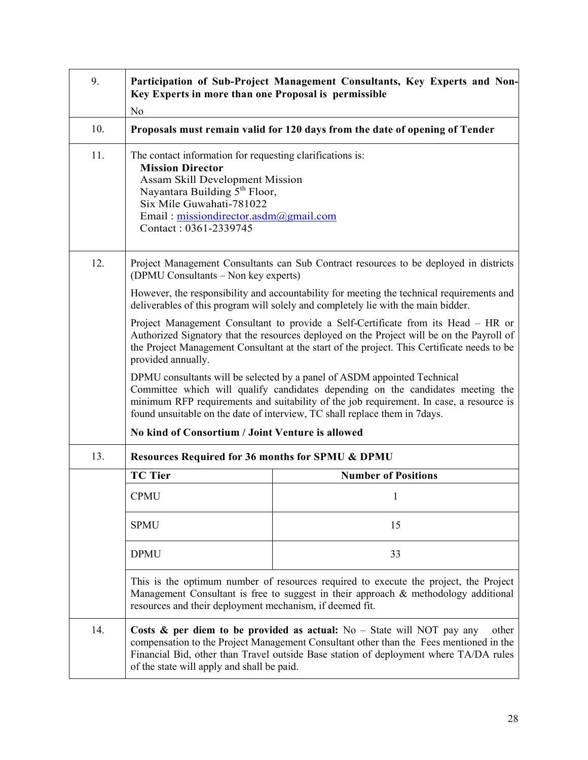| 9.  | Participation of Sub-Project Management Consultants, Key Experts and Non-<br>Key Experts in more than one Proposal is permissible<br>N <sub>o</sub>                                                                                                                                                                                   |                                                                                                                                                                                |  |  |
|-----|---------------------------------------------------------------------------------------------------------------------------------------------------------------------------------------------------------------------------------------------------------------------------------------------------------------------------------------|--------------------------------------------------------------------------------------------------------------------------------------------------------------------------------|--|--|
| 10. | Proposals must remain valid for 120 days from the date of opening of Tender                                                                                                                                                                                                                                                           |                                                                                                                                                                                |  |  |
| 11. | The contact information for requesting clarifications is:<br><b>Mission Director</b><br><b>Assam Skill Development Mission</b><br>Nayantara Building 5 <sup>th</sup> Floor,<br>Six Mile Guwahati-781022<br>Email: missiondirector.asdm@gmail.com<br>Contact: 0361-2339745                                                             |                                                                                                                                                                                |  |  |
| 12. | Project Management Consultants can Sub Contract resources to be deployed in districts<br>(DPMU Consultants - Non key experts)                                                                                                                                                                                                         |                                                                                                                                                                                |  |  |
|     |                                                                                                                                                                                                                                                                                                                                       | However, the responsibility and accountability for meeting the technical requirements and<br>deliverables of this program will solely and completely lie with the main bidder. |  |  |
|     | Project Management Consultant to provide a Self-Certificate from its Head - HR or<br>Authorized Signatory that the resources deployed on the Project will be on the Payroll of<br>the Project Management Consultant at the start of the project. This Certificate needs to be<br>provided annually.                                   |                                                                                                                                                                                |  |  |
|     | DPMU consultants will be selected by a panel of ASDM appointed Technical<br>Committee which will qualify candidates depending on the candidates meeting the<br>minimum RFP requirements and suitability of the job requirement. In case, a resource is<br>found unsuitable on the date of interview, TC shall replace them in 7 days. |                                                                                                                                                                                |  |  |
|     | No kind of Consortium / Joint Venture is allowed                                                                                                                                                                                                                                                                                      |                                                                                                                                                                                |  |  |
| 13. | <b>Resources Required for 36 months for SPMU &amp; DPMU</b>                                                                                                                                                                                                                                                                           |                                                                                                                                                                                |  |  |
|     | <b>TC Tier</b>                                                                                                                                                                                                                                                                                                                        | <b>Number of Positions</b>                                                                                                                                                     |  |  |
|     | <b>CPMU</b>                                                                                                                                                                                                                                                                                                                           |                                                                                                                                                                                |  |  |
|     | <b>SPMU</b><br>15                                                                                                                                                                                                                                                                                                                     |                                                                                                                                                                                |  |  |
|     | <b>DPMU</b><br>33                                                                                                                                                                                                                                                                                                                     |                                                                                                                                                                                |  |  |
|     | This is the optimum number of resources required to execute the project, the Project<br>Management Consultant is free to suggest in their approach $\&$ methodology additional<br>resources and their deployment mechanism, if deemed fit.                                                                                            |                                                                                                                                                                                |  |  |
| 14. | Costs & per diem to be provided as actual: $No - State$ will NOT pay any<br>other<br>compensation to the Project Management Consultant other than the Fees mentioned in the<br>Financial Bid, other than Travel outside Base station of deployment where TA/DA rules<br>of the state will apply and shall be paid.                    |                                                                                                                                                                                |  |  |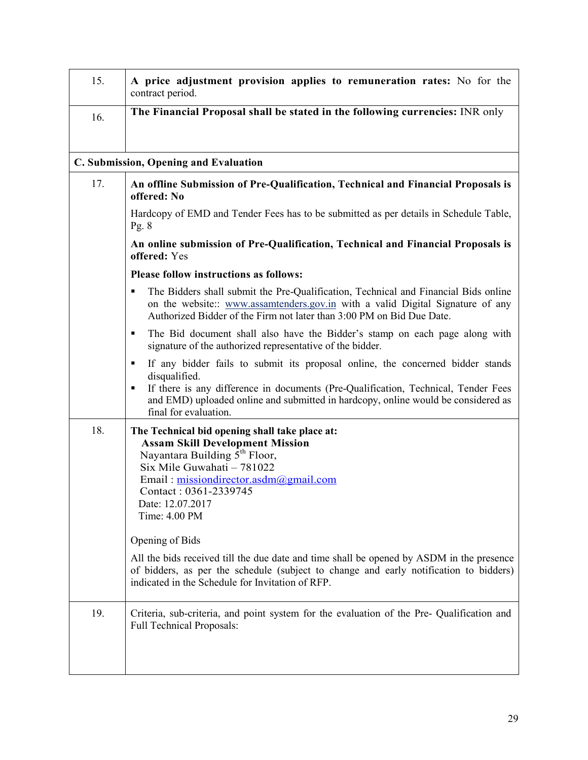| 15.                                                                                                    | A price adjustment provision applies to remuneration rates: No for the<br>contract period.                                                                                                                                                                                                                    |  |  |
|--------------------------------------------------------------------------------------------------------|---------------------------------------------------------------------------------------------------------------------------------------------------------------------------------------------------------------------------------------------------------------------------------------------------------------|--|--|
| 16.                                                                                                    | The Financial Proposal shall be stated in the following currencies: INR only                                                                                                                                                                                                                                  |  |  |
|                                                                                                        | C. Submission, Opening and Evaluation                                                                                                                                                                                                                                                                         |  |  |
| 17.<br>An offline Submission of Pre-Qualification, Technical and Financial Proposals is<br>offered: No |                                                                                                                                                                                                                                                                                                               |  |  |
|                                                                                                        | Hardcopy of EMD and Tender Fees has to be submitted as per details in Schedule Table,<br>Pg. $8$                                                                                                                                                                                                              |  |  |
|                                                                                                        | An online submission of Pre-Qualification, Technical and Financial Proposals is<br>offered: Yes                                                                                                                                                                                                               |  |  |
|                                                                                                        | <b>Please follow instructions as follows:</b>                                                                                                                                                                                                                                                                 |  |  |
|                                                                                                        | The Bidders shall submit the Pre-Qualification, Technical and Financial Bids online<br>٠<br>on the website:: www.assamtenders.gov.in with a valid Digital Signature of any<br>Authorized Bidder of the Firm not later than 3:00 PM on Bid Due Date.                                                           |  |  |
|                                                                                                        | The Bid document shall also have the Bidder's stamp on each page along with<br>٠<br>signature of the authorized representative of the bidder.                                                                                                                                                                 |  |  |
|                                                                                                        | If any bidder fails to submit its proposal online, the concerned bidder stands<br>٠<br>disqualified.<br>If there is any difference in documents (Pre-Qualification, Technical, Tender Fees<br>٠<br>and EMD) uploaded online and submitted in hardcopy, online would be considered as<br>final for evaluation. |  |  |
| 18.                                                                                                    | The Technical bid opening shall take place at:<br><b>Assam Skill Development Mission</b><br>Nayantara Building $\hat{5}^{\text{th}}$ Floor,<br>Six Mile Guwahati - 781022<br>Email: missiondirector.asdm@gmail.com<br>Contact: 0361-2339745<br>Date: 12.07.2017<br>Time: 4.00 PM                              |  |  |
|                                                                                                        | Opening of Bids                                                                                                                                                                                                                                                                                               |  |  |
|                                                                                                        | All the bids received till the due date and time shall be opened by ASDM in the presence<br>of bidders, as per the schedule (subject to change and early notification to bidders)<br>indicated in the Schedule for Invitation of RFP.                                                                         |  |  |
| 19.                                                                                                    | Criteria, sub-criteria, and point system for the evaluation of the Pre-Qualification and<br><b>Full Technical Proposals:</b>                                                                                                                                                                                  |  |  |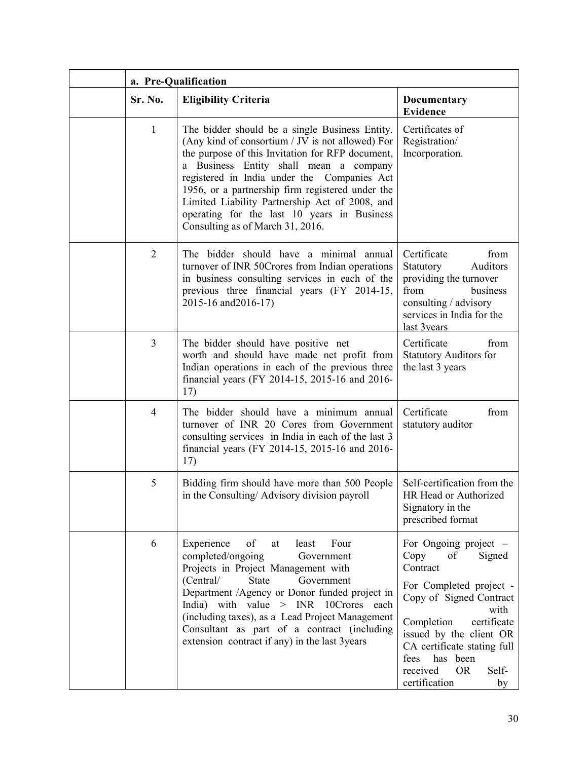| a. Pre-Qualification |                                                                                                                                                                                                                                                                                                                                                                                                                                          |                                                                                                                                                                                                                                                                                            |
|----------------------|------------------------------------------------------------------------------------------------------------------------------------------------------------------------------------------------------------------------------------------------------------------------------------------------------------------------------------------------------------------------------------------------------------------------------------------|--------------------------------------------------------------------------------------------------------------------------------------------------------------------------------------------------------------------------------------------------------------------------------------------|
| Sr. No.              | <b>Eligibility Criteria</b>                                                                                                                                                                                                                                                                                                                                                                                                              | <b>Documentary</b><br><b>Evidence</b>                                                                                                                                                                                                                                                      |
| $\mathbf{1}$         | The bidder should be a single Business Entity.<br>(Any kind of consortium / JV is not allowed) For<br>the purpose of this Invitation for RFP document,<br>a Business Entity shall mean a company<br>registered in India under the Companies Act<br>1956, or a partnership firm registered under the<br>Limited Liability Partnership Act of 2008, and<br>operating for the last 10 years in Business<br>Consulting as of March 31, 2016. | Certificates of<br>Registration/<br>Incorporation.                                                                                                                                                                                                                                         |
| $\overline{2}$       | The bidder should have a minimal annual<br>turnover of INR 50Crores from Indian operations<br>in business consulting services in each of the<br>previous three financial years (FY 2014-15,<br>2015-16 and 2016-17)                                                                                                                                                                                                                      | Certificate<br>from<br>Statutory<br>Auditors<br>providing the turnover<br>from<br>business<br>consulting / advisory<br>services in India for the<br>last 3years                                                                                                                            |
| 3                    | The bidder should have positive net<br>worth and should have made net profit from<br>Indian operations in each of the previous three<br>financial years (FY 2014-15, 2015-16 and 2016-<br>17)                                                                                                                                                                                                                                            | Certificate<br>from<br><b>Statutory Auditors for</b><br>the last 3 years                                                                                                                                                                                                                   |
| $\overline{4}$       | The bidder should have a minimum annual<br>turnover of INR 20 Cores from Government<br>consulting services in India in each of the last 3<br>financial years (FY 2014-15, 2015-16 and 2016-<br>17)                                                                                                                                                                                                                                       | Certificate<br>from<br>statutory auditor                                                                                                                                                                                                                                                   |
| 5                    | Bidding firm should have more than 500 People<br>in the Consulting/ Advisory division payroll                                                                                                                                                                                                                                                                                                                                            | Self-certification from the<br>HR Head or Authorized<br>Signatory in the<br>prescribed format                                                                                                                                                                                              |
| 6                    | Experience<br>of<br>Four<br>least<br>at<br>completed/ongoing<br>Government<br>Projects in Project Management with<br>(Central/<br>Government<br><b>State</b><br>Department /Agency or Donor funded project in<br>India) with value $>$ INR 10Crores each<br>(including taxes), as a Lead Project Management<br>Consultant as part of a contract (including<br>extension contract if any) in the last 3years                              | For Ongoing project $-$<br>Copy<br>Signed<br>of<br>Contract<br>For Completed project -<br>Copy of Signed Contract<br>with<br>Completion<br>certificate<br>issued by the client OR<br>CA certificate stating full<br>fees has been<br>received<br><b>OR</b><br>Self-<br>certification<br>by |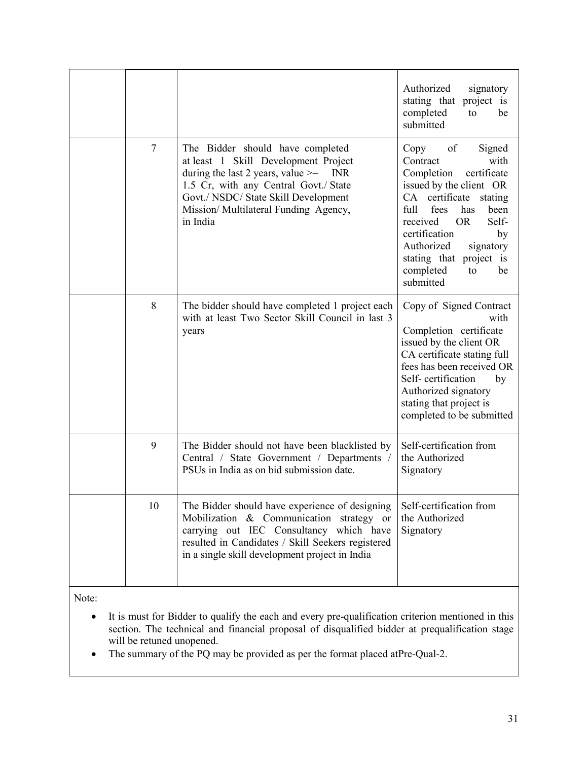|    |                                                                                                                                                                                                                                                                       | Authorized<br>signatory<br>stating that project is<br>completed<br>to<br>be<br>submitted                                                                                                                                                                                                                       |
|----|-----------------------------------------------------------------------------------------------------------------------------------------------------------------------------------------------------------------------------------------------------------------------|----------------------------------------------------------------------------------------------------------------------------------------------------------------------------------------------------------------------------------------------------------------------------------------------------------------|
| 7  | The Bidder should have completed<br>at least 1 Skill Development Project<br>during the last 2 years, value $\ge$ =<br><b>INR</b><br>1.5 Cr, with any Central Govt./ State<br>Govt./ NSDC/ State Skill Development<br>Mission/Multilateral Funding Agency,<br>in India | of<br>Signed<br>Copy<br>Contract<br>with<br>certificate<br>Completion<br>issued by the client OR<br>CA certificate stating<br>fees<br>full<br>has<br>been<br>Self-<br>received<br><b>OR</b><br>certification<br>by<br>Authorized<br>signatory<br>stating that project is<br>completed<br>to<br>be<br>submitted |
| 8  | The bidder should have completed 1 project each<br>with at least Two Sector Skill Council in last 3<br>years                                                                                                                                                          | Copy of Signed Contract<br>with<br>Completion certificate<br>issued by the client OR<br>CA certificate stating full<br>fees has been received OR<br>Self-certification<br>by<br>Authorized signatory<br>stating that project is<br>completed to be submitted                                                   |
| 9  | The Bidder should not have been blacklisted by<br>Central / State Government / Departments /<br>PSUs in India as on bid submission date.                                                                                                                              | Self-certification from<br>the Authorized<br>Signatory                                                                                                                                                                                                                                                         |
| 10 | The Bidder should have experience of designing<br>Mobilization & Communication strategy or<br>carrying out IEC Consultancy which have<br>resulted in Candidates / Skill Seekers registered<br>in a single skill development project in India                          | Self-certification from<br>the Authorized<br>Signatory                                                                                                                                                                                                                                                         |

Note:

- It is must for Bidder to qualify the each and every pre-qualification criterion mentioned in this section. The technical and financial proposal of disqualified bidder at prequalification stage will be retuned unopened.
- The summary of the PQ may be provided as per the format placed atPre-Qual-2.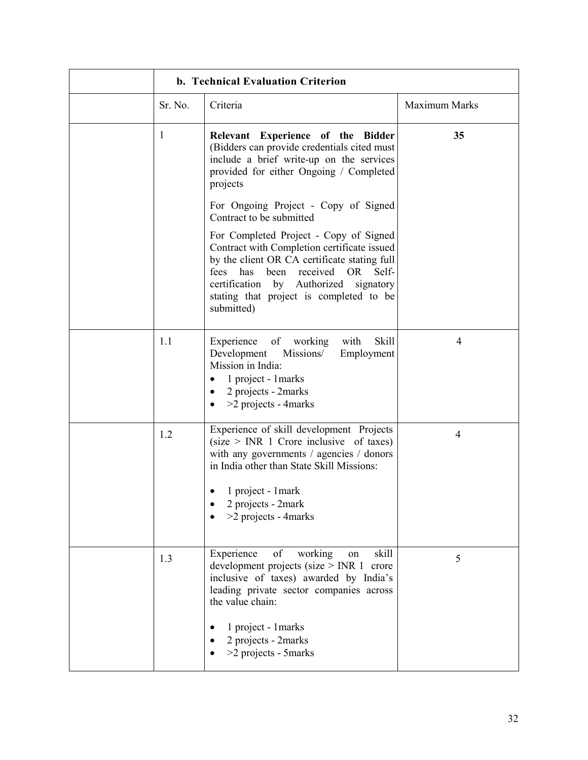| b. Technical Evaluation Criterion |                                                                                                                                                                                                                                                                                              |                |
|-----------------------------------|----------------------------------------------------------------------------------------------------------------------------------------------------------------------------------------------------------------------------------------------------------------------------------------------|----------------|
| Sr. No.                           | Criteria                                                                                                                                                                                                                                                                                     | Maximum Marks  |
| 1                                 | Relevant Experience of the Bidder<br>(Bidders can provide credentials cited must<br>include a brief write-up on the services<br>provided for either Ongoing / Completed<br>projects                                                                                                          | 35             |
|                                   | For Ongoing Project - Copy of Signed<br>Contract to be submitted                                                                                                                                                                                                                             |                |
|                                   | For Completed Project - Copy of Signed<br>Contract with Completion certificate issued<br>by the client OR CA certificate stating full<br>been<br>received<br>OR<br>fees<br>has<br>Self-<br>certification by Authorized<br>signatory<br>stating that project is completed to be<br>submitted) |                |
| 1.1                               | of<br>Skill<br>Experience<br>working<br>with<br>Development<br>Missions/<br>Employment<br>Mission in India:<br>1 project - 1 marks<br>2 projects - 2marks<br>$>2$ projects - 4 marks                                                                                                         | $\overline{4}$ |
| 1.2                               | Experience of skill development Projects<br>$(size > INR 1)$ Crore inclusive of taxes)<br>with any governments / agencies / donors<br>in India other than State Skill Missions:<br>1 project - 1 mark<br>2 projects - 2mark<br>>2 projects - 4marks                                          | 4              |
|                                   |                                                                                                                                                                                                                                                                                              |                |
| 1.3                               | working<br>Experience<br>skill<br>οf<br>on<br>development projects (size $>$ INR 1<br>crore<br>inclusive of taxes) awarded by India's<br>leading private sector companies across<br>the value chain:<br>1 project - 1 marks<br>2 projects - 2marks<br>>2 projects - 5marks                   | 5              |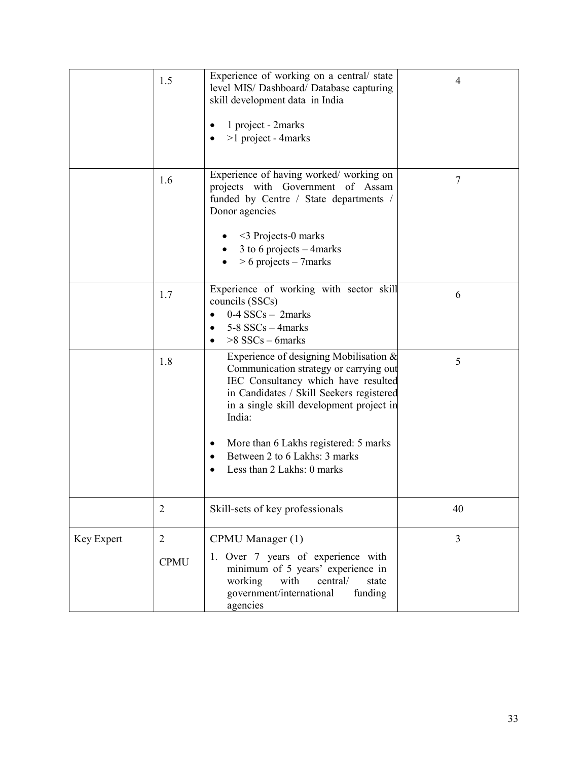|            | 1.5                           | Experience of working on a central/ state<br>level MIS/ Dashboard/ Database capturing<br>skill development data in India<br>1 project - 2marks<br>>1 project - 4marks                                                                                                                                                                | 4              |
|------------|-------------------------------|--------------------------------------------------------------------------------------------------------------------------------------------------------------------------------------------------------------------------------------------------------------------------------------------------------------------------------------|----------------|
|            | 1.6                           | Experience of having worked/working on<br>projects with Government of Assam<br>funded by Centre / State departments /<br>Donor agencies<br>$\leq$ Projects-0 marks<br>3 to 6 projects $-$ 4 marks<br>$> 6$ projects – 7 marks                                                                                                        | 7              |
|            | 1.7                           | Experience of working with sector skill<br>councils (SSCs)<br>$0-4$ SSCs - 2marks<br>$5-8$ SSCs $-$ 4 marks<br>$>8$ SSCs – 6 marks                                                                                                                                                                                                   | 6              |
|            | 1.8                           | Experience of designing Mobilisation $\&$<br>Communication strategy or carrying out<br>IEC Consultancy which have resulted<br>in Candidates / Skill Seekers registered<br>in a single skill development project in<br>India:<br>More than 6 Lakhs registered: 5 marks<br>Between 2 to 6 Lakhs: 3 marks<br>Less than 2 Lakhs: 0 marks | 5              |
|            | $\overline{2}$                | Skill-sets of key professionals                                                                                                                                                                                                                                                                                                      | 40             |
| Key Expert | $\overline{2}$<br><b>CPMU</b> | CPMU Manager (1)<br>1. Over 7 years of experience with<br>minimum of 5 years' experience in<br>working<br>with<br>central/<br>state<br>government/international<br>funding<br>agencies                                                                                                                                               | $\overline{3}$ |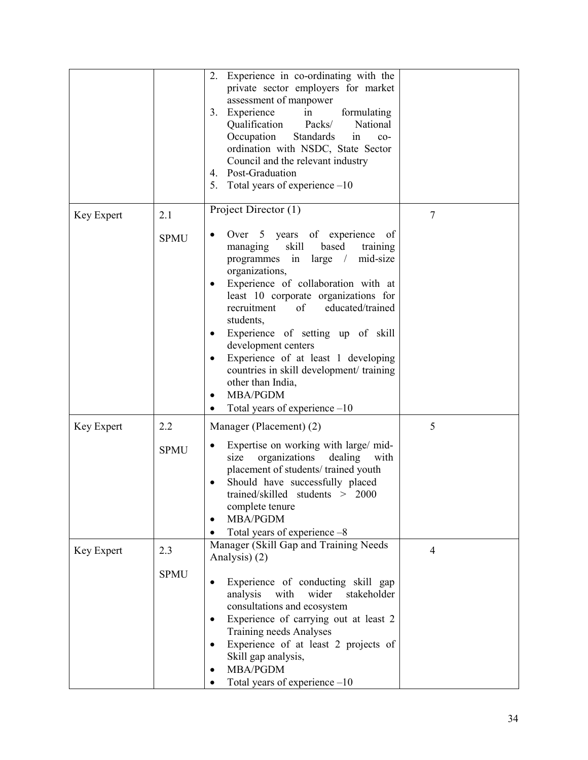|            |             | Experience in co-ordinating with the<br>2.<br>private sector employers for market<br>assessment of manpower<br>Experience<br>in<br>formulating<br>3.<br>Qualification<br>Packs/<br>National<br>Occupation<br>Standards<br>in<br>$co-$<br>ordination with NSDC, State Sector<br>Council and the relevant industry<br>Post-Graduation<br>4.<br>Total years of experience $-10$<br>5.                                                                                                                                          |                |
|------------|-------------|-----------------------------------------------------------------------------------------------------------------------------------------------------------------------------------------------------------------------------------------------------------------------------------------------------------------------------------------------------------------------------------------------------------------------------------------------------------------------------------------------------------------------------|----------------|
| Key Expert | 2.1         | Project Director (1)                                                                                                                                                                                                                                                                                                                                                                                                                                                                                                        | $\tau$         |
|            | <b>SPMU</b> | Over 5 years of experience<br>of<br>skill<br>based<br>managing<br>training<br>in<br>mid-size<br>programmes<br>large<br>$\frac{1}{2}$<br>organizations,<br>Experience of collaboration with at<br>least 10 corporate organizations for<br>of<br>educated/trained<br>recruitment<br>students,<br>Experience of setting up of skill<br>development centers<br>Experience of at least 1 developing<br>$\bullet$<br>countries in skill development/ training<br>other than India,<br>MBA/PGDM<br>Total years of experience $-10$ |                |
| Key Expert | 2.2         | Manager (Placement) (2)                                                                                                                                                                                                                                                                                                                                                                                                                                                                                                     | 5              |
|            | <b>SPMU</b> | Expertise on working with large/mid-<br>organizations<br>dealing<br>size<br>with<br>placement of students/trained youth<br>Should have successfully placed<br>trained/skilled students > 2000<br>complete tenure<br><b>MBA/PGDM</b><br>Total years of experience -8                                                                                                                                                                                                                                                         |                |
| Key Expert | 2.3         | Manager (Skill Gap and Training Needs<br>Analysis) (2)                                                                                                                                                                                                                                                                                                                                                                                                                                                                      | $\overline{4}$ |
|            | <b>SPMU</b> | Experience of conducting skill gap<br>analysis<br>with<br>wider<br>stakeholder<br>consultations and ecosystem<br>Experience of carrying out at least 2<br><b>Training needs Analyses</b><br>Experience of at least 2 projects of<br>Skill gap analysis,<br><b>MBA/PGDM</b><br>Total years of experience $-10$                                                                                                                                                                                                               |                |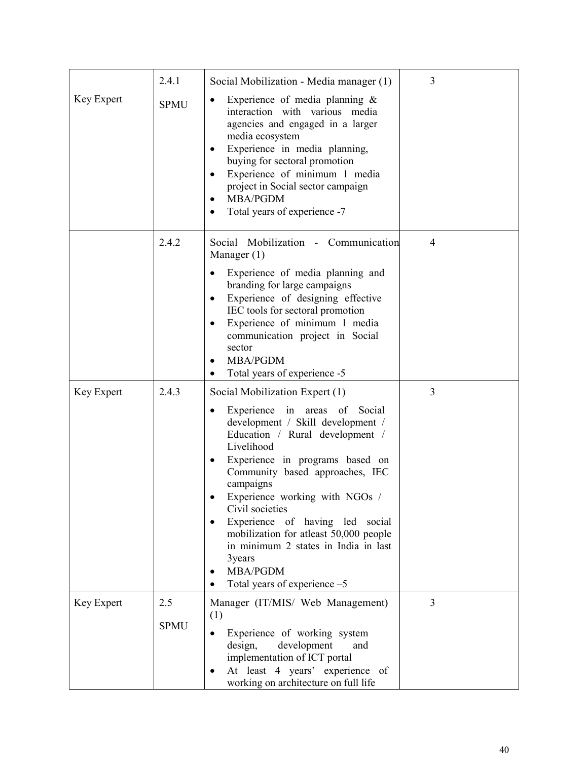| Key Expert | 2.4.1<br><b>SPMU</b> | Social Mobilization - Media manager (1)<br>Experience of media planning $\&$<br>٠<br>interaction with various media<br>agencies and engaged in a larger<br>media ecosystem<br>Experience in media planning,<br>buying for sectoral promotion<br>Experience of minimum 1 media<br>$\bullet$<br>project in Social sector campaign<br><b>MBA/PGDM</b><br>$\bullet$<br>Total years of experience -7                                                                                               | 3 |
|------------|----------------------|-----------------------------------------------------------------------------------------------------------------------------------------------------------------------------------------------------------------------------------------------------------------------------------------------------------------------------------------------------------------------------------------------------------------------------------------------------------------------------------------------|---|
|            | 2.4.2                | Social Mobilization - Communication<br>Manager $(1)$<br>Experience of media planning and<br>$\bullet$<br>branding for large campaigns<br>Experience of designing effective<br>IEC tools for sectoral promotion<br>Experience of minimum 1 media<br>$\bullet$<br>communication project in Social<br>sector<br>MBA/PGDM<br>Total years of experience -5                                                                                                                                         | 4 |
| Key Expert | 2.4.3                | Social Mobilization Expert (1)<br>Experience in areas of<br>Social<br>$\bullet$<br>development / Skill development /<br>Education / Rural development /<br>Livelihood<br>Experience in programs based on<br>Community based approaches, IEC<br>campaigns<br>Experience working with NGOs /<br>Civil societies<br>Experience of having led social<br>٠<br>mobilization for atleast 50,000 people<br>in minimum 2 states in India in last<br>3years<br>MBA/PGDM<br>Total years of experience -5 | 3 |
| Key Expert | 2.5<br><b>SPMU</b>   | Manager (IT/MIS/ Web Management)<br>(1)<br>Experience of working system<br>development<br>design,<br>and<br>implementation of ICT portal<br>At least 4 years' experience of<br>working on architecture on full life                                                                                                                                                                                                                                                                           | 3 |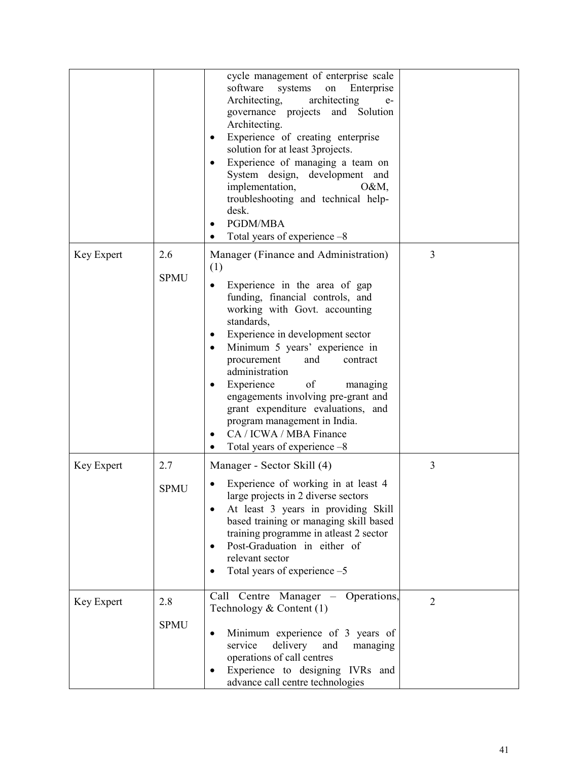|            |                    | cycle management of enterprise scale<br>software<br>systems<br>on<br>Enterprise<br>architecting<br>Architecting,<br>$e-$<br>governance projects and Solution<br>Architecting.<br>Experience of creating enterprise<br>٠<br>solution for at least 3projects.<br>Experience of managing a team on<br>$\bullet$<br>System design, development and<br>implementation,<br>$O&M$ ,<br>troubleshooting and technical help-<br>desk.<br>PGDM/MBA<br>Total years of experience -8                                                         |                |
|------------|--------------------|----------------------------------------------------------------------------------------------------------------------------------------------------------------------------------------------------------------------------------------------------------------------------------------------------------------------------------------------------------------------------------------------------------------------------------------------------------------------------------------------------------------------------------|----------------|
| Key Expert | 2.6<br><b>SPMU</b> | Manager (Finance and Administration)<br>(1)<br>Experience in the area of gap<br>funding, financial controls, and<br>working with Govt. accounting<br>standards,<br>Experience in development sector<br>$\bullet$<br>Minimum 5 years' experience in<br>$\bullet$<br>procurement<br>and<br>contract<br>administration<br>Experience<br>of<br>managing<br>٠<br>engagements involving pre-grant and<br>grant expenditure evaluations, and<br>program management in India.<br>CA / ICWA / MBA Finance<br>Total years of experience -8 | 3              |
| Key Expert | 2.7<br><b>SPMU</b> | Manager - Sector Skill (4)<br>Experience of working in at least 4<br>large projects in 2 diverse sectors<br>At least 3 years in providing Skill<br>based training or managing skill based<br>training programme in atleast 2 sector<br>Post-Graduation in either of<br>relevant sector<br>Total years of experience -5                                                                                                                                                                                                           | 3              |
| Key Expert | 2.8<br><b>SPMU</b> | Call Centre Manager - Operations,<br>Technology $& Content (1)$<br>Minimum experience of 3 years of<br>٠<br>service<br>delivery<br>and<br>managing<br>operations of call centres<br>Experience to designing IVRs and<br>advance call centre technologies                                                                                                                                                                                                                                                                         | $\overline{2}$ |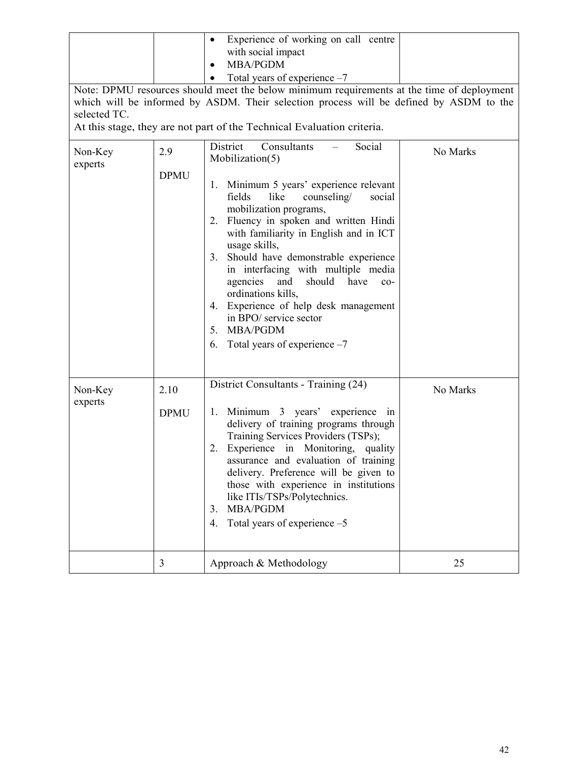| Experience of working on call centre<br>with social impact<br><b>MBA/PGDM</b><br>Total years of experience $-7$<br>Note: DPMU resources should meet the below minimum requirements at the time of deployment<br>which will be informed by ASDM. Their selection process will be defined by ASDM to the<br>selected TC.<br>At this stage, they are not part of the Technical Evaluation criteria. |                     |                                                                                                                                                                                                                                                                                                                                                                                                                                                                                                                                                                                      |          |  |  |
|--------------------------------------------------------------------------------------------------------------------------------------------------------------------------------------------------------------------------------------------------------------------------------------------------------------------------------------------------------------------------------------------------|---------------------|--------------------------------------------------------------------------------------------------------------------------------------------------------------------------------------------------------------------------------------------------------------------------------------------------------------------------------------------------------------------------------------------------------------------------------------------------------------------------------------------------------------------------------------------------------------------------------------|----------|--|--|
| Non-Key<br>experts                                                                                                                                                                                                                                                                                                                                                                               | 2.9<br><b>DPMU</b>  | District<br>Consultants<br>Social<br>No Marks<br>Mobilization(5)<br>Minimum 5 years' experience relevant<br>1.<br>fields<br>like<br>counseling/<br>social<br>mobilization programs,<br>Fluency in spoken and written Hindi<br>2.<br>with familiarity in English and in ICT<br>usage skills,<br>Should have demonstrable experience<br>3.<br>in interfacing with multiple media<br>agencies<br>and<br>should<br>have<br>$co-$<br>ordinations kills,<br>4. Experience of help desk management<br>in BPO/ service sector<br><b>MBA/PGDM</b><br>5.<br>Total years of experience -7<br>6. |          |  |  |
| Non-Key<br>experts                                                                                                                                                                                                                                                                                                                                                                               | 2.10<br><b>DPMU</b> | District Consultants - Training (24)<br>Minimum 3 years' experience in<br>1.<br>delivery of training programs through<br>Training Services Providers (TSPs);<br>Experience in Monitoring,<br>2.<br>quality<br>assurance and evaluation of training<br>delivery. Preference will be given to<br>those with experience in institutions<br>like ITIs/TSPs/Polytechnics.<br><b>MBA/PGDM</b><br>3.<br>Total years of experience $-5$<br>4.                                                                                                                                                | No Marks |  |  |
|                                                                                                                                                                                                                                                                                                                                                                                                  | 3                   | Approach & Methodology                                                                                                                                                                                                                                                                                                                                                                                                                                                                                                                                                               | 25       |  |  |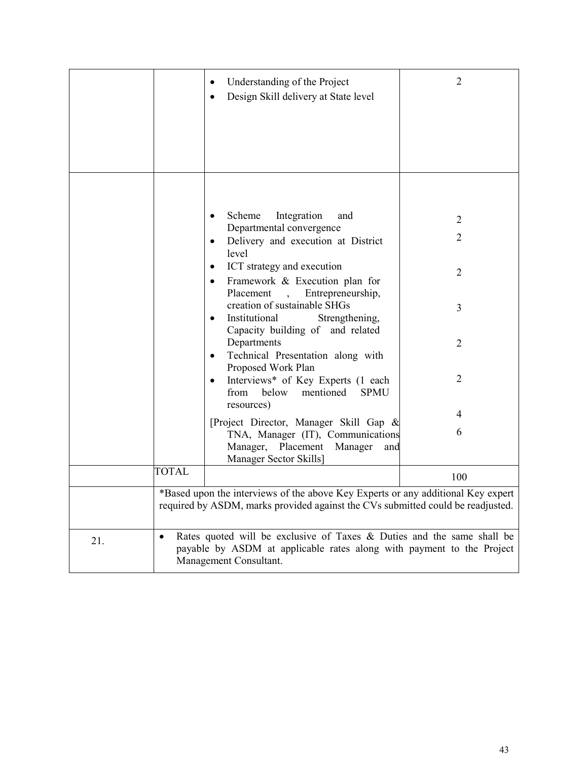|     |                                                                                                                                                                                | Understanding of the Project<br>Design Skill delivery at State level                                                                                                | 2              |  |
|-----|--------------------------------------------------------------------------------------------------------------------------------------------------------------------------------|---------------------------------------------------------------------------------------------------------------------------------------------------------------------|----------------|--|
|     |                                                                                                                                                                                |                                                                                                                                                                     |                |  |
|     |                                                                                                                                                                                | Integration<br>Scheme<br>and                                                                                                                                        | 2              |  |
|     |                                                                                                                                                                                | Departmental convergence<br>Delivery and execution at District<br>level                                                                                             | $\overline{2}$ |  |
|     |                                                                                                                                                                                | ICT strategy and execution<br>٠<br>Framework & Execution plan for                                                                                                   | $\overline{2}$ |  |
|     |                                                                                                                                                                                | Entrepreneurship,<br>Placement<br>$\ddot{\phantom{0}}$<br>creation of sustainable SHGs<br>Institutional<br>Strengthening,<br>$\bullet$                              | 3              |  |
|     |                                                                                                                                                                                | Capacity building of and related<br>Departments<br>Technical Presentation along with<br>Proposed Work Plan                                                          | $\overline{2}$ |  |
|     |                                                                                                                                                                                | Interviews* of Key Experts (1 each<br>$\bullet$<br>mentioned<br>from<br>below<br><b>SPMU</b><br>resources)                                                          | $\overline{2}$ |  |
|     |                                                                                                                                                                                |                                                                                                                                                                     | 4              |  |
|     |                                                                                                                                                                                | [Project Director, Manager Skill Gap &<br>TNA, Manager (IT), Communications<br>Manager, Placement<br>Manager<br>and<br>Manager Sector Skills]                       | 6              |  |
|     | <b>TOTAL</b>                                                                                                                                                                   |                                                                                                                                                                     | 100            |  |
|     |                                                                                                                                                                                | *Based upon the interviews of the above Key Experts or any additional Key expert<br>required by ASDM, marks provided against the CVs submitted could be readjusted. |                |  |
| 21. | Rates quoted will be exclusive of Taxes & Duties and the same shall be<br>٠<br>payable by ASDM at applicable rates along with payment to the Project<br>Management Consultant. |                                                                                                                                                                     |                |  |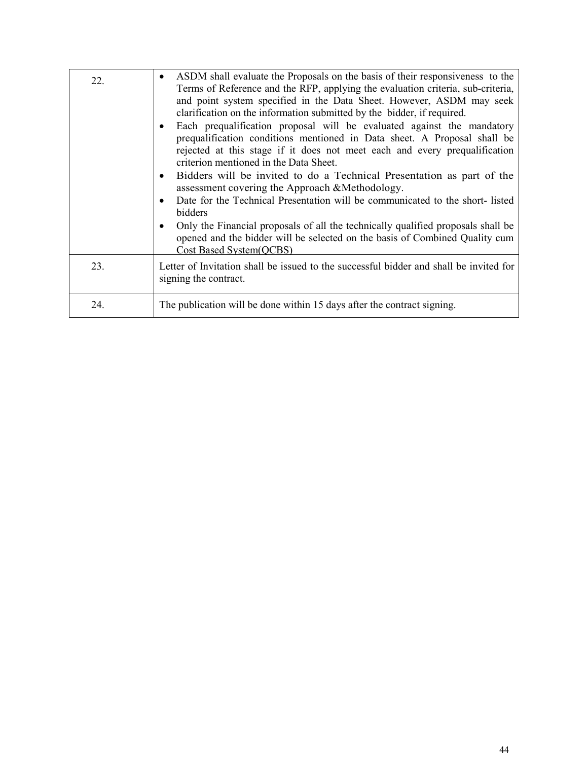| 22. | ASDM shall evaluate the Proposals on the basis of their responsiveness to the<br>$\bullet$<br>Terms of Reference and the RFP, applying the evaluation criteria, sub-criteria,<br>and point system specified in the Data Sheet. However, ASDM may seek<br>clarification on the information submitted by the bidder, if required.<br>Each prequalification proposal will be evaluated against the mandatory<br>prequalification conditions mentioned in Data sheet. A Proposal shall be<br>rejected at this stage if it does not meet each and every prequalification<br>criterion mentioned in the Data Sheet.<br>Bidders will be invited to do a Technical Presentation as part of the<br>$\bullet$<br>assessment covering the Approach &Methodology.<br>Date for the Technical Presentation will be communicated to the short-listed<br>$\bullet$<br>bidders<br>Only the Financial proposals of all the technically qualified proposals shall be<br>opened and the bidder will be selected on the basis of Combined Quality cum<br><b>Cost Based System(OCBS)</b> |
|-----|--------------------------------------------------------------------------------------------------------------------------------------------------------------------------------------------------------------------------------------------------------------------------------------------------------------------------------------------------------------------------------------------------------------------------------------------------------------------------------------------------------------------------------------------------------------------------------------------------------------------------------------------------------------------------------------------------------------------------------------------------------------------------------------------------------------------------------------------------------------------------------------------------------------------------------------------------------------------------------------------------------------------------------------------------------------------|
| 23. | Letter of Invitation shall be issued to the successful bidder and shall be invited for<br>signing the contract.                                                                                                                                                                                                                                                                                                                                                                                                                                                                                                                                                                                                                                                                                                                                                                                                                                                                                                                                                    |
| 24. | The publication will be done within 15 days after the contract signing.                                                                                                                                                                                                                                                                                                                                                                                                                                                                                                                                                                                                                                                                                                                                                                                                                                                                                                                                                                                            |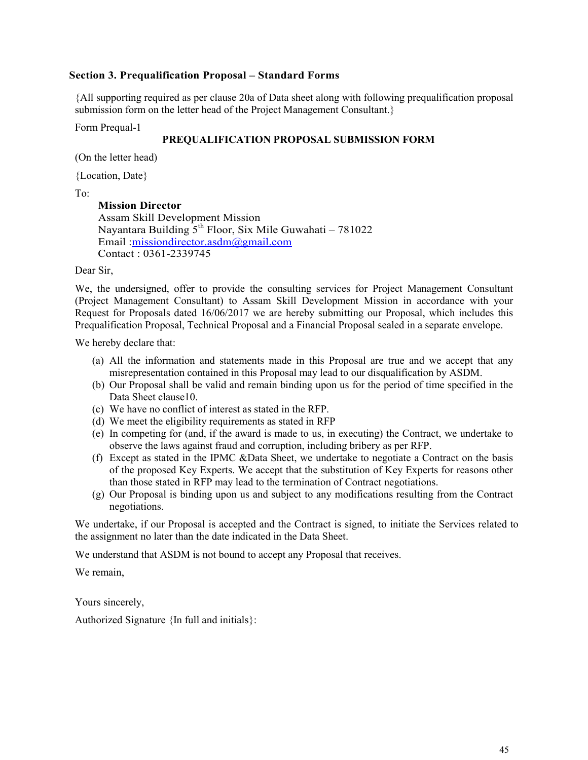# **Section 3. Prequalification Proposal – Standard Forms**

{All supporting required as per clause 20a of Data sheet along with following prequalification proposal submission form on the letter head of the Project Management Consultant.}

Form Prequal-1

# **PREQUALIFICATION PROPOSAL SUBMISSION FORM**

(On the letter head)

{Location, Date}

To:

 **Mission Director**  Assam Skill Development Mission Nayantara Building  $5<sup>th</sup>$  Floor, Six Mile Guwahati – 781022 Email :missiondirector.asdm@gmail.com Contact : 0361-2339745

Dear Sir,

We, the undersigned, offer to provide the consulting services for Project Management Consultant (Project Management Consultant) to Assam Skill Development Mission in accordance with your Request for Proposals dated 16/06/2017 we are hereby submitting our Proposal, which includes this Prequalification Proposal, Technical Proposal and a Financial Proposal sealed in a separate envelope.

We hereby declare that:

- (a) All the information and statements made in this Proposal are true and we accept that any misrepresentation contained in this Proposal may lead to our disqualification by ASDM.
- (b) Our Proposal shall be valid and remain binding upon us for the period of time specified in the Data Sheet clause10.
- (c) We have no conflict of interest as stated in the RFP.
- (d) We meet the eligibility requirements as stated in RFP
- (e) In competing for (and, if the award is made to us, in executing) the Contract, we undertake to observe the laws against fraud and corruption, including bribery as per RFP.
- (f) Except as stated in the IPMC &Data Sheet, we undertake to negotiate a Contract on the basis of the proposed Key Experts. We accept that the substitution of Key Experts for reasons other than those stated in RFP may lead to the termination of Contract negotiations.
- (g) Our Proposal is binding upon us and subject to any modifications resulting from the Contract negotiations.

We undertake, if our Proposal is accepted and the Contract is signed, to initiate the Services related to the assignment no later than the date indicated in the Data Sheet.

We understand that ASDM is not bound to accept any Proposal that receives.

We remain,

Yours sincerely,

Authorized Signature {In full and initials}: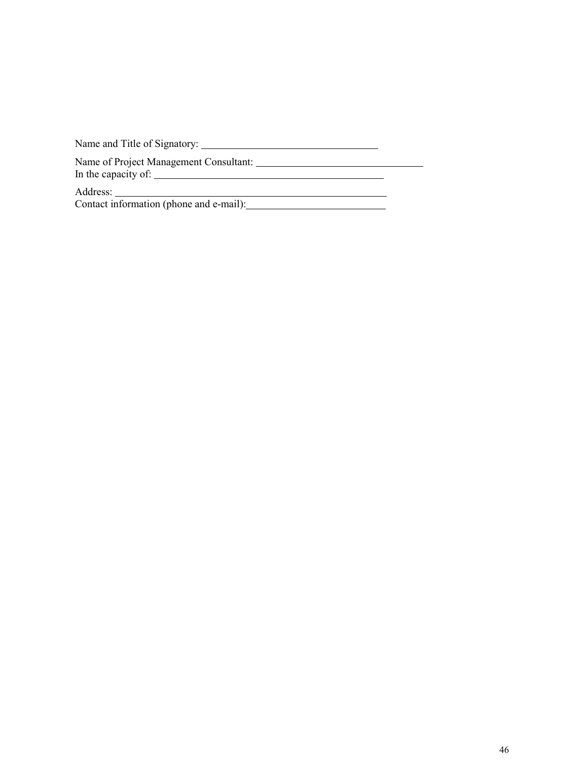Name and Title of Signatory: Name of Project Management Consultant: In the capacity of:  $\mathbb{R}^n$ Address: <u> 1989 - Johann Stoff, fransk politik (d. 1989)</u> Contact information (phone and e-mail):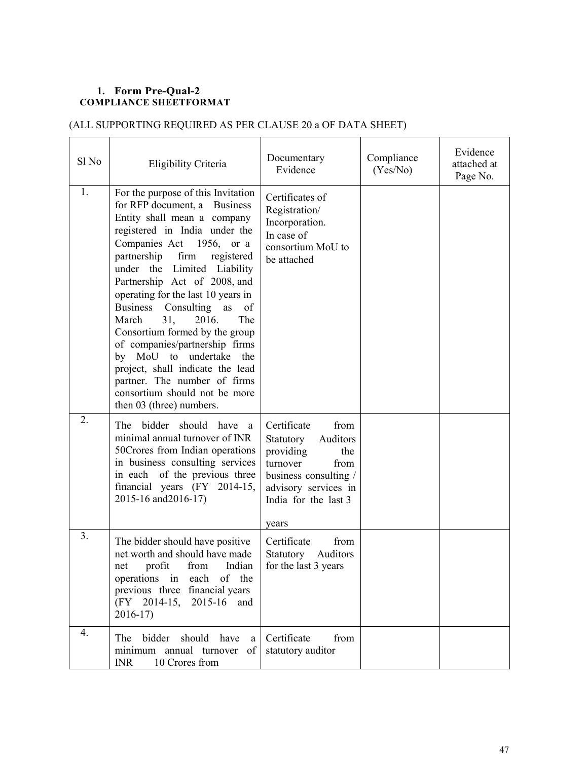# **1. Form Pre-Qual-2 COMPLIANCE SHEETFORMAT**

# (ALL SUPPORTING REQUIRED AS PER CLAUSE 20 a OF DATA SHEET)

| Sl No            | Eligibility Criteria                                                                                                                                                                                                                                                                                                                                                                                                                                                                                                                                                                                                     | Documentary<br>Evidence                                                                                                                                                | Compliance<br>(Yes/No) | Evidence<br>attached at<br>Page No. |
|------------------|--------------------------------------------------------------------------------------------------------------------------------------------------------------------------------------------------------------------------------------------------------------------------------------------------------------------------------------------------------------------------------------------------------------------------------------------------------------------------------------------------------------------------------------------------------------------------------------------------------------------------|------------------------------------------------------------------------------------------------------------------------------------------------------------------------|------------------------|-------------------------------------|
| 1.               | For the purpose of this Invitation<br>for RFP document, a Business<br>Entity shall mean a company<br>registered in India under the<br>Companies Act 1956, or a<br>partnership<br>firm<br>registered<br>under the Limited<br>Liability<br>Partnership Act of 2008, and<br>operating for the last 10 years in<br><b>Business</b><br>Consulting<br>as<br>of<br>31,<br>2016.<br>The<br>March<br>Consortium formed by the group<br>of companies/partnership firms<br>by MoU to undertake the<br>project, shall indicate the lead<br>partner. The number of firms<br>consortium should not be more<br>then 03 (three) numbers. | Certificates of<br>Registration/<br>Incorporation.<br>In case of<br>consortium MoU to<br>be attached                                                                   |                        |                                     |
| 2.               | bidder should have<br>The<br>a<br>minimal annual turnover of INR<br>50Crores from Indian operations<br>in business consulting services<br>in each of the previous three<br>financial years (FY 2014-15,<br>2015-16 and 2016-17)                                                                                                                                                                                                                                                                                                                                                                                          | Certificate<br>from<br>Auditors<br>Statutory<br>providing<br>the<br>turnover<br>from<br>business consulting /<br>advisory services in<br>India for the last 3<br>years |                        |                                     |
| 3.               | The bidder should have positive<br>net worth and should have made<br>profit<br>from<br>Indian<br>net<br>operations in each of the<br>previous three financial years<br>(FY 2014-15, 2015-16 and<br>$2016-17$                                                                                                                                                                                                                                                                                                                                                                                                             | Certificate<br>from<br>Auditors<br>Statutory<br>for the last 3 years                                                                                                   |                        |                                     |
| $\overline{4}$ . | bidder should<br>have<br>The<br>a<br>minimum annual turnover<br>- of<br>10 Crores from<br><b>INR</b>                                                                                                                                                                                                                                                                                                                                                                                                                                                                                                                     | Certificate<br>from<br>statutory auditor                                                                                                                               |                        |                                     |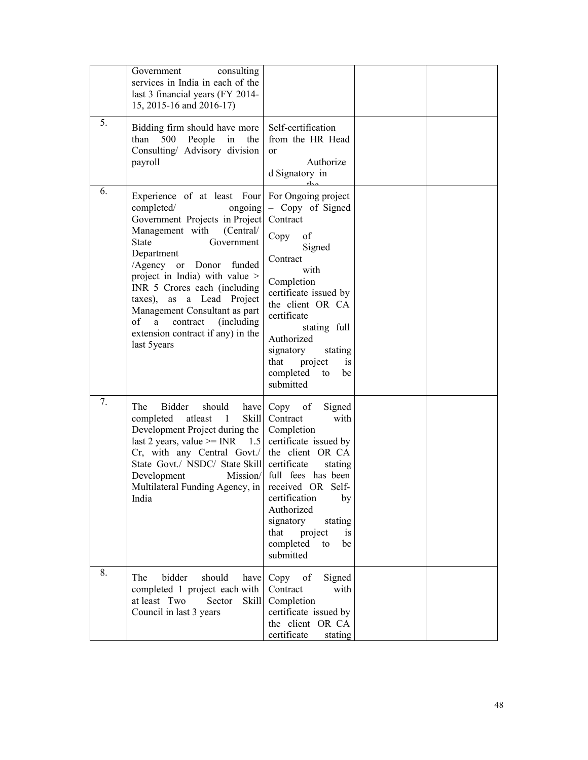|    | consulting<br>Government<br>services in India in each of the<br>last 3 financial years (FY 2014-<br>15, 2015-16 and 2016-17)                                                                                                                                                                                                                                                                                                                             |                                                                                                                                                                                                                                                                         |  |
|----|----------------------------------------------------------------------------------------------------------------------------------------------------------------------------------------------------------------------------------------------------------------------------------------------------------------------------------------------------------------------------------------------------------------------------------------------------------|-------------------------------------------------------------------------------------------------------------------------------------------------------------------------------------------------------------------------------------------------------------------------|--|
| 5. | Bidding firm should have more<br>than 500 People<br>in<br>the<br>Consulting/ Advisory division<br>payroll                                                                                                                                                                                                                                                                                                                                                | Self-certification<br>from the HR Head<br>or<br>Authorize<br>d Signatory in                                                                                                                                                                                             |  |
| 6. | Experience of at least Four For Ongoing project<br>completed/<br>ongoing<br>Government Projects in Project<br>Management with<br>(Central)<br><b>State</b><br>Government<br>Department<br>/Agency or Donor funded<br>project in India) with value ><br>INR 5 Crores each (including<br>$\frac{3}{2}$ (axes),<br>as a Lead Project<br>Management Consultant as part<br>of<br>a<br>contract (including<br>extension contract if any) in the<br>last 5years | - Copy of Signed<br>Contract<br>of<br>Copy<br>Signed<br>Contract<br>with<br>Completion<br>certificate issued by<br>the client OR CA<br>certificate<br>stating full<br>Authorized<br>signatory<br>stating<br>that<br>project<br>is<br>completed<br>be<br>to<br>submitted |  |
| 7. | The<br>Bidder<br>should<br>have<br>Skill<br>completed<br>atleast<br>$\overline{1}$<br>Development Project during the<br>last 2 years, value $>=$ INR 1.5 certificate issued by<br>$Cr$ , with any Central Govt./ the client OR CA<br>State Govt./ NSDC/ State Skill<br>Development<br>Mission/<br>Multilateral Funding Agency, in received OR Self-<br>India                                                                                             | Copy of<br>Signed<br>Contract<br>with<br>Completion<br>certificate<br>stating<br>full fees has been<br>certification<br>by<br>Authorized<br>signatory<br>stating<br>project<br>that<br><i>is</i><br>completed<br>be<br>to<br>submitted                                  |  |
| 8. | bidder<br>should<br>The<br>have<br>completed 1 project each with<br>at least Two<br>Sector<br>Skill<br>Council in last 3 years                                                                                                                                                                                                                                                                                                                           | Copy<br>of<br>Signed<br>Contract<br>with<br>Completion<br>certificate issued by<br>the client OR CA<br>certificate<br>stating                                                                                                                                           |  |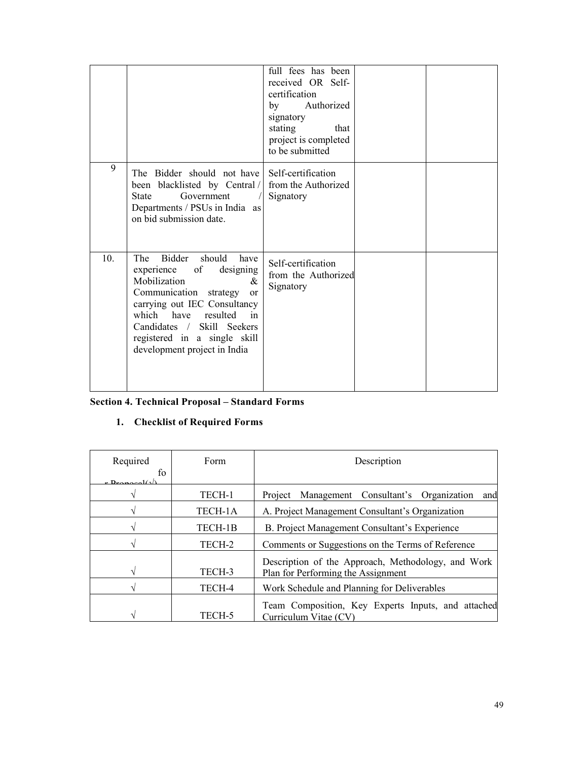|                 |                                                                                                                                                                                                                                                                                                   | full fees has been<br>received OR Self-<br>certification<br>Authorized<br>$\mathbf{b}$ v<br>signatory<br>stating<br>that<br>project is completed<br>to be submitted |  |
|-----------------|---------------------------------------------------------------------------------------------------------------------------------------------------------------------------------------------------------------------------------------------------------------------------------------------------|---------------------------------------------------------------------------------------------------------------------------------------------------------------------|--|
| 9               | The Bidder should not have<br>been blacklisted by Central /<br>Government<br>State<br>Departments / PSUs in India as<br>on bid submission date.                                                                                                                                                   | Self-certification<br>from the Authorized<br>Signatory                                                                                                              |  |
| 10 <sub>1</sub> | Bidder<br>should<br>The<br>have<br>experience<br>of<br>designing<br>Mobilization<br>&<br>Communication<br>strategy<br><sub>or</sub><br>carrying out IEC Consultancy<br>which have<br>resulted<br>in<br>Candidates / Skill Seekers<br>registered in a single skill<br>development project in India | Self-certification<br>from the Authorized<br>Signatory                                                                                                              |  |

# **Section 4. Technical Proposal – Standard Forms**

# **1. Checklist of Required Forms**

| Required                       | Form    | Description                                                                              |
|--------------------------------|---------|------------------------------------------------------------------------------------------|
| to<br>$r$ Draposal( $\sqrt{2}$ |         |                                                                                          |
|                                | TECH-1  | Project Management Consultant's Organization<br>and                                      |
|                                | TECH-1A | A. Project Management Consultant's Organization                                          |
|                                | TECH-1B | B. Project Management Consultant's Experience                                            |
|                                | TECH-2  | Comments or Suggestions on the Terms of Reference                                        |
|                                | TECH-3  | Description of the Approach, Methodology, and Work<br>Plan for Performing the Assignment |
|                                | TECH-4  | Work Schedule and Planning for Deliverables                                              |
|                                | TECH-5  | Team Composition, Key Experts Inputs, and attached<br>Curriculum Vitae (CV)              |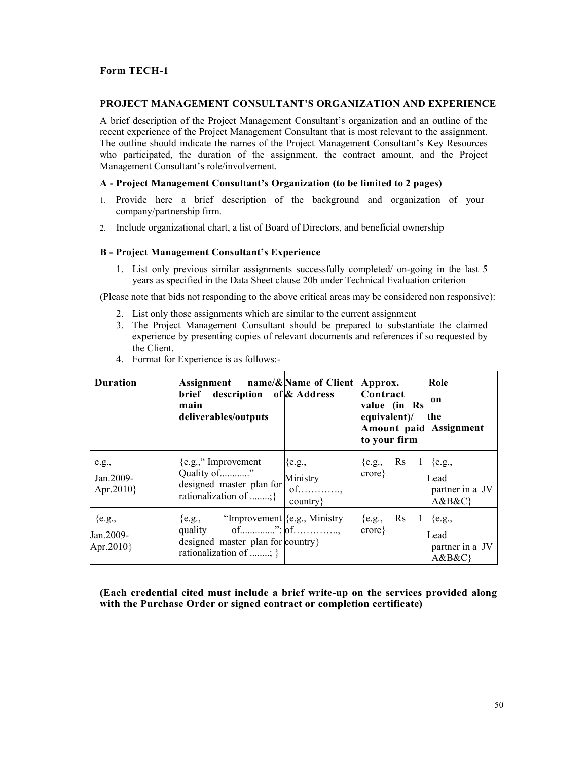# **Form TECH-1**

## **PROJECT MANAGEMENT CONSULTANT'S ORGANIZATION AND EXPERIENCE**

A brief description of the Project Management Consultant's organization and an outline of the recent experience of the Project Management Consultant that is most relevant to the assignment. The outline should indicate the names of the Project Management Consultant's Key Resources who participated, the duration of the assignment, the contract amount, and the Project Management Consultant's role/involvement.

# **A - Project Management Consultant's Organization (to be limited to 2 pages)**

- 1. Provide here a brief description of the background and organization of your company/partnership firm.
- 2. Include organizational chart, a list of Board of Directors, and beneficial ownership

# **B - Project Management Consultant's Experience**

1. List only previous similar assignments successfully completed/ on-going in the last 5 years as specified in the Data Sheet clause 20b under Technical Evaluation criterion

(Please note that bids not responding to the above critical areas may be considered non responsive):

- 2. List only those assignments which are similar to the current assignment
- 3. The Project Management Consultant should be prepared to substantiate the claimed experience by presenting copies of relevant documents and references if so requested by the Client.

| <b>Duration</b>                     | Assignment name/&Name of Client   Approx.<br>brief description of & Address<br>main<br>deliverables/outputs                                                 |                                            | Contract<br>value (in Rs<br>equivalent)/<br>Amount paid Assignment<br>to your firm | Role<br>on<br>the                |
|-------------------------------------|-------------------------------------------------------------------------------------------------------------------------------------------------------------|--------------------------------------------|------------------------------------------------------------------------------------|----------------------------------|
| e.g.,<br>Jan.2009-<br>Apr. $2010$ } | ${e.g.,}$ " Improvement<br>Quality of"<br>designed master plan for<br>rationalization of ;                                                                  | ${e.g.,}$<br>Ministry<br>$of$<br>country } | {e.g., Rs $1 \,   \, \{e.g.,\}$<br>$\text{core}\}$                                 | Lead<br>partner in a JV<br>A&B&C |
| ${e.g.,}$<br>Jan.2009-<br>Apr.2010} | ${e.g.,}$ "Improvement ${e.g.,}$ Ministry"<br>quality of $\ldots$ of $\ldots$ of $\ldots$<br>designed master plan for country}<br>rationalization of ; $\}$ |                                            | {e.g., Rs $1  $ {e.g.,<br>$\text{core}\}$                                          | Lead<br>partner in a JV<br>A&B&C |

4. Format for Experience is as follows:-

**(Each credential cited must include a brief write-up on the services provided along with the Purchase Order or signed contract or completion certificate)**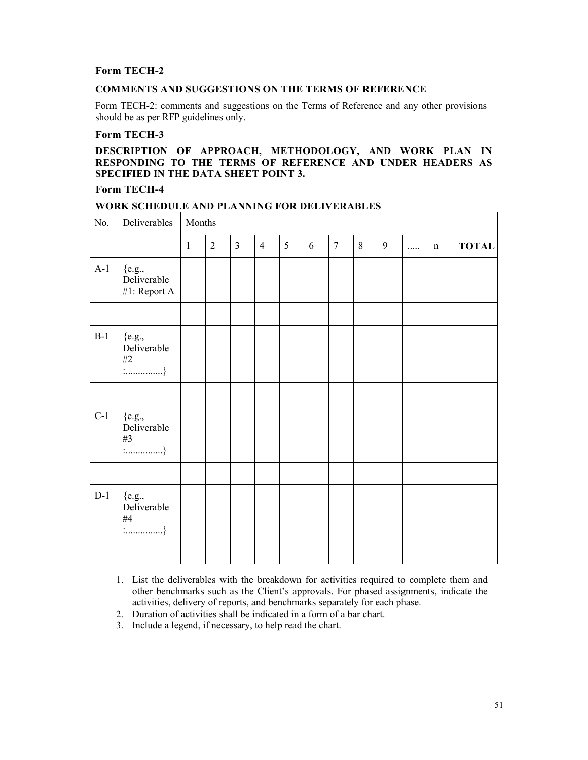# **Form TECH-2**

# **COMMENTS AND SUGGESTIONS ON THE TERMS OF REFERENCE**

Form TECH-2: comments and suggestions on the Terms of Reference and any other provisions should be as per RFP guidelines only.

# **Form TECH-3**

# **DESCRIPTION OF APPROACH, METHODOLOGY, AND WORK PLAN IN RESPONDING TO THE TERMS OF REFERENCE AND UNDER HEADERS AS SPECIFIED IN THE DATA SHEET POINT 3.**

# **Form TECH-4**

| No.   | Deliverables                                                                     | Months       |                |                |                |   |   |                |   |   |   |             |              |
|-------|----------------------------------------------------------------------------------|--------------|----------------|----------------|----------------|---|---|----------------|---|---|---|-------------|--------------|
|       |                                                                                  | $\mathbf{1}$ | $\overline{2}$ | $\overline{3}$ | $\overline{4}$ | 5 | 6 | $\overline{7}$ | 8 | 9 | . | $\mathbf n$ | <b>TOTAL</b> |
| $A-1$ | $\{e.g.,$<br>Deliverable<br>#1: Report A                                         |              |                |                |                |   |   |                |   |   |   |             |              |
|       |                                                                                  |              |                |                |                |   |   |                |   |   |   |             |              |
| $B-1$ | $\{e.g.,$<br>Deliverable<br>$\#2$<br>$\vdots$                                    |              |                |                |                |   |   |                |   |   |   |             |              |
|       |                                                                                  |              |                |                |                |   |   |                |   |   |   |             |              |
| $C-1$ | $\{e.g.,$<br>Deliverable<br>#3<br>$\ldots$                                       |              |                |                |                |   |   |                |   |   |   |             |              |
|       |                                                                                  |              |                |                |                |   |   |                |   |   |   |             |              |
| $D-1$ | ${e.g.,}$<br>Deliverable<br>$\#4$<br>$\vdots$ . $\ldots$ . $\ldots$ . $\ldots$ . |              |                |                |                |   |   |                |   |   |   |             |              |
|       |                                                                                  |              |                |                |                |   |   |                |   |   |   |             |              |

# **WORK SCHEDULE AND PLANNING FOR DELIVERABLES**

- 1. List the deliverables with the breakdown for activities required to complete them and other benchmarks such as the Client's approvals. For phased assignments, indicate the activities, delivery of reports, and benchmarks separately for each phase.
- 2. Duration of activities shall be indicated in a form of a bar chart.
- 3. Include a legend, if necessary, to help read the chart.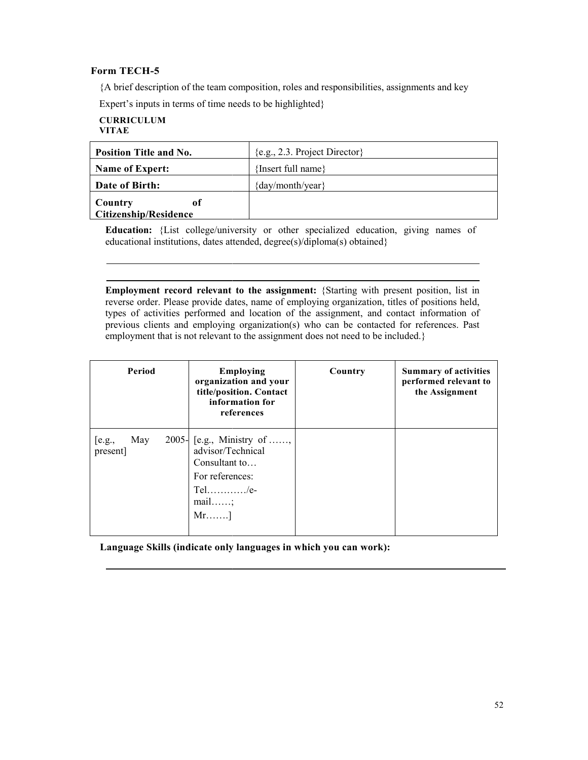# **Form TECH-5**

## **CURRICULUM VITAE**

| <b>Position Title and No.</b>                            | ${e.g., 2.3. Project Director}$                                                                                                                                        |  |  |
|----------------------------------------------------------|------------------------------------------------------------------------------------------------------------------------------------------------------------------------|--|--|
| {Insert full name}<br><b>Name of Expert:</b>             |                                                                                                                                                                        |  |  |
| $\{day/month/year\}$<br>Date of Birth:                   |                                                                                                                                                                        |  |  |
| Country<br><sub>of</sub><br><b>Citizenship/Residence</b> |                                                                                                                                                                        |  |  |
|                                                          | <b>Education:</b> {List college/university or other specialized education, giving names of<br>educational institutions, dates attended, degree(s)/diploma(s) obtained} |  |  |

**Employment record relevant to the assignment: {Starting with present position, list in** reverse order. Please provide dates, name of employing organization, titles of positions held, types of activities performed and location of the assignment, and contact information of previous clients and employing organization(s) who can be contacted for references. Pas employment that is not relevant to the assignment does not need to be included.} rder. Please provide dates, name of employing organization, titles of positions held activities performed and location of the assignment, and contact information o clients and employing organization(s) who can be contacted

| Period                    | <b>Employing</b><br>organization and your<br>title/position. Contact<br>information for<br>references                         | Country | <b>Summary of activities</b><br>performed relevant to<br>the Assignment |
|---------------------------|-------------------------------------------------------------------------------------------------------------------------------|---------|-------------------------------------------------------------------------|
| May<br>[e.g.,<br>present] | 2005- $[$ e.g., Ministry of<br>advisor/Technical<br>Consultant to<br>For references:<br>$Tel$ /e-<br>$mail$<br>$Mr. \ldots$ ] |         |                                                                         |

Language Skills (indicate only languages in which you can work):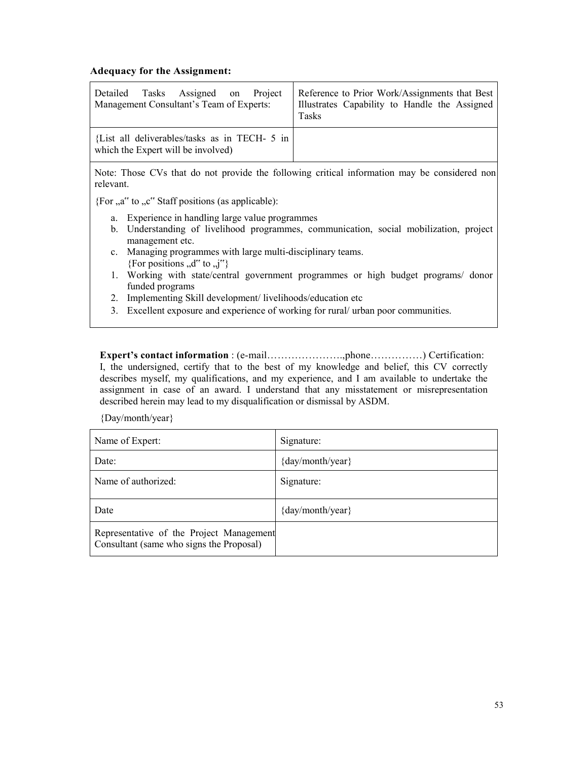# **Adequacy for the Assignment:**

| Assigned on Project                                                                 | Reference to Prior Work/Assignments that Best |
|-------------------------------------------------------------------------------------|-----------------------------------------------|
| Detailed Tasks                                                                      | Illustrates Capability to Handle the Assigned |
| Management Consultant's Team of Experts:                                            | Tasks                                         |
| {List all deliverables/tasks as in TECH- 5 in<br>which the Expert will be involved) |                                               |

Note: Those CVs that do not provide the following critical information may be considered non relevant.

{For  $a^{\prime\prime}$  to  $b^{\prime\prime}$ . Staff positions (as applicable):

- a. Experience in handling large value programmes
- b. Understanding of livelihood programmes, communication, social mobilization, project management etc.
- c. Managing programmes with large multi-disciplinary teams. {For positions ,,d" to ,,j"}
- 1. Working with state/central government programmes or high budget programs/ donor funded programs
- 2. Implementing Skill development/ livelihoods/education etc
- 3. Excellent exposure and experience of working for rural/ urban poor communities.

**Expert's contact information** : (e-mail………………….,phone……………) Certification: I, the undersigned, certify that to the best of my knowledge and belief, this CV correctly describes myself, my qualifications, and my experience, and I am available to undertake the assignment in case of an award. I understand that any misstatement or misrepresentation described herein may lead to my disqualification or dismissal by ASDM.

{Day/month/year}

| Name of Expert:                                                                      | Signature:           |
|--------------------------------------------------------------------------------------|----------------------|
| Date:                                                                                | $\{day/month/year\}$ |
| Name of authorized:                                                                  | Signature:           |
| Date                                                                                 | $\{day/month/year\}$ |
| Representative of the Project Management<br>Consultant (same who signs the Proposal) |                      |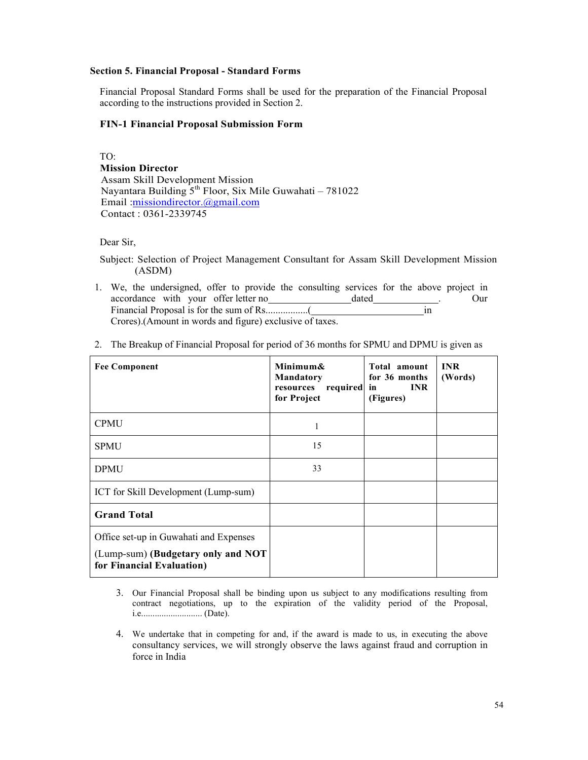# **Section 5. Financial Proposal - Standard Forms**

Financial Proposal Standard Forms shall be used for the preparation of the Financial Proposal according to the instructions provided in Section 2.

# **FIN-1 Financial Proposal Submission Form**

TO:  **Mission Director**  Assam Skill Development Mission Nayantara Building  $5^{th}$  Floor, Six Mile Guwahati – 781022 Email :missiondirector.@gmail.com Contact : 0361-2339745

Dear Sir,

Subject: Selection of Project Management Consultant for Assam Skill Development Mission (ASDM)

1. We, the undersigned, offer to provide the consulting services for the above project in accordance with your offer letter no dated . Our Financial Proposal is for the sum of Rs.................( in Crores).(Amount in words and figure) exclusive of taxes.

| <b>Fee Component</b>                                                                                      | Minimum&<br><b>Mandatory</b><br>required in<br>resources<br>for Project | Total amount<br>for 36 months<br><b>INR</b><br>(Figures) | <b>INR</b><br>(Words) |
|-----------------------------------------------------------------------------------------------------------|-------------------------------------------------------------------------|----------------------------------------------------------|-----------------------|
| <b>CPMU</b>                                                                                               | 1                                                                       |                                                          |                       |
| <b>SPMU</b>                                                                                               | 15                                                                      |                                                          |                       |
| <b>DPMU</b>                                                                                               | 33                                                                      |                                                          |                       |
| ICT for Skill Development (Lump-sum)                                                                      |                                                                         |                                                          |                       |
| <b>Grand Total</b>                                                                                        |                                                                         |                                                          |                       |
| Office set-up in Guwahati and Expenses<br>(Lump-sum) (Budgetary only and NOT<br>for Financial Evaluation) |                                                                         |                                                          |                       |

2. The Breakup of Financial Proposal for period of 36 months for SPMU and DPMU is given as

- 3. Our Financial Proposal shall be binding upon us subject to any modifications resulting from contract negotiations, up to the expiration of the validity period of the Proposal, i.e........................... (Date).
- 4. We undertake that in competing for and, if the award is made to us, in executing the above consultancy services, we will strongly observe the laws against fraud and corruption in force in India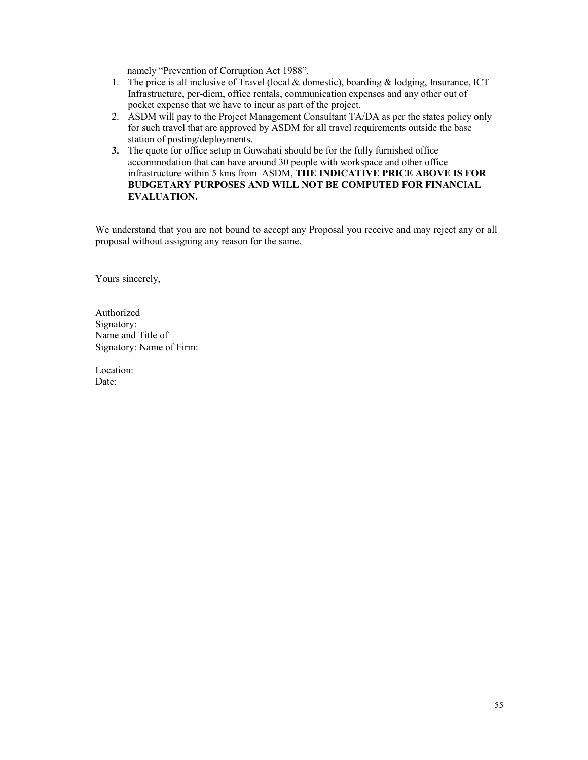namely "Prevention of Corruption Act 1988".

- 1. The price is all inclusive of Travel (local & domestic), boarding & lodging, Insurance, ICT Infrastructure, per-diem, office rentals, communication expenses and any other out of pocket expense that we have to incur as part of the project.
- 2. ASDM will pay to the Project Management Consultant TA/DA as per the states policy only for such travel that are approved by ASDM for all travel requirements outside the base station of posting/deployments.
- **3.** The quote for office setup in Guwahati should be for the fully furnished office accommodation that can have around 30 people with workspace and other office infrastructure within 5 kms from ASDM, **THE INDICATIVE PRICE ABOVE IS FOR BUDGETARY PURPOSES AND WILL NOT BE COMPUTED FOR FINANCIAL EVALUATION.**

We understand that you are not bound to accept any Proposal you receive and may reject any or all proposal without assigning any reason for the same.

Yours sincerely,

Authorized Signatory: Name and Title of Signatory: Name of Firm:

Location: Date: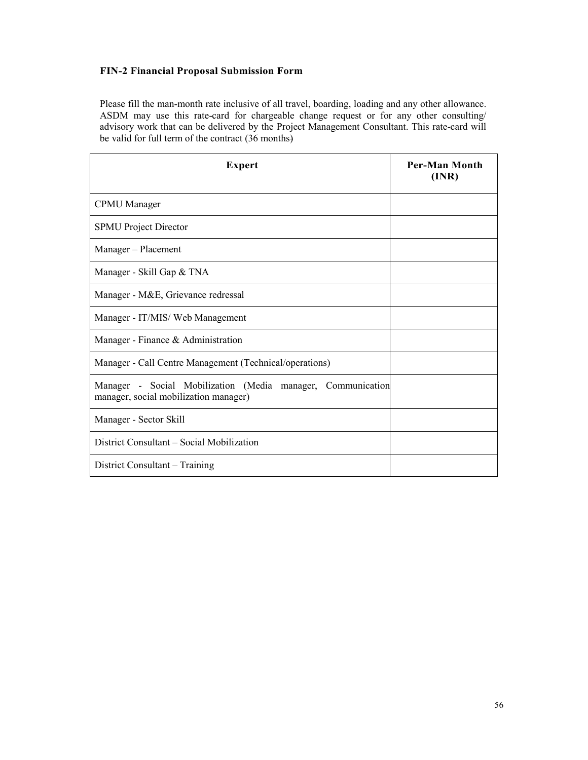# **FIN-2 Financial Proposal Submission Form**

Please fill the man-month rate inclusive of all travel, boarding, loading and any other allowance. ASDM may use this rate-card for chargeable change request or for any other consulting/ advisory work that can be delivered by the Project Management Consultant. This rate-card will be valid for full term of the contract (36 months)

| <b>Expert</b>                                                                                        | <b>Per-Man Month</b><br>(INR) |
|------------------------------------------------------------------------------------------------------|-------------------------------|
| <b>CPMU</b> Manager                                                                                  |                               |
| <b>SPMU</b> Project Director                                                                         |                               |
| Manager – Placement                                                                                  |                               |
| Manager - Skill Gap & TNA                                                                            |                               |
| Manager - M&E, Grievance redressal                                                                   |                               |
| Manager - IT/MIS/ Web Management                                                                     |                               |
| Manager - Finance & Administration                                                                   |                               |
| Manager - Call Centre Management (Technical/operations)                                              |                               |
| Manager - Social Mobilization (Media manager, Communication<br>manager, social mobilization manager) |                               |
| Manager - Sector Skill                                                                               |                               |
| District Consultant – Social Mobilization                                                            |                               |
| District Consultant – Training                                                                       |                               |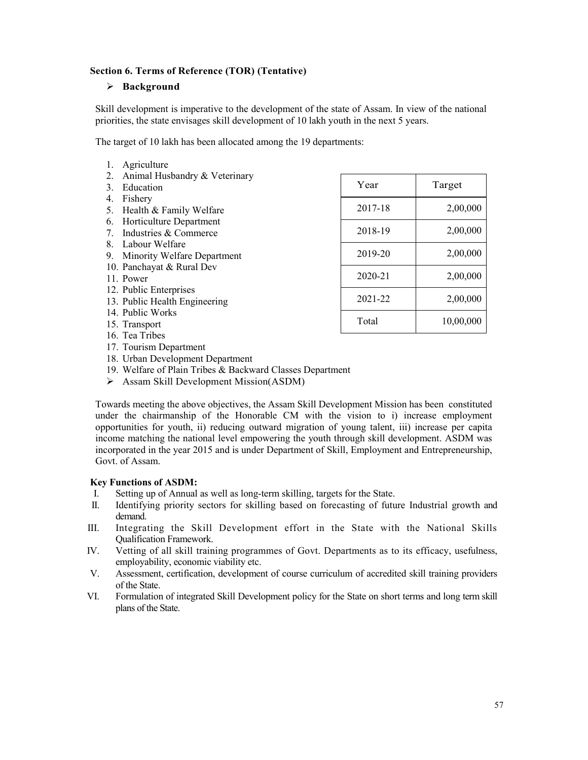# **Section 6. Terms of Reference (TOR) (Tentative)**

# **Background**

Skill development is imperative to the development of the state of Assam. In view of the national priorities, the state envisages skill development of 10 lakh youth in the next 5 years.

The target of 10 lakh has been allocated among the 19 departments:

|    | Agriculture                   |         |           |
|----|-------------------------------|---------|-----------|
| 2. | Animal Husbandry & Veterinary |         |           |
| 3  | Education                     | Year    | Target    |
| 4. | Fishery                       |         |           |
| 5. | Health & Family Welfare       | 2017-18 | 2,00,000  |
| 6. | Horticulture Department       |         |           |
| 7  | Industries & Commerce         | 2018-19 | 2,00,000  |
|    | 8. Labour Welfare             |         |           |
| 9. | Minority Welfare Department   | 2019-20 | 2,00,000  |
|    | 10. Panchayat & Rural Dev     |         |           |
|    | 11. Power                     | 2020-21 | 2,00,000  |
|    | 12. Public Enterprises        |         |           |
|    | 13. Public Health Engineering | 2021-22 | 2,00,000  |
|    | 14. Public Works              |         |           |
|    | 15. Transport                 | Total   | 10,00,000 |
|    | 16. Tea Tribes                |         |           |
|    | 17. Tourism Department        |         |           |

- 18. Urban Development Department
- 19. Welfare of Plain Tribes & Backward Classes Department
- $\triangleright$  Assam Skill Development Mission(ASDM)

Towards meeting the above objectives, the Assam Skill Development Mission has been constituted under the chairmanship of the Honorable CM with the vision to i) increase employment opportunities for youth, ii) reducing outward migration of young talent, iii) increase per capita income matching the national level empowering the youth through skill development. ASDM was incorporated in the year 2015 and is under Department of Skill, Employment and Entrepreneurship, Govt. of Assam.

# **Key Functions of ASDM:**

- I. Setting up of Annual as well as long-term skilling, targets for the State.
- II. Identifying priority sectors for skilling based on forecasting of future Industrial growth and demand.
- III. Integrating the Skill Development effort in the State with the National Skills Qualification Framework.
- IV. Vetting of all skill training programmes of Govt. Departments as to its efficacy, usefulness, employability, economic viability etc.
- V. Assessment, certification, development of course curriculum of accredited skill training providers of the State.
- VI. Formulation of integrated Skill Development policy for the State on short terms and long term skill plans of the State.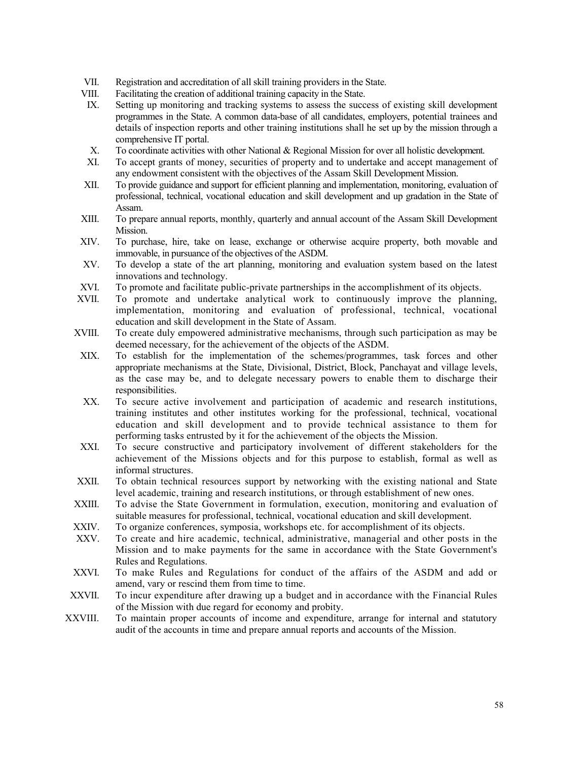- VII. Registration and accreditation of all skill training providers in the State.
- VIII. Facilitating the creation of additional training capacity in the State.
- IX. Setting up monitoring and tracking systems to assess the success of existing skill development programmes in the State. A common data-base of all candidates, employers, potential trainees and details of inspection reports and other training institutions shall he set up by the mission through a comprehensive IT portal.
- X. To coordinate activities with other National & Regional Mission for over all holistic development.
- XI. To accept grants of money, securities of property and to undertake and accept management of any endowment consistent with the objectives of the Assam Skill Development Mission.
- XII. To provide guidance and support for efficient planning and implementation, monitoring, evaluation of professional, technical, vocational education and skill development and up gradation in the State of Assam.
- XIII. To prepare annual reports, monthly, quarterly and annual account of the Assam Skill Development Mission.
- XIV. To purchase, hire, take on lease, exchange or otherwise acquire property, both movable and immovable, in pursuance of the objectives of the ASDM.
- XV. To develop a state of the art planning, monitoring and evaluation system based on the latest innovations and technology.
- XVI. To promote and facilitate public-private partnerships in the accomplishment of its objects.
- XVII. To promote and undertake analytical work to continuously improve the planning, implementation, monitoring and evaluation of professional, technical, vocational education and skill development in the State of Assam.
- XVIII. To create duly empowered administrative mechanisms, through such participation as may be deemed necessary, for the achievement of the objects of the ASDM.
- XIX. To establish for the implementation of the schemes/programmes, task forces and other appropriate mechanisms at the State, Divisional, District, Block, Panchayat and village levels, as the case may be, and to delegate necessary powers to enable them to discharge their responsibilities.
- XX. To secure active involvement and participation of academic and research institutions, training institutes and other institutes working for the professional, technical, vocational education and skill development and to provide technical assistance to them for performing tasks entrusted by it for the achievement of the objects the Mission.
- XXI. To secure constructive and participatory involvement of different stakeholders for the achievement of the Missions objects and for this purpose to establish, formal as well as informal structures.
- XXII. To obtain technical resources support by networking with the existing national and State level academic, training and research institutions, or through establishment of new ones.
- XXIII. To advise the State Government in formulation, execution, monitoring and evaluation of suitable measures for professional, technical, vocational education and skill development.
- XXIV. To organize conferences, symposia, workshops etc. for accomplishment of its objects.
- XXV. To create and hire academic, technical, administrative, managerial and other posts in the Mission and to make payments for the same in accordance with the State Government's Rules and Regulations.
- XXVI. To make Rules and Regulations for conduct of the affairs of the ASDM and add or amend, vary or rescind them from time to time.
- XXVII. To incur expenditure after drawing up a budget and in accordance with the Financial Rules of the Mission with due regard for economy and probity.
- XXVIII. To maintain proper accounts of income and expenditure, arrange for internal and statutory audit of the accounts in time and prepare annual reports and accounts of the Mission.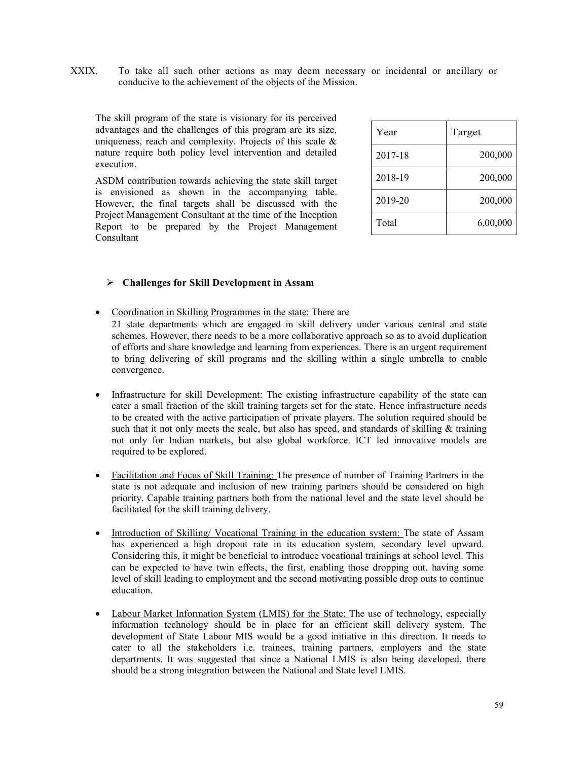XXIX. To take all such other actions as may deem necessary or incidental or ancillary or conducive to the achievement of the objects of the Mission.

The skill program of the state is visionary for its perceived advantages and the challenges of this program are its size, uniqueness, reach and complexity. Projects of this scale & nature require both policy level intervention and detailed execution.

ASDM contribution towards achieving the state skill target is envisioned as shown in the accompanying table. However, the final targets shall be discussed with the Project Management Consultant at the time of the Inception Report to be prepared by the Project Management Consultant

| Year    | Target   |
|---------|----------|
| 2017-18 | 200,000  |
| 2018-19 | 200,000  |
| 2019-20 | 200,000  |
| Total   | 6,00,000 |

# **Challenges for Skill Development in Assam**

• Coordination in Skilling Programmes in the state: There are

21 state departments which are engaged in skill delivery under various central and state schemes. However, there needs to be a more collaborative approach so as to avoid duplication of efforts and share knowledge and learning from experiences. There is an urgent requirement to bring delivering of skill programs and the skilling within a single umbrella to enable convergence.

- Infrastructure for skill Development: The existing infrastructure capability of the state can cater a small fraction of the skill training targets set for the state. Hence infrastructure needs to be created with the active participation of private players. The solution required should be such that it not only meets the scale, but also has speed, and standards of skilling  $\&$  training not only for Indian markets, but also global workforce. ICT led innovative models are required to be explored.
- Facilitation and Focus of Skill Training: The presence of number of Training Partners in the state is not adequate and inclusion of new training partners should be considered on high priority. Capable training partners both from the national level and the state level should be facilitated for the skill training delivery.
- Introduction of Skilling/Vocational Training in the education system: The state of Assam has experienced a high dropout rate in its education system, secondary level upward. Considering this, it might be beneficial to introduce vocational trainings at school level. This can be expected to have twin effects, the first, enabling those dropping out, having some level of skill leading to employment and the second motivating possible drop outs to continue education.
- Labour Market Information System (LMIS) for the State: The use of technology, especially information technology should be in place for an efficient skill delivery system. The development of State Labour MIS would be a good initiative in this direction. It needs to cater to all the stakeholders i.e. trainees, training partners, employers and the state departments. It was suggested that since a National LMIS is also being developed, there should be a strong integration between the National and State level LMIS.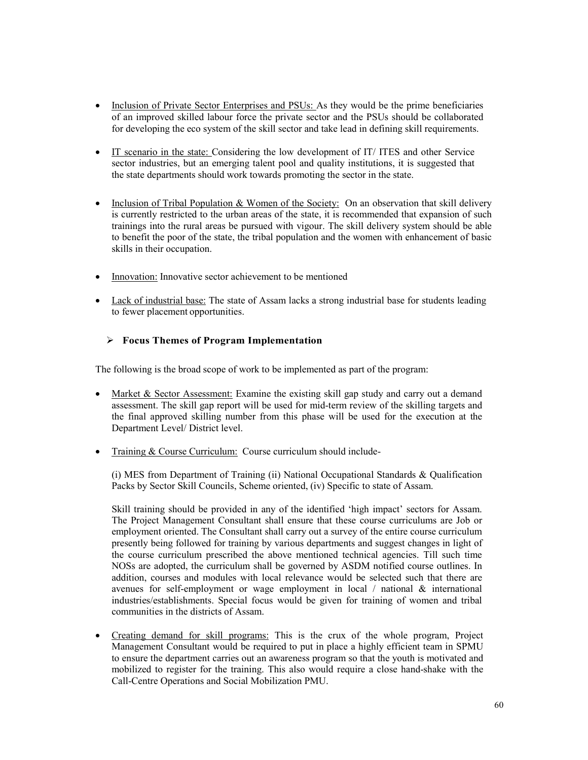- Inclusion of Private Sector Enterprises and PSUs: As they would be the prime beneficiaries of an improved skilled labour force the private sector and the PSUs should be collaborated for developing the eco system of the skill sector and take lead in defining skill requirements.
- IT scenario in the state: Considering the low development of IT/ ITES and other Service sector industries, but an emerging talent pool and quality institutions, it is suggested that the state departments should work towards promoting the sector in the state.
- Inclusion of Tribal Population & Women of the Society: On an observation that skill delivery is currently restricted to the urban areas of the state, it is recommended that expansion of such trainings into the rural areas be pursued with vigour. The skill delivery system should be able to benefit the poor of the state, the tribal population and the women with enhancement of basic skills in their occupation.
- Innovation: Innovative sector achievement to be mentioned
- Lack of industrial base: The state of Assam lacks a strong industrial base for students leading to fewer placement opportunities.

# **Focus Themes of Program Implementation**

The following is the broad scope of work to be implemented as part of the program:

- Market & Sector Assessment: Examine the existing skill gap study and carry out a demand assessment. The skill gap report will be used for mid-term review of the skilling targets and the final approved skilling number from this phase will be used for the execution at the Department Level/ District level.
- Training & Course Curriculum: Course curriculum should include-

(i) MES from Department of Training (ii) National Occupational Standards & Qualification Packs by Sector Skill Councils, Scheme oriented, (iv) Specific to state of Assam.

Skill training should be provided in any of the identified 'high impact' sectors for Assam. The Project Management Consultant shall ensure that these course curriculums are Job or employment oriented. The Consultant shall carry out a survey of the entire course curriculum presently being followed for training by various departments and suggest changes in light of the course curriculum prescribed the above mentioned technical agencies. Till such time NOSs are adopted, the curriculum shall be governed by ASDM notified course outlines. In addition, courses and modules with local relevance would be selected such that there are avenues for self-employment or wage employment in local / national & international industries/establishments. Special focus would be given for training of women and tribal communities in the districts of Assam.

• Creating demand for skill programs: This is the crux of the whole program, Project Management Consultant would be required to put in place a highly efficient team in SPMU to ensure the department carries out an awareness program so that the youth is motivated and mobilized to register for the training. This also would require a close hand-shake with the Call-Centre Operations and Social Mobilization PMU.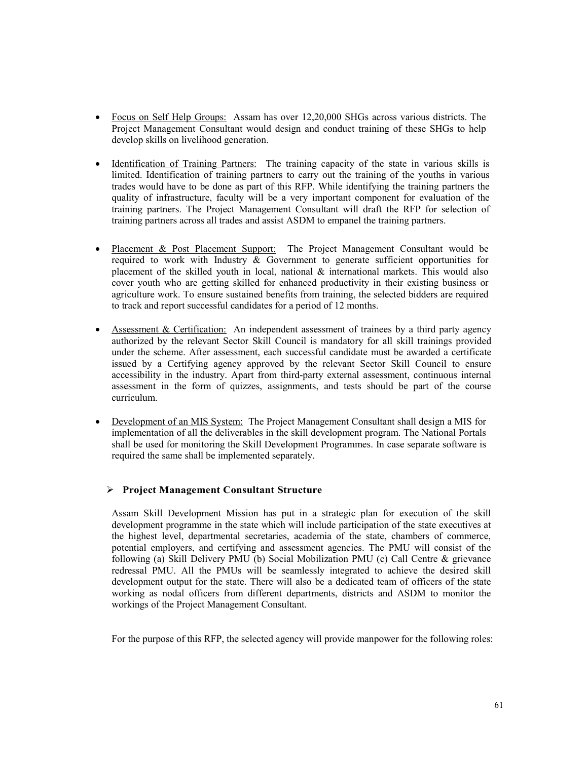- Focus on Self Help Groups: Assam has over 12,20,000 SHGs across various districts. The Project Management Consultant would design and conduct training of these SHGs to help develop skills on livelihood generation.
- Identification of Training Partners: The training capacity of the state in various skills is limited. Identification of training partners to carry out the training of the youths in various trades would have to be done as part of this RFP. While identifying the training partners the quality of infrastructure, faculty will be a very important component for evaluation of the training partners. The Project Management Consultant will draft the RFP for selection of training partners across all trades and assist ASDM to empanel the training partners.
- Placement & Post Placement Support: The Project Management Consultant would be required to work with Industry & Government to generate sufficient opportunities for placement of the skilled youth in local, national  $\&$  international markets. This would also cover youth who are getting skilled for enhanced productivity in their existing business or agriculture work. To ensure sustained benefits from training, the selected bidders are required to track and report successful candidates for a period of 12 months.
- Assessment & Certification: An independent assessment of trainees by a third party agency authorized by the relevant Sector Skill Council is mandatory for all skill trainings provided under the scheme. After assessment, each successful candidate must be awarded a certificate issued by a Certifying agency approved by the relevant Sector Skill Council to ensure accessibility in the industry. Apart from third-party external assessment, continuous internal assessment in the form of quizzes, assignments, and tests should be part of the course curriculum.
- Development of an MIS System: The Project Management Consultant shall design a MIS for implementation of all the deliverables in the skill development program. The National Portals shall be used for monitoring the Skill Development Programmes. In case separate software is required the same shall be implemented separately.

# **Project Management Consultant Structure**

Assam Skill Development Mission has put in a strategic plan for execution of the skill development programme in the state which will include participation of the state executives at the highest level, departmental secretaries, academia of the state, chambers of commerce, potential employers, and certifying and assessment agencies. The PMU will consist of the following (a) Skill Delivery PMU (b) Social Mobilization PMU (c) Call Centre & grievance redressal PMU. All the PMUs will be seamlessly integrated to achieve the desired skill development output for the state. There will also be a dedicated team of officers of the state working as nodal officers from different departments, districts and ASDM to monitor the workings of the Project Management Consultant.

For the purpose of this RFP, the selected agency will provide manpower for the following roles: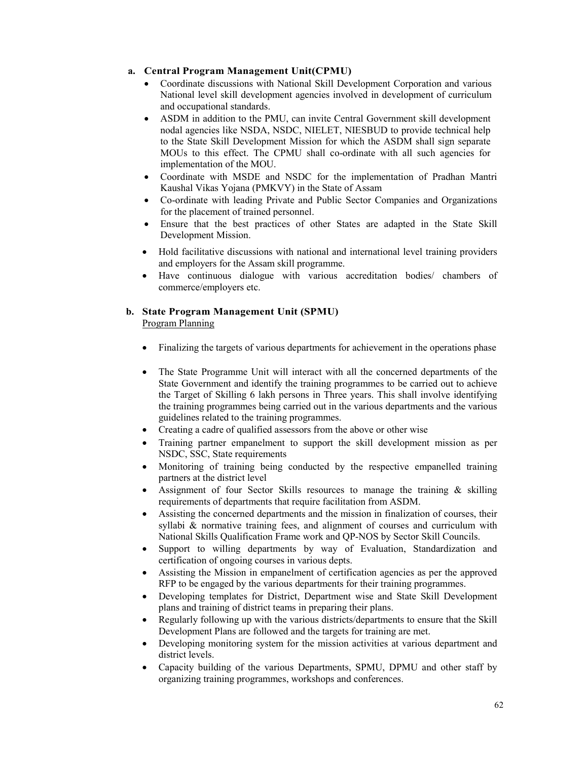# **a. Central Program Management Unit(CPMU)**

- Coordinate discussions with National Skill Development Corporation and various National level skill development agencies involved in development of curriculum and occupational standards.
- ASDM in addition to the PMU, can invite Central Government skill development nodal agencies like NSDA, NSDC, NIELET, NIESBUD to provide technical help to the State Skill Development Mission for which the ASDM shall sign separate MOUs to this effect. The CPMU shall co-ordinate with all such agencies for implementation of the MOU.
- Coordinate with MSDE and NSDC for the implementation of Pradhan Mantri Kaushal Vikas Yojana (PMKVY) in the State of Assam
- Co-ordinate with leading Private and Public Sector Companies and Organizations for the placement of trained personnel.
- Ensure that the best practices of other States are adapted in the State Skill Development Mission.
- Hold facilitative discussions with national and international level training providers and employers for the Assam skill programme.
- Have continuous dialogue with various accreditation bodies/ chambers of commerce/employers etc.

# **b. State Program Management Unit (SPMU)**

Program Planning

- Finalizing the targets of various departments for achievement in the operations phase
- The State Programme Unit will interact with all the concerned departments of the State Government and identify the training programmes to be carried out to achieve the Target of Skilling 6 lakh persons in Three years. This shall involve identifying the training programmes being carried out in the various departments and the various guidelines related to the training programmes.
- Creating a cadre of qualified assessors from the above or other wise
- Training partner empanelment to support the skill development mission as per NSDC, SSC, State requirements
- Monitoring of training being conducted by the respective empanelled training partners at the district level
- Assignment of four Sector Skills resources to manage the training & skilling requirements of departments that require facilitation from ASDM.
- Assisting the concerned departments and the mission in finalization of courses, their syllabi & normative training fees, and alignment of courses and curriculum with National Skills Qualification Frame work and QP-NOS by Sector Skill Councils.
- Support to willing departments by way of Evaluation, Standardization and certification of ongoing courses in various depts.
- Assisting the Mission in empanelment of certification agencies as per the approved RFP to be engaged by the various departments for their training programmes.
- Developing templates for District, Department wise and State Skill Development plans and training of district teams in preparing their plans.
- Regularly following up with the various districts/departments to ensure that the Skill Development Plans are followed and the targets for training are met.
- Developing monitoring system for the mission activities at various department and district levels.
- Capacity building of the various Departments, SPMU, DPMU and other staff by organizing training programmes, workshops and conferences.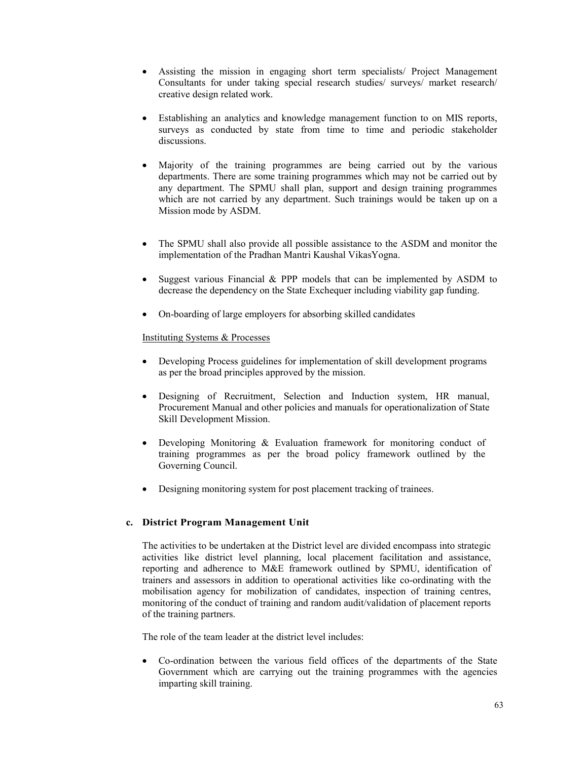- Assisting the mission in engaging short term specialists/ Project Management Consultants for under taking special research studies/ surveys/ market research/ creative design related work.
- Establishing an analytics and knowledge management function to on MIS reports, surveys as conducted by state from time to time and periodic stakeholder discussions.
- Majority of the training programmes are being carried out by the various departments. There are some training programmes which may not be carried out by any department. The SPMU shall plan, support and design training programmes which are not carried by any department. Such trainings would be taken up on a Mission mode by ASDM.
- The SPMU shall also provide all possible assistance to the ASDM and monitor the implementation of the Pradhan Mantri Kaushal VikasYogna.
- Suggest various Financial & PPP models that can be implemented by ASDM to decrease the dependency on the State Exchequer including viability gap funding.
- On-boarding of large employers for absorbing skilled candidates

# Instituting Systems & Processes

- Developing Process guidelines for implementation of skill development programs as per the broad principles approved by the mission.
- Designing of Recruitment, Selection and Induction system, HR manual, Procurement Manual and other policies and manuals for operationalization of State Skill Development Mission.
- Developing Monitoring & Evaluation framework for monitoring conduct of training programmes as per the broad policy framework outlined by the Governing Council.
- Designing monitoring system for post placement tracking of trainees.

# **c. District Program Management Unit**

The activities to be undertaken at the District level are divided encompass into strategic activities like district level planning, local placement facilitation and assistance, reporting and adherence to M&E framework outlined by SPMU, identification of trainers and assessors in addition to operational activities like co-ordinating with the mobilisation agency for mobilization of candidates, inspection of training centres, monitoring of the conduct of training and random audit/validation of placement reports of the training partners.

The role of the team leader at the district level includes:

• Co-ordination between the various field offices of the departments of the State Government which are carrying out the training programmes with the agencies imparting skill training.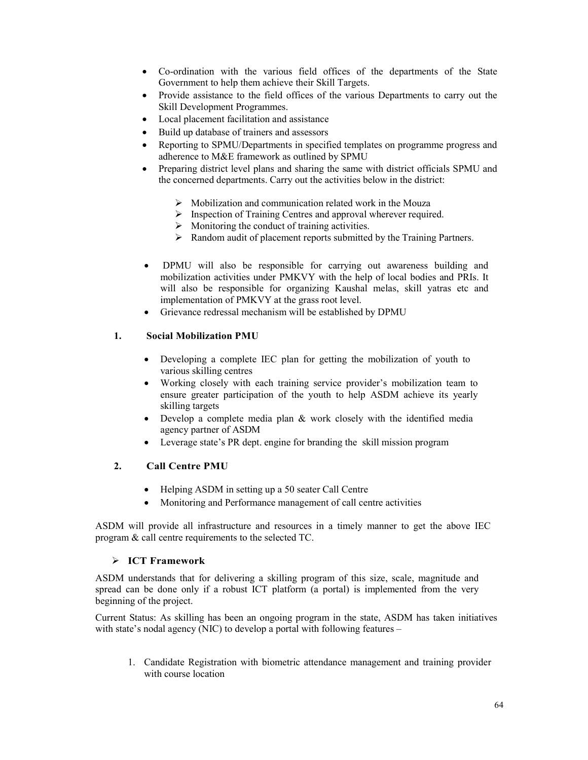- Co-ordination with the various field offices of the departments of the State Government to help them achieve their Skill Targets.
- Provide assistance to the field offices of the various Departments to carry out the Skill Development Programmes.
- Local placement facilitation and assistance
- Build up database of trainers and assessors
- Reporting to SPMU/Departments in specified templates on programme progress and adherence to M&E framework as outlined by SPMU
- Preparing district level plans and sharing the same with district officials SPMU and the concerned departments. Carry out the activities below in the district:
	- $\triangleright$  Mobilization and communication related work in the Mouza
	- $\triangleright$  Inspection of Training Centres and approval wherever required.
	- $\triangleright$  Monitoring the conduct of training activities.
	- $\triangleright$  Random audit of placement reports submitted by the Training Partners.
- DPMU will also be responsible for carrying out awareness building and mobilization activities under PMKVY with the help of local bodies and PRIs. It will also be responsible for organizing Kaushal melas, skill vatras etc and implementation of PMKVY at the grass root level.
- Grievance redressal mechanism will be established by DPMU

# **1. Social Mobilization PMU**

- Developing a complete IEC plan for getting the mobilization of youth to various skilling centres
- Working closely with each training service provider's mobilization team to ensure greater participation of the youth to help ASDM achieve its yearly skilling targets
- Develop a complete media plan & work closely with the identified media agency partner of ASDM
- Leverage state's PR dept. engine for branding the skill mission program

# **2. Call Centre PMU**

- Helping ASDM in setting up a 50 seater Call Centre
- Monitoring and Performance management of call centre activities

ASDM will provide all infrastructure and resources in a timely manner to get the above IEC program & call centre requirements to the selected TC.

# **ICT Framework**

ASDM understands that for delivering a skilling program of this size, scale, magnitude and spread can be done only if a robust ICT platform (a portal) is implemented from the very beginning of the project.

Current Status: As skilling has been an ongoing program in the state, ASDM has taken initiatives with state's nodal agency (NIC) to develop a portal with following features –

1. Candidate Registration with biometric attendance management and training provider with course location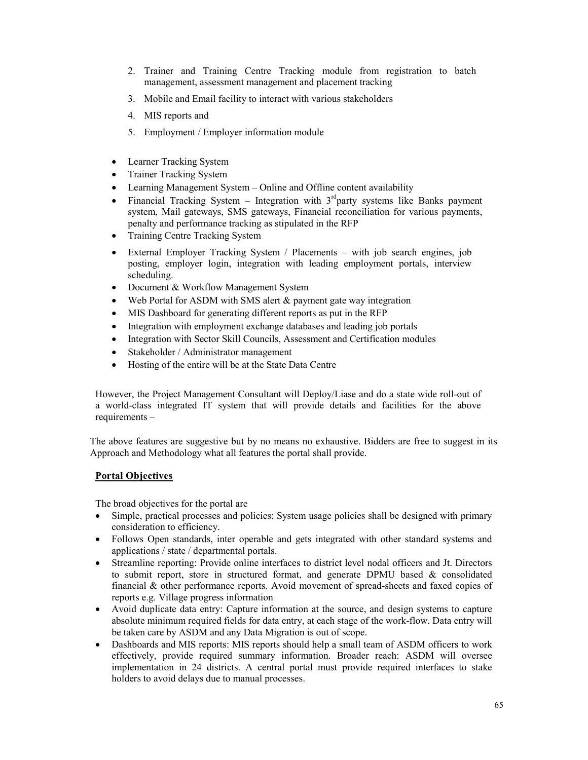- 2. Trainer and Training Centre Tracking module from registration to batch management, assessment management and placement tracking
- 3. Mobile and Email facility to interact with various stakeholders
- 4. MIS reports and
- 5. Employment / Employer information module
- Learner Tracking System
- Trainer Tracking System
- Learning Management System Online and Offline content availability
- Financial Tracking System Integration with  $3<sup>rd</sup>$  party systems like Banks payment system, Mail gateways, SMS gateways, Financial reconciliation for various payments, penalty and performance tracking as stipulated in the RFP
- Training Centre Tracking System
- External Employer Tracking System / Placements with job search engines, job posting, employer login, integration with leading employment portals, interview scheduling.
- Document & Workflow Management System
- Web Portal for ASDM with SMS alert & payment gate way integration
- MIS Dashboard for generating different reports as put in the RFP
- Integration with employment exchange databases and leading job portals
- Integration with Sector Skill Councils, Assessment and Certification modules
- Stakeholder / Administrator management
- Hosting of the entire will be at the State Data Centre

However, the Project Management Consultant will Deploy/Liase and do a state wide roll-out of a world-class integrated IT system that will provide details and facilities for the above requirements –

The above features are suggestive but by no means no exhaustive. Bidders are free to suggest in its Approach and Methodology what all features the portal shall provide.

# **Portal Objectives**

The broad objectives for the portal are

- Simple, practical processes and policies: System usage policies shall be designed with primary consideration to efficiency.
- Follows Open standards, inter operable and gets integrated with other standard systems and applications / state / departmental portals.
- Streamline reporting: Provide online interfaces to district level nodal officers and Jt. Directors to submit report, store in structured format, and generate DPMU based  $\&$  consolidated financial & other performance reports. Avoid movement of spread-sheets and faxed copies of reports e.g. Village progress information
- Avoid duplicate data entry: Capture information at the source, and design systems to capture absolute minimum required fields for data entry, at each stage of the work-flow. Data entry will be taken care by ASDM and any Data Migration is out of scope.
- Dashboards and MIS reports: MIS reports should help a small team of ASDM officers to work effectively, provide required summary information. Broader reach: ASDM will oversee implementation in 24 districts. A central portal must provide required interfaces to stake holders to avoid delays due to manual processes.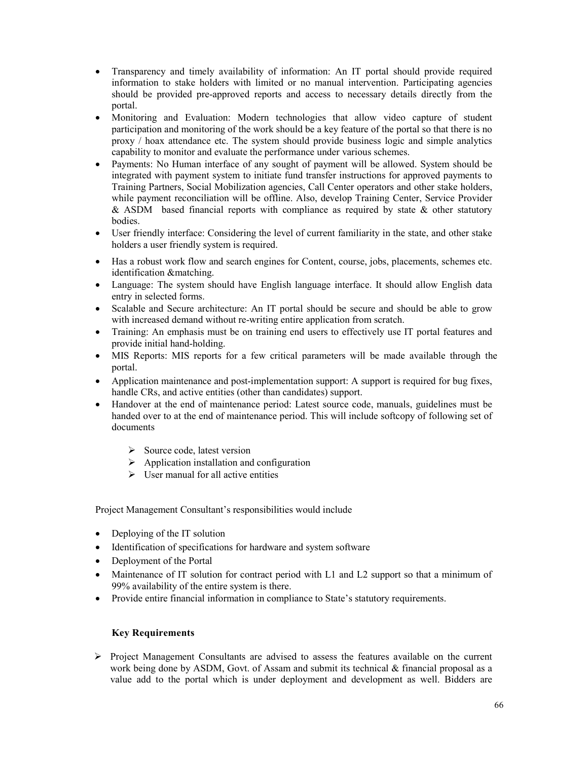- Transparency and timely availability of information: An IT portal should provide required information to stake holders with limited or no manual intervention. Participating agencies should be provided pre-approved reports and access to necessary details directly from the portal.
- Monitoring and Evaluation: Modern technologies that allow video capture of student participation and monitoring of the work should be a key feature of the portal so that there is no proxy / hoax attendance etc. The system should provide business logic and simple analytics capability to monitor and evaluate the performance under various schemes.
- Payments: No Human interface of any sought of payment will be allowed. System should be integrated with payment system to initiate fund transfer instructions for approved payments to Training Partners, Social Mobilization agencies, Call Center operators and other stake holders, while payment reconciliation will be offline. Also, develop Training Center, Service Provider & ASDM based financial reports with compliance as required by state  $\&$  other statutory bodies.
- User friendly interface: Considering the level of current familiarity in the state, and other stake holders a user friendly system is required.
- Has a robust work flow and search engines for Content, course, jobs, placements, schemes etc. identification &matching.
- Language: The system should have English language interface. It should allow English data entry in selected forms.
- Scalable and Secure architecture: An IT portal should be secure and should be able to grow with increased demand without re-writing entire application from scratch.
- Training: An emphasis must be on training end users to effectively use IT portal features and provide initial hand-holding.
- MIS Reports: MIS reports for a few critical parameters will be made available through the portal.
- Application maintenance and post-implementation support: A support is required for bug fixes, handle CRs, and active entities (other than candidates) support.
- Handover at the end of maintenance period: Latest source code, manuals, guidelines must be handed over to at the end of maintenance period. This will include softcopy of following set of documents
	- $\triangleright$  Source code, latest version
	- $\triangleright$  Application installation and configuration
	- $\triangleright$  User manual for all active entities

Project Management Consultant's responsibilities would include

- Deploying of the IT solution
- Identification of specifications for hardware and system software
- Deployment of the Portal
- Maintenance of IT solution for contract period with L1 and L2 support so that a minimum of 99% availability of the entire system is there.
- Provide entire financial information in compliance to State's statutory requirements.

# **Key Requirements**

 $\triangleright$  Project Management Consultants are advised to assess the features available on the current work being done by ASDM, Govt. of Assam and submit its technical & financial proposal as a value add to the portal which is under deployment and development as well. Bidders are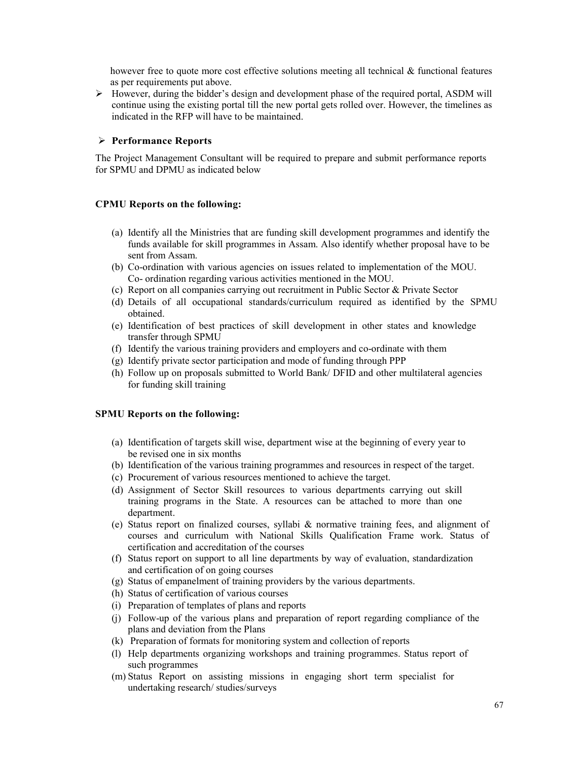however free to quote more cost effective solutions meeting all technical  $\&$  functional features as per requirements put above.

 $\triangleright$  However, during the bidder's design and development phase of the required portal, ASDM will continue using the existing portal till the new portal gets rolled over. However, the timelines as indicated in the RFP will have to be maintained.

# **Performance Reports**

The Project Management Consultant will be required to prepare and submit performance reports for SPMU and DPMU as indicated below

# **CPMU Reports on the following:**

- (a) Identify all the Ministries that are funding skill development programmes and identify the funds available for skill programmes in Assam. Also identify whether proposal have to be sent from Assam.
- (b) Co-ordination with various agencies on issues related to implementation of the MOU. Co- ordination regarding various activities mentioned in the MOU.
- (c) Report on all companies carrying out recruitment in Public Sector & Private Sector
- (d) Details of all occupational standards/curriculum required as identified by the SPMU obtained.
- (e) Identification of best practices of skill development in other states and knowledge transfer through SPMU
- (f) Identify the various training providers and employers and co-ordinate with them
- (g) Identify private sector participation and mode of funding through PPP
- (h) Follow up on proposals submitted to World Bank/ DFID and other multilateral agencies for funding skill training

### **SPMU Reports on the following:**

- (a) Identification of targets skill wise, department wise at the beginning of every year to be revised one in six months
- (b) Identification of the various training programmes and resources in respect of the target.
- (c) Procurement of various resources mentioned to achieve the target.
- (d) Assignment of Sector Skill resources to various departments carrying out skill training programs in the State. A resources can be attached to more than one department.
- (e) Status report on finalized courses, syllabi & normative training fees, and alignment of courses and curriculum with National Skills Qualification Frame work. Status of certification and accreditation of the courses
- (f) Status report on support to all line departments by way of evaluation, standardization and certification of on going courses
- (g) Status of empanelment of training providers by the various departments.
- (h) Status of certification of various courses
- (i) Preparation of templates of plans and reports
- (j) Follow-up of the various plans and preparation of report regarding compliance of the plans and deviation from the Plans
- (k) Preparation of formats for monitoring system and collection of reports
- (l) Help departments organizing workshops and training programmes. Status report of such programmes
- (m) Status Report on assisting missions in engaging short term specialist for undertaking research/ studies/surveys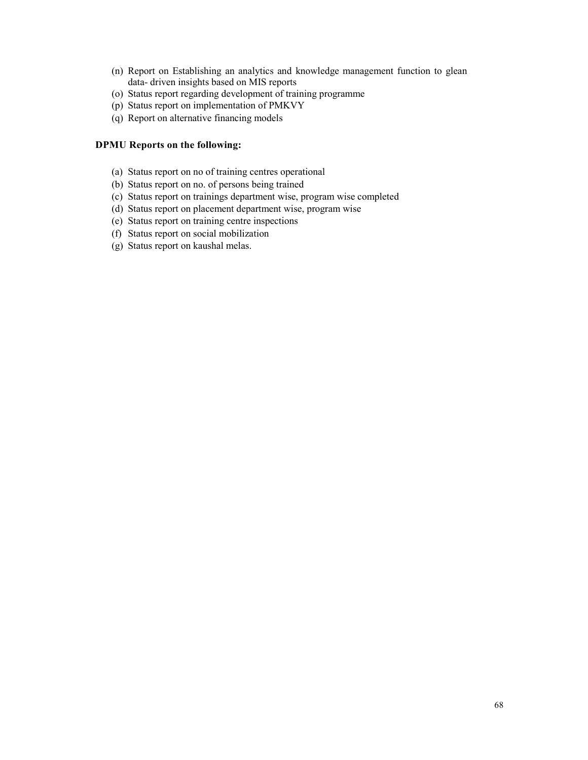- (n) Report on Establishing an analytics and knowledge management function to glean data- driven insights based on MIS reports
- (o) Status report regarding development of training programme
- (p) Status report on implementation of PMKVY
- (q) Report on alternative financing models

# **DPMU Reports on the following:**

- (a) Status report on no of training centres operational
- (b) Status report on no. of persons being trained
- (c) Status report on trainings department wise, program wise completed
- (d) Status report on placement department wise, program wise
- (e) Status report on training centre inspections
- (f) Status report on social mobilization
- (g) Status report on kaushal melas.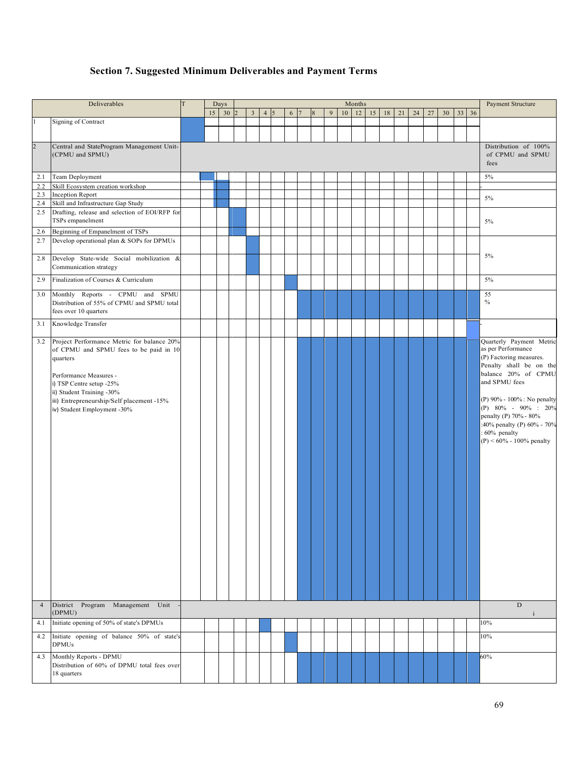# **Section 7. Suggested Minimum Deliverables and Payment Terms**

|                | Deliverables                                                                  | T |    | Days |                         |                  |   |   |              |   |    | Months |    |    |    |    |    |    |              | Payment Structure                             |
|----------------|-------------------------------------------------------------------------------|---|----|------|-------------------------|------------------|---|---|--------------|---|----|--------|----|----|----|----|----|----|--------------|-----------------------------------------------|
|                |                                                                               |   | 15 | 30   | $\overline{\mathbf{3}}$ | $4 \overline{5}$ | 6 | 7 | $\mathbf{8}$ | 9 | 10 | 12     | 15 | 18 | 21 | 24 | 27 | 30 | $33 \mid 36$ |                                               |
|                | Signing of Contract                                                           |   |    |      |                         |                  |   |   |              |   |    |        |    |    |    |    |    |    |              |                                               |
|                |                                                                               |   |    |      |                         |                  |   |   |              |   |    |        |    |    |    |    |    |    |              |                                               |
| $\overline{2}$ | Central and StateProgram Management Unit-                                     |   |    |      |                         |                  |   |   |              |   |    |        |    |    |    |    |    |    |              | Distribution of 100%                          |
|                | (CPMU and SPMU)                                                               |   |    |      |                         |                  |   |   |              |   |    |        |    |    |    |    |    |    |              | of CPMU and SPMU                              |
|                |                                                                               |   |    |      |                         |                  |   |   |              |   |    |        |    |    |    |    |    |    |              | fees                                          |
| 2.1            | Team Deployment                                                               |   |    |      |                         |                  |   |   |              |   |    |        |    |    |    |    |    |    |              | 5%                                            |
| 2.2            | Skill Ecosystem creation workshop                                             |   |    |      |                         |                  |   |   |              |   |    |        |    |    |    |    |    |    |              |                                               |
| 2.3<br>2.4     | <b>Inception Report</b><br>Skill and Infrastructure Gap Study                 |   |    |      |                         |                  |   |   |              |   |    |        |    |    |    |    |    |    |              | $5\%$                                         |
| 2.5            | Drafting, release and selection of EOI/RFP for                                |   |    |      |                         |                  |   |   |              |   |    |        |    |    |    |    |    |    |              |                                               |
|                | TSPs empanelment                                                              |   |    |      |                         |                  |   |   |              |   |    |        |    |    |    |    |    |    |              | 5%                                            |
| 2.6            | Beginning of Empanelment of TSPs                                              |   |    |      |                         |                  |   |   |              |   |    |        |    |    |    |    |    |    |              |                                               |
| 2.7            | Develop operational plan & SOPs for DPMUs                                     |   |    |      |                         |                  |   |   |              |   |    |        |    |    |    |    |    |    |              |                                               |
|                | Develop State-wide Social mobilization &                                      |   |    |      |                         |                  |   |   |              |   |    |        |    |    |    |    |    |    |              | $5\%$                                         |
| 2.8            | Communication strategy                                                        |   |    |      |                         |                  |   |   |              |   |    |        |    |    |    |    |    |    |              |                                               |
| 2.9            | Finalization of Courses & Curriculum                                          |   |    |      |                         |                  |   |   |              |   |    |        |    |    |    |    |    |    |              | $5\%$                                         |
| 3.0            | Monthly Reports - CPMU and SPMU<br>Distribution of 55% of CPMU and SPMU total |   |    |      |                         |                  |   |   |              |   |    |        |    |    |    |    |    |    |              | 55<br>$\%$                                    |
|                | fees over 10 quarters                                                         |   |    |      |                         |                  |   |   |              |   |    |        |    |    |    |    |    |    |              |                                               |
| 3.1            | Knowledge Transfer                                                            |   |    |      |                         |                  |   |   |              |   |    |        |    |    |    |    |    |    |              |                                               |
|                |                                                                               |   |    |      |                         |                  |   |   |              |   |    |        |    |    |    |    |    |    |              |                                               |
| 3.2            | Project Performance Metric for balance 20%                                    |   |    |      |                         |                  |   |   |              |   |    |        |    |    |    |    |    |    |              | Quarterly Payment Metric                      |
|                | of CPMU and SPMU fees to be paid in 10<br>quarters                            |   |    |      |                         |                  |   |   |              |   |    |        |    |    |    |    |    |    |              | as per Performance<br>(P) Factoring measures. |
|                |                                                                               |   |    |      |                         |                  |   |   |              |   |    |        |    |    |    |    |    |    |              | Penalty shall be on the                       |
|                | Performance Measures -                                                        |   |    |      |                         |                  |   |   |              |   |    |        |    |    |    |    |    |    |              | balance 20% of CPMU                           |
|                | i) TSP Centre setup -25%                                                      |   |    |      |                         |                  |   |   |              |   |    |        |    |    |    |    |    |    |              | and SPMU fees                                 |
|                | ii) Student Training -30%<br>iii) Entrepreneurship/Self placement -15%        |   |    |      |                         |                  |   |   |              |   |    |        |    |    |    |    |    |    |              | (P) 90% - 100% : No penalty                   |
|                | iv) Student Employment -30%                                                   |   |    |      |                         |                  |   |   |              |   |    |        |    |    |    |    |    |    |              | (P) $80\% - 90\% : 20\%$                      |
|                |                                                                               |   |    |      |                         |                  |   |   |              |   |    |        |    |    |    |    |    |    |              | penalty (P) 70% - 80%                         |
|                |                                                                               |   |    |      |                         |                  |   |   |              |   |    |        |    |    |    |    |    |    |              | :40% penalty (P) 60% - 70%<br>: 60% penalty   |
|                |                                                                               |   |    |      |                         |                  |   |   |              |   |    |        |    |    |    |    |    |    |              | $(P) < 60\% - 100\%$ penalty                  |
|                |                                                                               |   |    |      |                         |                  |   |   |              |   |    |        |    |    |    |    |    |    |              |                                               |
|                |                                                                               |   |    |      |                         |                  |   |   |              |   |    |        |    |    |    |    |    |    |              |                                               |
|                |                                                                               |   |    |      |                         |                  |   |   |              |   |    |        |    |    |    |    |    |    |              |                                               |
|                |                                                                               |   |    |      |                         |                  |   |   |              |   |    |        |    |    |    |    |    |    |              |                                               |
|                |                                                                               |   |    |      |                         |                  |   |   |              |   |    |        |    |    |    |    |    |    |              |                                               |
|                |                                                                               |   |    |      |                         |                  |   |   |              |   |    |        |    |    |    |    |    |    |              |                                               |
|                |                                                                               |   |    |      |                         |                  |   |   |              |   |    |        |    |    |    |    |    |    |              |                                               |
|                |                                                                               |   |    |      |                         |                  |   |   |              |   |    |        |    |    |    |    |    |    |              |                                               |
|                |                                                                               |   |    |      |                         |                  |   |   |              |   |    |        |    |    |    |    |    |    |              |                                               |
|                |                                                                               |   |    |      |                         |                  |   |   |              |   |    |        |    |    |    |    |    |    |              |                                               |
|                |                                                                               |   |    |      |                         |                  |   |   |              |   |    |        |    |    |    |    |    |    |              |                                               |
|                |                                                                               |   |    |      |                         |                  |   |   |              |   |    |        |    |    |    |    |    |    |              |                                               |
|                |                                                                               |   |    |      |                         |                  |   |   |              |   |    |        |    |    |    |    |    |    |              |                                               |
|                |                                                                               |   |    |      |                         |                  |   |   |              |   |    |        |    |    |    |    |    |    |              |                                               |
| $\overline{4}$ | District Program Management<br>Unit<br>(DPMU)                                 |   |    |      |                         |                  |   |   |              |   |    |        |    |    |    |    |    |    |              | ${\rm D}$                                     |
| 4.1            | Initiate opening of 50% of state's DPMUs                                      |   |    |      |                         |                  |   |   |              |   |    |        |    |    |    |    |    |    |              | $\mathbf{i}$<br>10%                           |
| 4.2            | Initiate opening of balance 50% of state's<br><b>DPMUs</b>                    |   |    |      |                         |                  |   |   |              |   |    |        |    |    |    |    |    |    |              | 10%                                           |
|                | Monthly Reports - DPMU                                                        |   |    |      |                         |                  |   |   |              |   |    |        |    |    |    |    |    |    |              | 60%                                           |
| 4.3            |                                                                               |   |    |      |                         |                  |   |   |              |   |    |        |    |    |    |    |    |    |              |                                               |
|                | Distribution of 60% of DPMU total fees over                                   |   |    |      |                         |                  |   |   |              |   |    |        |    |    |    |    |    |    |              |                                               |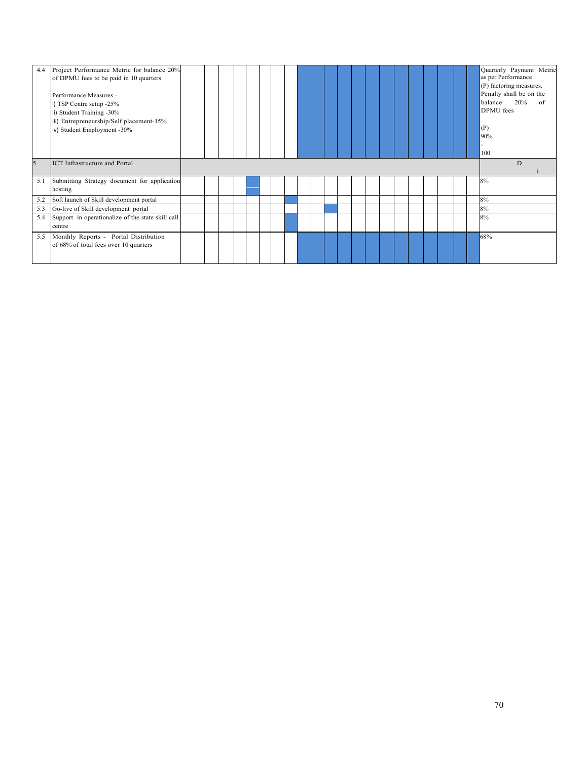| 4.4 | Project Performance Metric for balance 20%<br>of DPMU fees to be paid in 10 quarters<br>Performance Measures -<br>i) TSP Centre setup -25%<br>ii) Student Training -30%<br>iii) Entrepreneurship/Self placement-15%<br>iv) Student Employment -30% |  |  |  |  |  |  |  |  |  |  | Quarterly Payment Metric<br>as per Performance<br>(P) factoring measures.<br>Penalty shall be on the<br>20%<br>balance<br>of<br>DPMU fees<br>(P)<br>90%<br>100 |
|-----|----------------------------------------------------------------------------------------------------------------------------------------------------------------------------------------------------------------------------------------------------|--|--|--|--|--|--|--|--|--|--|----------------------------------------------------------------------------------------------------------------------------------------------------------------|
| 5   | <b>ICT</b> Infrastructure and Portal                                                                                                                                                                                                               |  |  |  |  |  |  |  |  |  |  | D                                                                                                                                                              |
| 5.1 | Submitting Strategy document for application<br>hosting                                                                                                                                                                                            |  |  |  |  |  |  |  |  |  |  | 8%                                                                                                                                                             |
| 5.2 | Soft launch of Skill development portal                                                                                                                                                                                                            |  |  |  |  |  |  |  |  |  |  | 8%                                                                                                                                                             |
| 5.3 | Go-live of Skill development portal                                                                                                                                                                                                                |  |  |  |  |  |  |  |  |  |  | 8%                                                                                                                                                             |
| 5.4 | Support in operationalize of the state skill call<br>centre                                                                                                                                                                                        |  |  |  |  |  |  |  |  |  |  | 8%                                                                                                                                                             |
| 5.5 | Monthly Reports - Portal Distribution<br>of 68% of total fees over 10 quarters                                                                                                                                                                     |  |  |  |  |  |  |  |  |  |  | 68%                                                                                                                                                            |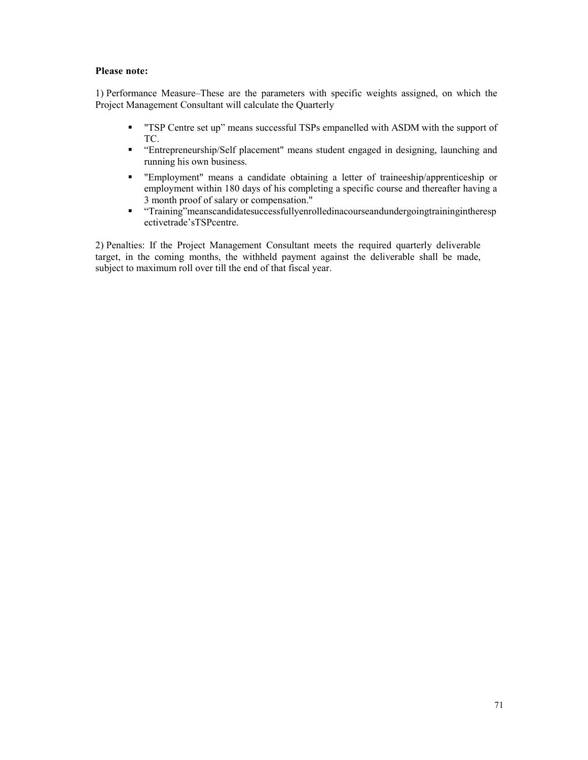# **Please note:**

1) Performance Measure–These are the parameters with specific weights assigned, on which the Project Management Consultant will calculate the Quarterly

- **TSP Centre set up**" means successful TSPs empanelled with ASDM with the support of TC.
- "Entrepreneurship/Self placement" means student engaged in designing, launching and running his own business.
- "Employment" means a candidate obtaining a letter of traineeship/apprenticeship or employment within 180 days of his completing a specific course and thereafter having a 3 month proof of salary or compensation."
- - "Training"meanscandidatesuccessfullyenrolledinacourseandundergoingtrainingintheresp ectivetrade'sTSPcentre.

2) Penalties: If the Project Management Consultant meets the required quarterly deliverable target, in the coming months, the withheld payment against the deliverable shall be made, subject to maximum roll over till the end of that fiscal year.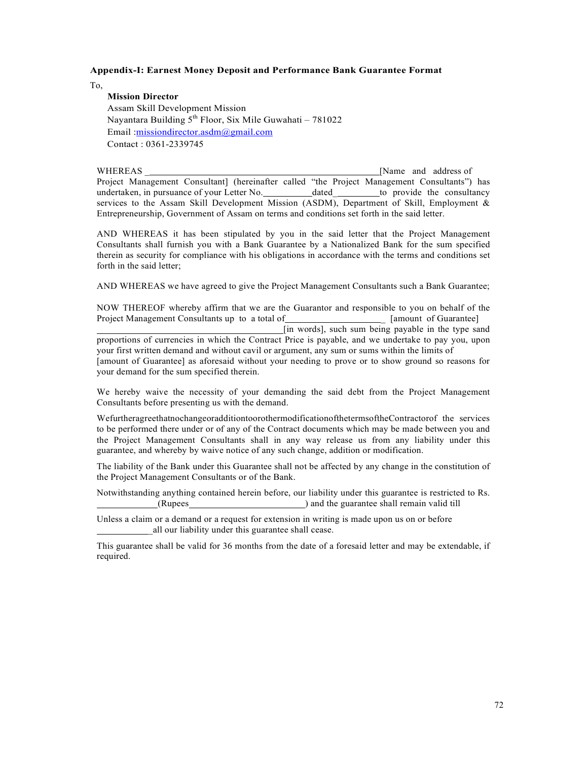#### **Appendix-I: Earnest Money Deposit and Performance Bank Guarantee Format**

To,

### **Mission Director**

 Assam Skill Development Mission Nayantara Building  $5<sup>th</sup>$  Floor, Six Mile Guwahati – 781022 Email : missiondirector.asdm@gmail.com Contact : 0361-2339745

WHEREAS [Name and address of Project Management Consultant] (hereinafter called "the Project Management Consultants") has undertaken, in pursuance of your Letter No. dated to provide the consultancy services to the Assam Skill Development Mission (ASDM), Department of Skill, Employment & Entrepreneurship, Government of Assam on terms and conditions set forth in the said letter.

AND WHEREAS it has been stipulated by you in the said letter that the Project Management Consultants shall furnish you with a Bank Guarantee by a Nationalized Bank for the sum specified therein as security for compliance with his obligations in accordance with the terms and conditions set forth in the said letter;

AND WHEREAS we have agreed to give the Project Management Consultants such a Bank Guarantee;

NOW THEREOF whereby affirm that we are the Guarantor and responsible to you on behalf of the Project Management Consultants up to a total of **Call 10.1** [amount of Guarantee] Project Management Consultants up to a total of [in words], such sum being payable in the type sand proportions of currencies in which the Contract Price is payable, and we undertake to pay you, upon your first written demand and without cavil or argument, any sum or sums within the limits of [amount of Guarantee] as aforesaid without your needing to prove or to show ground so reasons for your demand for the sum specified therein.

We hereby waive the necessity of your demanding the said debt from the Project Management Consultants before presenting us with the demand.

WefurtheragreethatnochangeoradditiontoorothermodificationofthetermsoftheContractorof the services to be performed there under or of any of the Contract documents which may be made between you and the Project Management Consultants shall in any way release us from any liability under this guarantee, and whereby by waive notice of any such change, addition or modification.

The liability of the Bank under this Guarantee shall not be affected by any change in the constitution of the Project Management Consultants or of the Bank.

Notwithstanding anything contained herein before, our liability under this guarantee is restricted to Rs. (Rupees ) and the guarantee shall remain valid till

Unless a claim or a demand or a request for extension in writing is made upon us on or before \_all our liability under this guarantee shall cease.

This guarantee shall be valid for 36 months from the date of a foresaid letter and may be extendable, if required.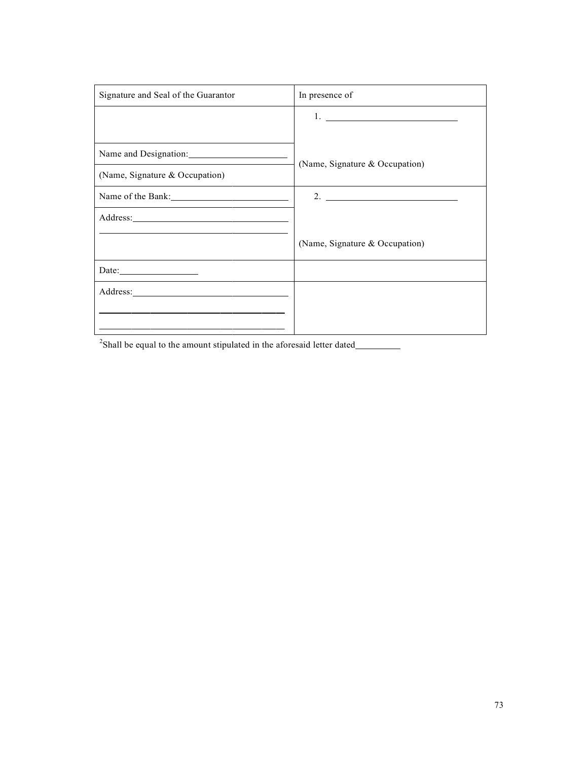| Signature and Seal of the Guarantor                         | In presence of                                                                                                                                                                                                                                                                                                         |
|-------------------------------------------------------------|------------------------------------------------------------------------------------------------------------------------------------------------------------------------------------------------------------------------------------------------------------------------------------------------------------------------|
|                                                             | $1.$ $\frac{1}{2}$ $\frac{1}{2}$ $\frac{1}{2}$ $\frac{1}{2}$ $\frac{1}{2}$ $\frac{1}{2}$ $\frac{1}{2}$ $\frac{1}{2}$ $\frac{1}{2}$ $\frac{1}{2}$ $\frac{1}{2}$ $\frac{1}{2}$ $\frac{1}{2}$ $\frac{1}{2}$ $\frac{1}{2}$ $\frac{1}{2}$ $\frac{1}{2}$ $\frac{1}{2}$ $\frac{1}{2}$ $\frac{1}{2}$ $\frac{1}{2}$ $\frac{1}{$ |
|                                                             |                                                                                                                                                                                                                                                                                                                        |
|                                                             | (Name, Signature & Occupation)                                                                                                                                                                                                                                                                                         |
| (Name, Signature & Occupation)                              |                                                                                                                                                                                                                                                                                                                        |
|                                                             | 2. $\overline{\phantom{a}}$                                                                                                                                                                                                                                                                                            |
|                                                             |                                                                                                                                                                                                                                                                                                                        |
| <u> 1989 - Johann Stoff, Amerikaansk politiker (* 1908)</u> | (Name, Signature & Occupation)                                                                                                                                                                                                                                                                                         |
| Date: $\frac{1}{\sqrt{1-\frac{1}{2}} \cdot \frac{1}{2}}$    |                                                                                                                                                                                                                                                                                                                        |
|                                                             |                                                                                                                                                                                                                                                                                                                        |
|                                                             |                                                                                                                                                                                                                                                                                                                        |
|                                                             |                                                                                                                                                                                                                                                                                                                        |

 $2$ Shall be equal to the amount stipulated in the aforesaid letter dated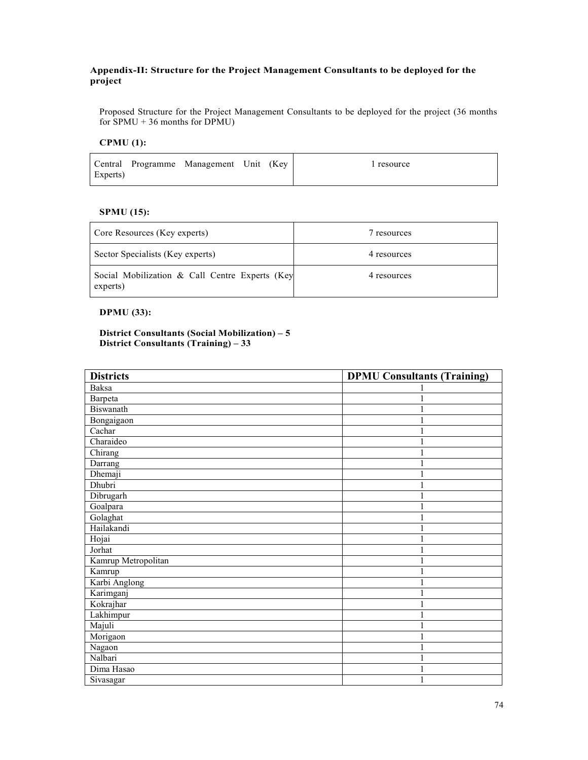# **Appendix-II: Structure for the Project Management Consultants to be deployed for the project**

Proposed Structure for the Project Management Consultants to be deployed for the project (36 months for  $SPMU + 36$  months for  $DPMU$ 

# **CPMU (1):**

Central Programme Management Unit (Key 1 resource Experts)

# **SPMU (15):**

| Core Resources (Key experts)                               | resources   |
|------------------------------------------------------------|-------------|
| Sector Specialists (Key experts)                           | 4 resources |
| Social Mobilization & Call Centre Experts (Key<br>experts) | 4 resources |

# **DPMU (33):**

# **District Consultants (Social Mobilization) – 5 District Consultants (Training) – 33**

| <b>Districts</b>    | <b>DPMU Consultants (Training)</b> |
|---------------------|------------------------------------|
| <b>Baksa</b>        |                                    |
| Barpeta             |                                    |
| Biswanath           | 1                                  |
| Bongaigaon          | 1                                  |
| Cachar              | 1                                  |
| Charaideo           |                                    |
| Chirang             | 1                                  |
| Darrang             | 1                                  |
| Dhemaji             | $\mathbf{1}$                       |
| Dhubri              | 1                                  |
| Dibrugarh           | 1                                  |
| Goalpara            | $\mathbf{1}$                       |
| Golaghat            | 1                                  |
| Hailakandi          | 1                                  |
| Hojai               | 1                                  |
| Jorhat              | 1                                  |
| Kamrup Metropolitan | 1                                  |
| Kamrup              | 1                                  |
| Karbi Anglong       | 1                                  |
| Karimganj           | $\mathbf{1}$                       |
| Kokrajhar           | 1                                  |
| Lakhimpur           | 1                                  |
| Majuli              |                                    |
| Morigaon            | 1                                  |
| Nagaon              | 1                                  |
| Nalbari             | 1                                  |
| Dima Hasao          | 1                                  |
| Sivasagar           | 1                                  |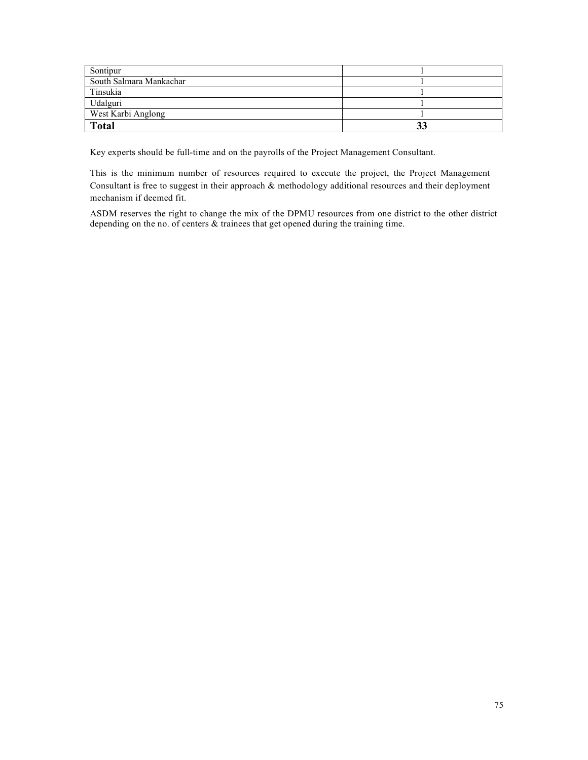| Sontipur                |  |
|-------------------------|--|
| South Salmara Mankachar |  |
| Tinsukia                |  |
| Udalguri                |  |
| West Karbi Anglong      |  |
| <b>Total</b>            |  |

Key experts should be full-time and on the payrolls of the Project Management Consultant.

This is the minimum number of resources required to execute the project, the Project Management Consultant is free to suggest in their approach & methodology additional resources and their deployment mechanism if deemed fit.

ASDM reserves the right to change the mix of the DPMU resources from one district to the other district depending on the no. of centers & trainees that get opened during the training time.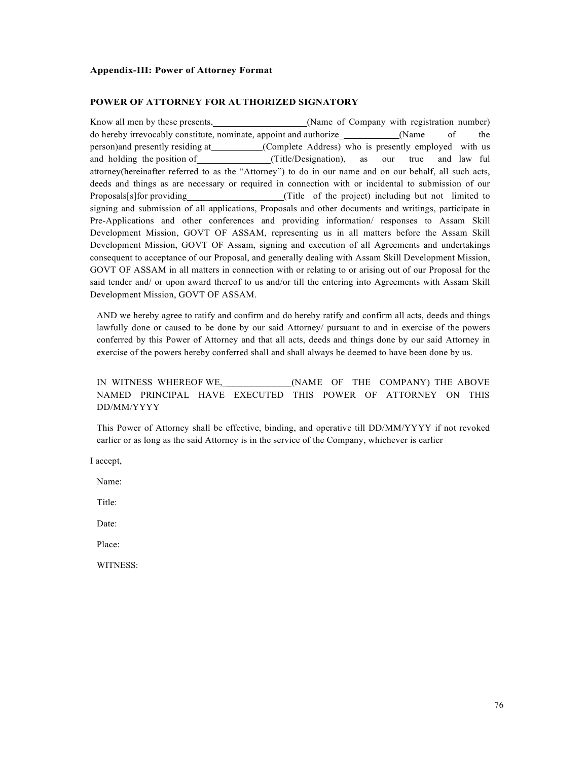#### **Appendix-III: Power of Attorney Format**

#### **POWER OF ATTORNEY FOR AUTHORIZED SIGNATORY**

Know all men by these presents, (Name of Company with registration number) do hereby irrevocably constitute, nominate, appoint and authorize (Name of the person)and presently residing at (Complete Address) who is presently employed with us and holding the position of (Title/Designation), as our true and law ful attorney(hereinafter referred to as the "Attorney") to do in our name and on our behalf, all such acts, deeds and things as are necessary or required in connection with or incidental to submission of our Proposals[s]for providing (Title of the project) including but not limited to signing and submission of all applications, Proposals and other documents and writings, participate in Pre-Applications and other conferences and providing information/ responses to Assam Skill Development Mission, GOVT OF ASSAM, representing us in all matters before the Assam Skill Development Mission, GOVT OF Assam, signing and execution of all Agreements and undertakings consequent to acceptance of our Proposal, and generally dealing with Assam Skill Development Mission, GOVT OF ASSAM in all matters in connection with or relating to or arising out of our Proposal for the said tender and/ or upon award thereof to us and/or till the entering into Agreements with Assam Skill Development Mission, GOVT OF ASSAM.

AND we hereby agree to ratify and confirm and do hereby ratify and confirm all acts, deeds and things lawfully done or caused to be done by our said Attorney/ pursuant to and in exercise of the powers conferred by this Power of Attorney and that all acts, deeds and things done by our said Attorney in exercise of the powers hereby conferred shall and shall always be deemed to have been done by us.

# IN WITNESS WHEREOF WE,\_ (NAME OF THE COMPANY) THE ABOVE NAMED PRINCIPAL HAVE EXECUTED THIS POWER OF ATTORNEY ON THIS DD/MM/YYYY

This Power of Attorney shall be effective, binding, and operative till DD/MM/YYYY if not revoked earlier or as long as the said Attorney is in the service of the Company, whichever is earlier

I accept,

Name:

Title:

Date:

Place:

WITNESS: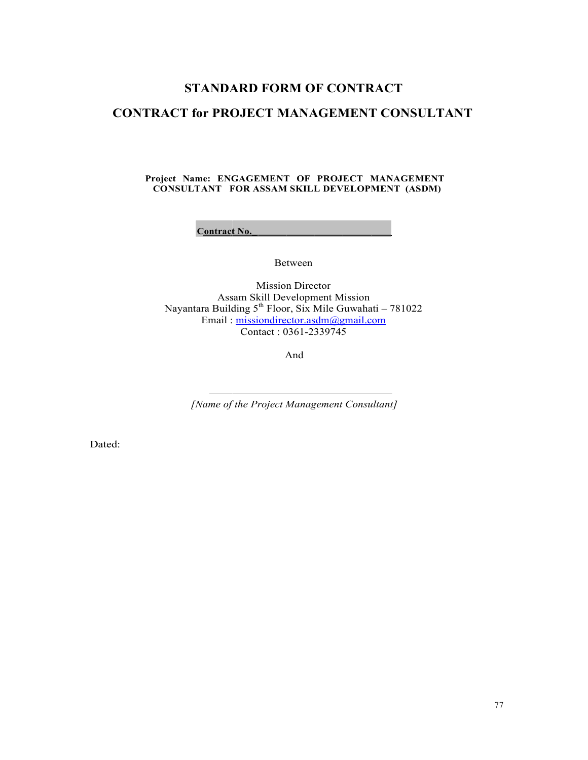# **STANDARD FORM OF CONTRACT**

# STANDARD FORM OF CONTRACT<br>CONTRACT for PROJECT MANAGEMENT CONSULTANT

# **Project Name: ENGAGEMENT OF PROJECT MANAGEMENT CONSULTANT FOR ASSAM SKILL DEVELOPMENT (ASDM)**

**Contract No.** 

Between

Assam Skill Development Mission Nayantara Building 5 Email : Mission Director Assam Skill Development Mission<br>Nayantara Building 5<sup>th</sup> Floor, Six Mile Guwahati – 781022 : missiondirector.asdm@gmail.com Contact : 0361-2339745

And

[Name of the Project Management Consultant]

Dated: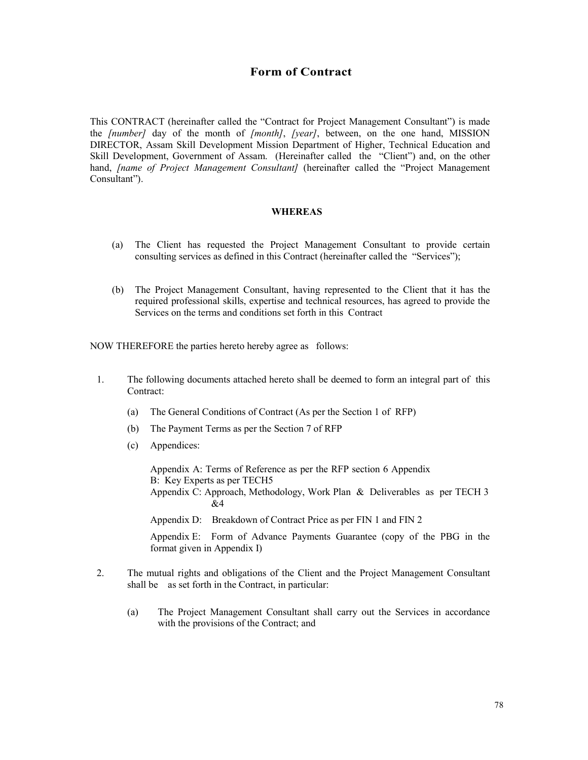## **Form of Contract**

This CONTRACT (hereinafter called the "Contract for Project Management Consultant") is made the *[number]* day of the month of *[month]*, *[year]*, between, on the one hand, MISSION DIRECTOR, Assam Skill Development Mission Department of Higher, Technical Education and Skill Development, Government of Assam. (Hereinafter called the "Client") and, on the other hand, *[name of Project Management Consultant]* (hereinafter called the "Project Management Consultant").

## **WHEREAS**

- (a) The Client has requested the Project Management Consultant to provide certain consulting services as defined in this Contract (hereinafter called the "Services");
- (b) The Project Management Consultant, having represented to the Client that it has the required professional skills, expertise and technical resources, has agreed to provide the Services on the terms and conditions set forth in this Contract

NOW THEREFORE the parties hereto hereby agree as follows:

- 1. The following documents attached hereto shall be deemed to form an integral part of this Contract:
	- (a) The General Conditions of Contract (As per the Section 1 of RFP)
	- (b) The Payment Terms as per the Section 7 of RFP
	- (c) Appendices:

Appendix A: Terms of Reference as per the RFP section 6 Appendix B: Key Experts as per TECH5 Appendix C: Approach, Methodology, Work Plan & Deliverables as per TECH 3 &4

Appendix D: Breakdown of Contract Price as per FIN 1 and FIN 2

Appendix E: Form of Advance Payments Guarantee (copy of the PBG in the format given in Appendix I)

- 2. The mutual rights and obligations of the Client and the Project Management Consultant shall be as set forth in the Contract, in particular:
	- (a) The Project Management Consultant shall carry out the Services in accordance with the provisions of the Contract; and